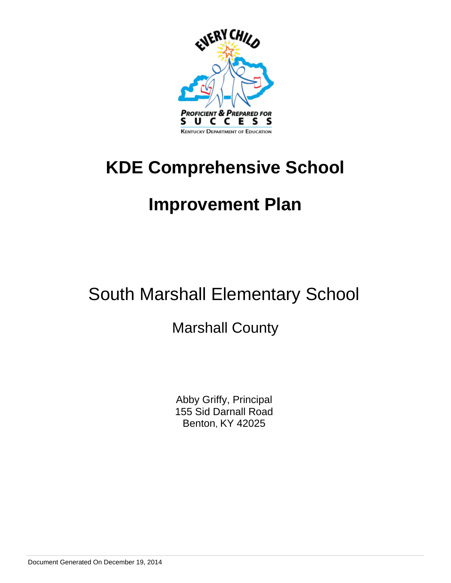

# **KDE Comprehensive School**

# **Improvement Plan**

# South Marshall Elementary School

# Marshall County

Abby Griffy, Principal 155 Sid Darnall Road Benton, KY 42025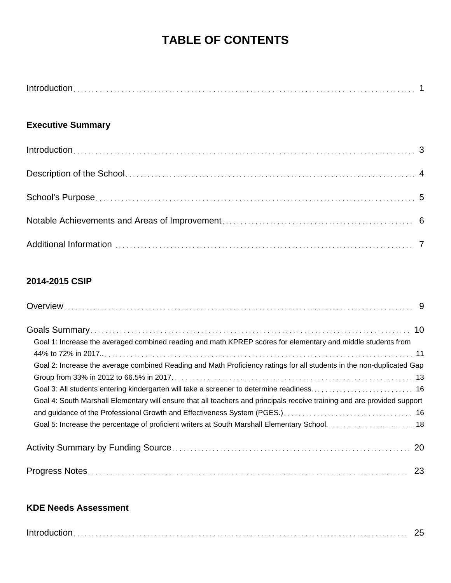# **TABLE OF CONTENTS**

### **Executive Summary**

### **2014-2015 CSIP**

| Goal 1: Increase the averaged combined reading and math KPREP scores for elementary and middle students from             |  |
|--------------------------------------------------------------------------------------------------------------------------|--|
|                                                                                                                          |  |
| Goal 2: Increase the average combined Reading and Math Proficiency ratings for all students in the non-duplicated Gap    |  |
|                                                                                                                          |  |
|                                                                                                                          |  |
| Goal 4: South Marshall Elementary will ensure that all teachers and principals receive training and are provided support |  |
|                                                                                                                          |  |
|                                                                                                                          |  |
|                                                                                                                          |  |
|                                                                                                                          |  |

### **KDE Needs Assessment**

| $Introduction \dots 25$ |  |
|-------------------------|--|
|                         |  |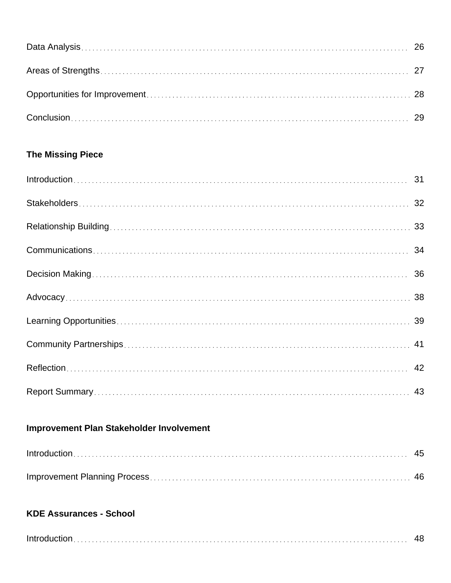### **The Missing Piece**

## **Improvement Plan Stakeholder Involvement**

### **KDE Assurances - School**

|--|--|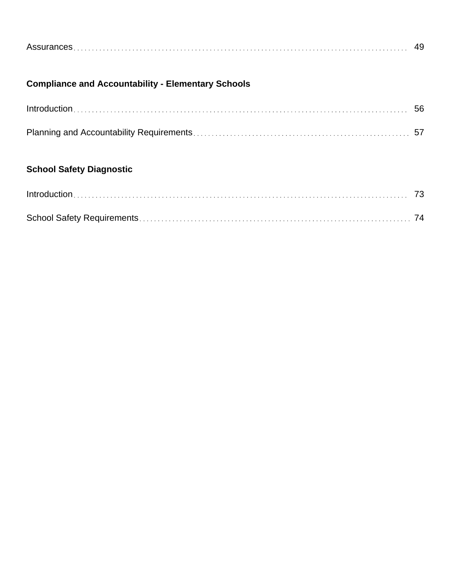|--|

## **Compliance and Accountability - Elementary Schools**

## **School Safety Diagnostic**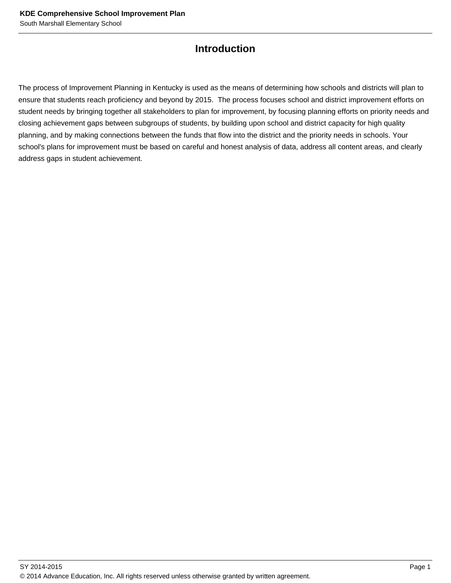### **Introduction**

The process of Improvement Planning in Kentucky is used as the means of determining how schools and districts will plan to ensure that students reach proficiency and beyond by 2015. The process focuses school and district improvement efforts on student needs by bringing together all stakeholders to plan for improvement, by focusing planning efforts on priority needs and closing achievement gaps between subgroups of students, by building upon school and district capacity for high quality planning, and by making connections between the funds that flow into the district and the priority needs in schools. Your school's plans for improvement must be based on careful and honest analysis of data, address all content areas, and clearly address gaps in student achievement.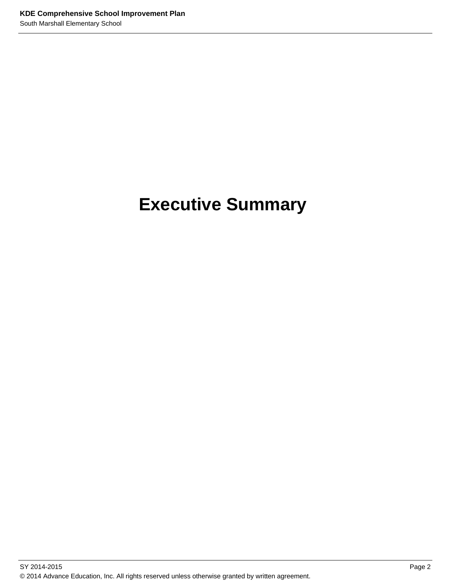# **Executive Summary**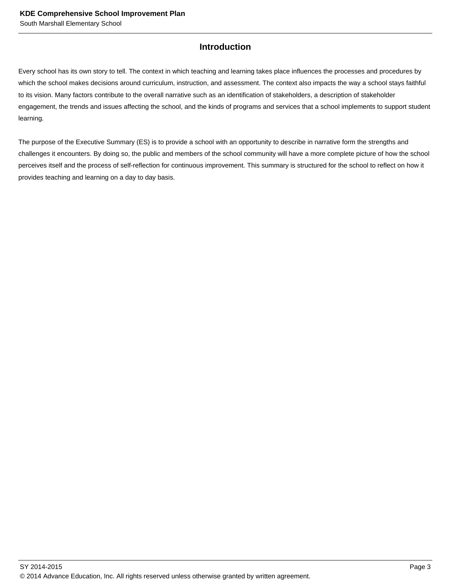#### **Introduction**

Every school has its own story to tell. The context in which teaching and learning takes place influences the processes and procedures by which the school makes decisions around curriculum, instruction, and assessment. The context also impacts the way a school stays faithful to its vision. Many factors contribute to the overall narrative such as an identification of stakeholders, a description of stakeholder engagement, the trends and issues affecting the school, and the kinds of programs and services that a school implements to support student learning.

The purpose of the Executive Summary (ES) is to provide a school with an opportunity to describe in narrative form the strengths and challenges it encounters. By doing so, the public and members of the school community will have a more complete picture of how the school perceives itself and the process of self-reflection for continuous improvement. This summary is structured for the school to reflect on how it provides teaching and learning on a day to day basis.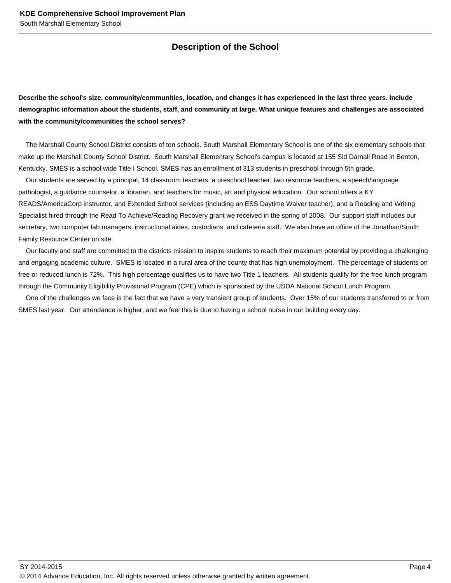#### **Description of the School**

**Describe the school's size, community/communities, location, and changes it has experienced in the last three years. Include demographic information about the students, staff, and community at large. What unique features and challenges are associated with the community/communities the school serves?**

 The Marshall County School District consists of ten schools. South Marshall Elementary School is one of the six elementary schools that make up the Marshall County School District. South Marshall Elementary School's campus is located at 155 Sid Darnall Road in Benton, Kentucky. SMES is a school wide Title I School. SMES has an enrollment of 313 students in preschool through 5th grade.

 Our students are served by a principal, 14 classroom teachers, a preschool teacher, two resource teachers, a speech/language pathologist, a guidance counselor, a librarian, and teachers for music, art and physical education. Our school offers a KY READS/AmericaCorp instructor, and Extended School services (including an ESS Daytime Waiver teacher), and a Reading and Writing Specialist hired through the Read To Achieve/Reading Recovery grant we received in the spring of 2008. Our support staff includes our secretary, two computer lab managers, instructional aides, custodians, and cafeteria staff. We also have an office of the Jonathan/South Family Resource Center on site.

 Our faculty and staff are committed to the districts mission to inspire students to reach their maximum potential by providing a challenging and engaging academic culture. SMES is located in a rural area of the county that has high unemployment. The percentage of students on free or reduced lunch is 72%. This high percentage qualifies us to have two Title 1 teachers. All students qualify for the free lunch program through the Community Eligibility Provisional Program (CPE) which is sponsored by the USDA National School Lunch Program.

 One of the challenges we face is the fact that we have a very transient group of students. Over 15% of our students transferred to or from SMES last year. Our attendance is higher, and we feel this is due to having a school nurse in our building every day.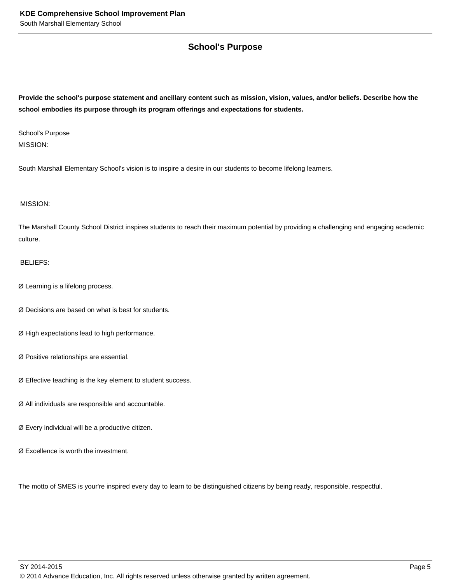#### **School's Purpose**

**Provide the school's purpose statement and ancillary content such as mission, vision, values, and/or beliefs. Describe how the school embodies its purpose through its program offerings and expectations for students.**

School's Purpose MISSION:

South Marshall Elementary School's vision is to inspire a desire in our students to become lifelong learners.

MISSION:

The Marshall County School District inspires students to reach their maximum potential by providing a challenging and engaging academic culture.

#### BELIEFS:

- Ø Learning is a lifelong process.
- Ø Decisions are based on what is best for students.
- Ø High expectations lead to high performance.
- Ø Positive relationships are essential.
- Ø Effective teaching is the key element to student success.
- Ø All individuals are responsible and accountable.
- Ø Every individual will be a productive citizen.
- Ø Excellence is worth the investment.

The motto of SMES is your're inspired every day to learn to be distinguished citizens by being ready, responsible, respectful.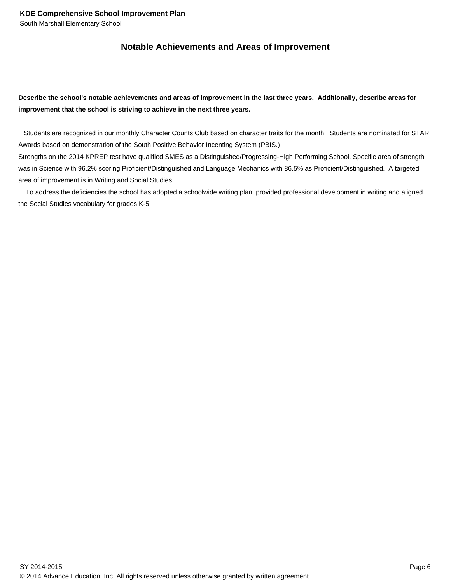#### **Notable Achievements and Areas of Improvement**

#### **Describe the school's notable achievements and areas of improvement in the last three years. Additionally, describe areas for improvement that the school is striving to achieve in the next three years.**

 Students are recognized in our monthly Character Counts Club based on character traits for the month. Students are nominated for STAR Awards based on demonstration of the South Positive Behavior Incenting System (PBIS.)

Strengths on the 2014 KPREP test have qualified SMES as a Distinguished/Progressing-High Performing School. Specific area of strength was in Science with 96.2% scoring Proficient/Distinguished and Language Mechanics with 86.5% as Proficient/Distinguished. A targeted area of improvement is in Writing and Social Studies.

 To address the deficiencies the school has adopted a schoolwide writing plan, provided professional development in writing and aligned the Social Studies vocabulary for grades K-5.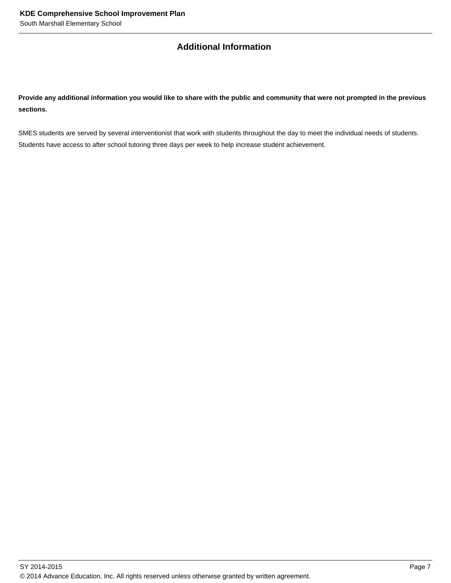#### **Additional Information**

**Provide any additional information you would like to share with the public and community that were not prompted in the previous sections.**

SMES students are served by several interventionist that work with students throughout the day to meet the individual needs of students. Students have access to after school tutoring three days per week to help increase student achievement.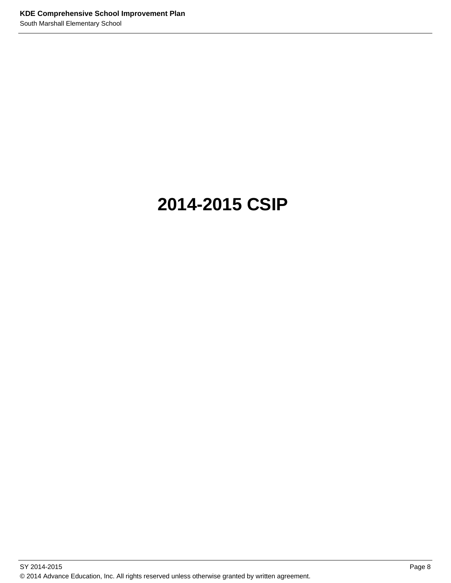# **2014-2015 CSIP**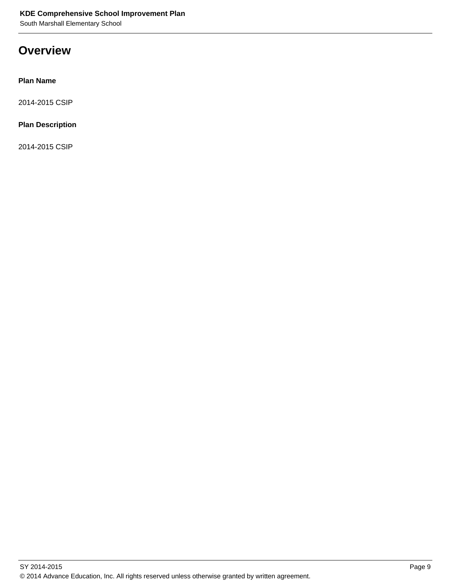South Marshall Elementary School

## **Overview**

#### **Plan Name**

2014-2015 CSIP

#### **Plan Description**

2014-2015 CSIP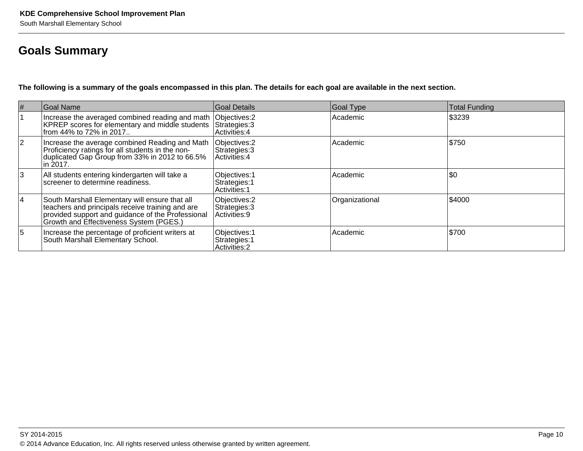## **Goals Summary**

**The following is a summary of the goals encompassed in this plan. The details for each goal are available in the next section.**

| #  | <b>Goal Name</b>                                                                                                                                                                                   | <b>Goal Details</b>                             | Goal Type      | <b>Total Funding</b> |
|----|----------------------------------------------------------------------------------------------------------------------------------------------------------------------------------------------------|-------------------------------------------------|----------------|----------------------|
|    | Increase the averaged combined reading and math<br>KPREP scores for elementary and middle students<br>from 44% to 72% in 2017                                                                      | Objectives: 2<br>Strategies: 3<br>Activities: 4 | Academic       | \$3239               |
| 2  | Increase the average combined Reading and Math<br>Proficiency ratings for all students in the non-<br>duplicated Gap Group from 33% in 2012 to 66.5%<br> in 2017.                                  | Objectives: 2<br>Strategies: 3<br>Activities: 4 | Academic       | \$750                |
| 13 | All students entering kindergarten will take a<br>screener to determine readiness.                                                                                                                 | Objectives: 1<br>Strategies: 1<br>Activities: 1 | Academic       | $ 30\rangle$         |
| 14 | South Marshall Elementary will ensure that all<br>teachers and principals receive training and are<br>provided support and guidance of the Professional<br>Growth and Effectiveness System (PGES.) | Objectives: 2<br>Strategies: 3<br>Activities: 9 | Organizational | \$4000               |
| 15 | Increase the percentage of proficient writers at<br>South Marshall Elementary School.                                                                                                              | Objectives: 1<br>Strategies: 1<br>Activities: 2 | Academic       | \$700                |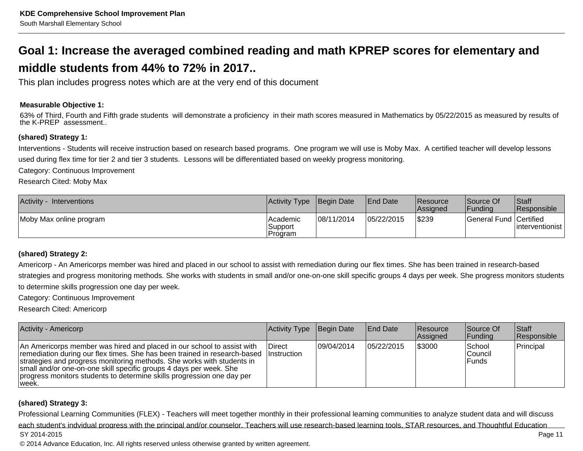# **Goal 1: Increase the averaged combined reading and math KPREP scores for elementary andmiddle students from 44% to 72% in 2017..**

This plan includes progress notes which are at the very end of this document

#### **Measurable Objective 1:**

63% of Third, Fourth and Fifth grade students will demonstrate a proficiency in their math scores measured in Mathematics by 05/22/2015 as measured by results of the K-PREP assessment..

#### **(shared) Strategy 1:**

Interventions - Students will receive instruction based on research based programs. One program we will use is Moby Max. A certified teacher will develop lessonsused during flex time for tier 2 and tier 3 students. Lessons will be differentiated based on weekly progress monitoring.

Category: Continuous Improvement

Research Cited: Moby Max

| Activity -<br><b>Interventions</b> | Activity Type Begin Date          |            | <b>End Date</b> | <b>IResource</b><br><b>Assigned</b> | Source Of<br> Fundina  | <b>Staff</b><br><b>Responsible</b> |
|------------------------------------|-----------------------------------|------------|-----------------|-------------------------------------|------------------------|------------------------------------|
| Moby Max online program            | I Academic<br>Support<br> Program | 08/11/2014 | 05/22/2015      | \$239                               | General Fund Certified | linterventionist                   |

#### **(shared) Strategy 2:**

Americorp - An Americorps member was hired and placed in our school to assist with remediation during our flex times. She has been trained in research-based strategies and progress monitoring methods. She works with students in small and/or one-on-one skill specific groups 4 days per week. She progress monitors studentsto determine skills progression one day per week.

Category: Continuous Improvement

Research Cited: Americorp

| <b>Activity - Americorp</b>                                                                                                                                                                                                                                                                                                                                                                        | Activity Type | Begin Date  | <b>End Date</b> | <b>Resource</b><br><b>Assigned</b> | Source Of<br> Funding        | <b>Staff</b><br>Responsible |
|----------------------------------------------------------------------------------------------------------------------------------------------------------------------------------------------------------------------------------------------------------------------------------------------------------------------------------------------------------------------------------------------------|---------------|-------------|-----------------|------------------------------------|------------------------------|-----------------------------|
| An Americorps member was hired and placed in our school to assist with<br>remediation during our flex times. She has been trained in research-based Instruction<br>strategies and progress monitoring methods. She works with students in<br>small and/or one-on-one skill specific groups 4 days per week. She<br>progress monitors students to determine skills progression one day per<br>week. | Direct        | 109/04/2014 | 105/22/2015     | \$3000                             | School<br> Council<br>lFunds | Principal                   |

#### **(shared) Strategy 3:**

Professional Learning Communities (FLEX) - Teachers will meet together monthly in their professional learning communities to analyze student data and will discusseach student's indvidual progress with the principal and/or counselor. Teachers will use research-based learning tools, STAR resources, and Thoughtful EducationSY 2014-2015Page 11

© 2014 Advance Education, Inc. All rights reserved unless otherwise granted by written agreement.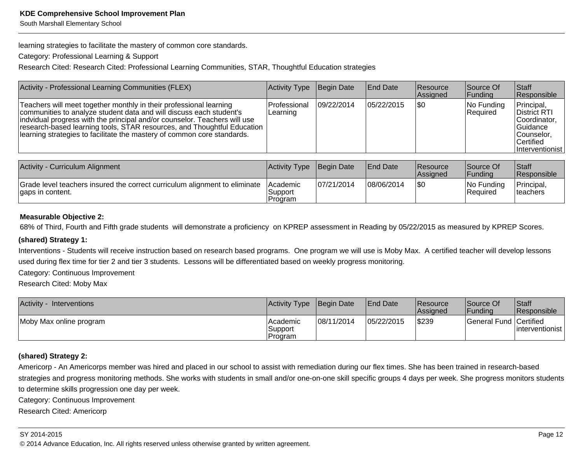South Marshall Elementary School

learning strategies to facilitate the mastery of common core standards.

Category: Professional Learning & Support

Research Cited: Research Cited: Professional Learning Communities, STAR, Thoughtful Education strategies

| Activity - Professional Learning Communities (FLEX)                                                                                                                                                                                                                                                                                                                          | <b>Activity Type</b>             | Begin Date | <b>IEnd Date</b> | Resource<br>Assigned | Source Of<br><b>Funding</b> | <b>Staff</b><br>Responsible                                                                            |
|------------------------------------------------------------------------------------------------------------------------------------------------------------------------------------------------------------------------------------------------------------------------------------------------------------------------------------------------------------------------------|----------------------------------|------------|------------------|----------------------|-----------------------------|--------------------------------------------------------------------------------------------------------|
| Teachers will meet together monthly in their professional learning<br>communities to analyze student data and will discuss each student's<br>indvidual progress with the principal and/or counselor. Teachers will use<br>research-based learning tools, STAR resources, and Thoughtful Education<br>learning strategies to facilitate the mastery of common core standards. | <b>IProfessional</b><br>Learning | 09/22/2014 | 105/22/2015      | <b>\$0</b>           | No Funding<br>Required      | Principal,<br>District RTI<br>Coordinator.<br>Guidance<br>Counselor.<br>∣Certified∶<br>Interventionist |

| Activity - Curriculum Alignment                                                                | <b>Activity Type</b>                     | Begin Date | <b>IEnd Date</b> | <b>Resource</b><br><b>Assigned</b> | Source Of<br> Fundina  | Staff<br><b>Responsible</b>    |
|------------------------------------------------------------------------------------------------|------------------------------------------|------------|------------------|------------------------------------|------------------------|--------------------------------|
| Grade level teachers insured the correct curriculum alignment to eliminate<br>gaps in content. | <b>IAcademic</b><br>Support<br>l Program | 07/21/2014 | 08/06/2014       | \$0                                | No Funding<br>Required | Principal,<br><b>Iteachers</b> |

#### **Measurable Objective 2:**

68% of Third, Fourth and Fifth grade students will demonstrate a proficiency on KPREP assessment in Reading by 05/22/2015 as measured by KPREP Scores.

#### **(shared) Strategy 1:**

Interventions - Students will receive instruction based on research based programs. One program we will use is Moby Max. A certified teacher will develop lessonsused during flex time for tier 2 and tier 3 students. Lessons will be differentiated based on weekly progress monitoring.

Category: Continuous Improvement

Research Cited: Moby Max

| <b>Activity</b><br>Interventions | Activity Type Begin Date          |            | <b>End Date</b> | Resource<br>Assigned | Source Of<br> Fundina  | Staff<br>Responsible |
|----------------------------------|-----------------------------------|------------|-----------------|----------------------|------------------------|----------------------|
| Moby Max online program          | l Academic<br>Support<br> Program | 08/11/2014 | 05/22/2015      | \$239                | General Fund Certified | linterventionist l   |

#### **(shared) Strategy 2:**

Americorp - An Americorps member was hired and placed in our school to assist with remediation during our flex times. She has been trained in research-based strategies and progress monitoring methods. She works with students in small and/or one-on-one skill specific groups 4 days per week. She progress monitors studentsto determine skills progression one day per week.

Category: Continuous Improvement

Research Cited: Americorp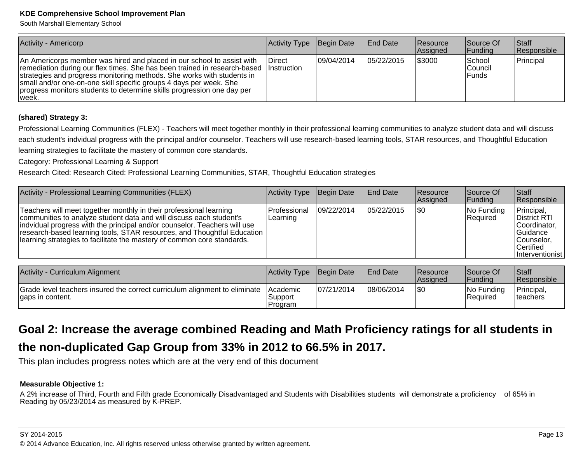South Marshall Elementary School

| Activity - Americorp                                                                                                                                                                                                                                                                                                                                                                                  | <b>Activity Type</b> | Begin Date  | <b>IEnd Date</b> | <b>Resource</b><br>Assigned | Source Of<br> Funding        | <b>Staff</b><br>Responsible |
|-------------------------------------------------------------------------------------------------------------------------------------------------------------------------------------------------------------------------------------------------------------------------------------------------------------------------------------------------------------------------------------------------------|----------------------|-------------|------------------|-----------------------------|------------------------------|-----------------------------|
| An Americorps member was hired and placed in our school to assist with<br>remediation during our flex times. She has been trained in research-based   Instruction<br>strategies and progress monitoring methods. She works with students in<br>small and/or one-on-one skill specific groups 4 days per week. She<br>progress monitors students to determine skills progression one day per<br>∣week. | <b>IDirect</b>       | 109/04/2014 | 105/22/2015      | \$3000                      | School<br>lCouncil<br>lFunds | Principal                   |

#### **(shared) Strategy 3:**

Professional Learning Communities (FLEX) - Teachers will meet together monthly in their professional learning communities to analyze student data and will discusseach student's indvidual progress with the principal and/or counselor. Teachers will use research-based learning tools, STAR resources, and Thoughtful Educationlearning strategies to facilitate the mastery of common core standards.

Category: Professional Learning & Support

Research Cited: Research Cited: Professional Learning Communities, STAR, Thoughtful Education strategies

| Activity - Professional Learning Communities (FLEX)                                                                                                                                                                                                                                                                                                                          | Activity Type                     | Begin Date  | <b>End Date</b>  | <b>Resource</b><br><b>Assigned</b> | Source Of<br> Funding     | <b>Staff</b><br>Responsible                                                                                                |
|------------------------------------------------------------------------------------------------------------------------------------------------------------------------------------------------------------------------------------------------------------------------------------------------------------------------------------------------------------------------------|-----------------------------------|-------------|------------------|------------------------------------|---------------------------|----------------------------------------------------------------------------------------------------------------------------|
| Teachers will meet together monthly in their professional learning<br>communities to analyze student data and will discuss each student's<br>indvidual progress with the principal and/or counselor. Teachers will use<br>research-based learning tools, STAR resources, and Thoughtful Education<br>learning strategies to facilitate the mastery of common core standards. | l Professional<br>Learning        | 109/22/2014 | 105/22/2015      | <b>SO</b>                          | $ No$ Funding<br>Required | Principal,<br><b>District RTI</b><br>Coordinator.<br><b>Guidance</b><br> Counselor.<br><b>Certified</b><br>Interventionist |
| Activity - Curriculum Alianment                                                                                                                                                                                                                                                                                                                                              | <u>IActivity Tyne IBegin Date</u> |             | <b>IFnd Date</b> | <i><b>IResource</b></i>            | <b>Source Of</b>          | $\mathsf{IStart}$                                                                                                          |

| Activity - Curriculum Alignment                                                                | Activity Type Begin Date               |            | <b>IEnd Date</b> | <b>Resource</b><br><b>Assigned</b> | Source Of<br>IFundina   | <b>Staff</b><br><b>Responsible</b> |
|------------------------------------------------------------------------------------------------|----------------------------------------|------------|------------------|------------------------------------|-------------------------|------------------------------------|
| Grade level teachers insured the correct curriculum alignment to eliminate<br>gaps in content. | <b>IAcademic</b><br>Support<br>Program | 07/21/2014 | 08/06/2014       | 1\$0                               | INo Funding<br>Required | Principal,<br><b>Iteachers</b>     |

# **Goal 2: Increase the average combined Reading and Math Proficiency ratings for all students inthe non-duplicated Gap Group from 33% in 2012 to 66.5% in 2017.**

This plan includes progress notes which are at the very end of this document

#### **Measurable Objective 1:**

A 2% increase of Third, Fourth and Fifth grade Economically Disadvantaged and Students with Disabilities students will demonstrate a proficiency of 65% inReading by 05/23/2014 as measured by K-PREP.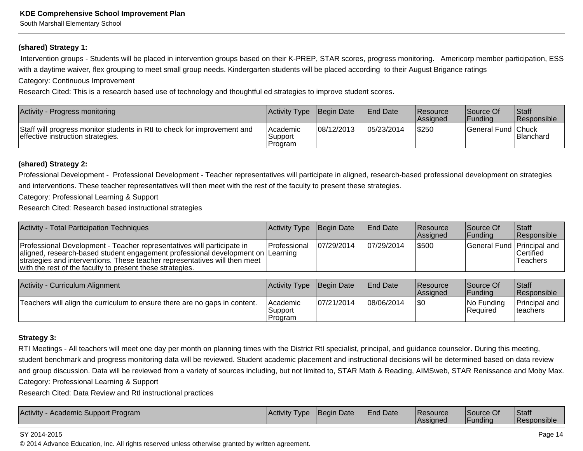South Marshall Elementary School

#### **(shared) Strategy 1:**

 Intervention groups - Students will be placed in intervention groups based on their K-PREP, STAR scores, progress monitoring. Americorp member participation, ESSwith a daytime waiver, flex grouping to meet small group needs. Kindergarten students will be placed according to their August Brigance ratings

Category: Continuous Improvement

Research Cited: This is a research based use of technology and thoughtful ed strategies to improve student scores.

| Activity - Progress monitoring                                                                                | <b>Activity Type</b>             | Begin Date | <b>End Date</b> | Resource<br><b>Assigned</b> | Source Of<br> Fundina | <b>Staff</b><br>Responsible |
|---------------------------------------------------------------------------------------------------------------|----------------------------------|------------|-----------------|-----------------------------|-----------------------|-----------------------------|
| Staff will progress monitor students in RtI to check for improvement and<br>effective instruction strategies. | lAcademic<br>'Support<br>Program | 08/12/2013 | 05/23/2014      | \$250                       | General Fund Chuck    | <b>Blanchard</b>            |

#### **(shared) Strategy 2:**

Professional Development - Professional Development - Teacher representatives will participate in aligned, research-based professional development on strategiesand interventions. These teacher representatives will then meet with the rest of the faculty to present these strategies.

Category: Professional Learning & Support

Research Cited: Research based instructional strategies

| Activity - Total Participation Techniques                                                                                                                                                                                                                                                             | Activity Type Begin Date |             | <b>IEnd Date</b> | <b>Resource</b><br>Assigned | Source Of<br> Fundina      | <b>Staff</b><br><b>Responsible</b> |
|-------------------------------------------------------------------------------------------------------------------------------------------------------------------------------------------------------------------------------------------------------------------------------------------------------|--------------------------|-------------|------------------|-----------------------------|----------------------------|------------------------------------|
| Professional Development - Teacher representatives will participate in<br>aligned, research-based student engagement professional development on  Learning<br>strategies and interventions. These teacher representatives will then meet<br>with the rest of the faculty to present these strategies. | IProfessional            | 107/29/2014 | 107/29/2014      | \$500                       | General Fund Principal and | Certified<br>Teachers              |

| Activity - Curriculum Alignment                                            | Activity Type                    | Begin Date | <b>IEnd Date</b> | <b>Resource</b><br><b>Assigned</b> | Source Of<br><b>IFundina</b>     | <b>Staff</b><br>Responsible              |
|----------------------------------------------------------------------------|----------------------------------|------------|------------------|------------------------------------|----------------------------------|------------------------------------------|
| Teachers will align the curriculum to ensure there are no gaps in content. | Academic<br> Support<br> Program | 07/21/2014 | 08/06/2014       | \$0                                | $ No$ Funding<br><b>Required</b> | <b>Principal and</b><br><b>Iteachers</b> |

#### **Strategy 3:**

RTI Meetings - All teachers will meet one day per month on planning times with the District RtI specialist, principal, and guidance counselor. During this meeting,student benchmark and progress monitoring data will be reviewed. Student academic placement and instructional decisions will be determined based on data review and group discussion. Data will be reviewed from a variety of sources including, but not limited to, STAR Math & Reading, AIMSweb, STAR Renissance and Moby Max.Category: Professional Learning & Support

Research Cited: Data Review and RtI instructional practices

#### SY 2014-2015

© 2014 Advance Education, Inc. All rights reserved unless otherwise granted by written agreement.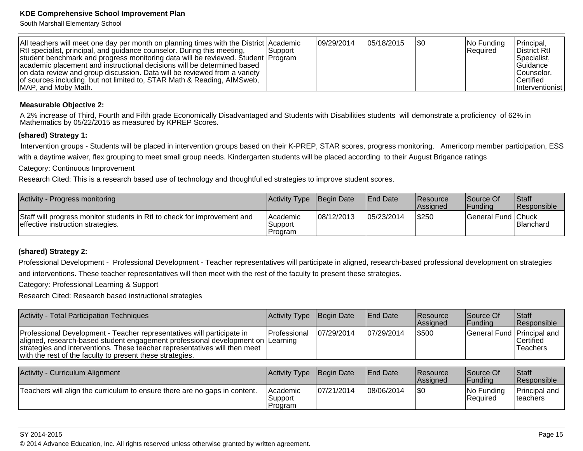South Marshall Elementary School

| All teachers will meet one day per month on planning times with the District Academic<br>RtI specialist, principal, and guidance counselor. During this meeting, | l Support | 09/29/2014 | 05/18/2015 | 1\$0 | $ No$ Funding<br>Required | Principal,<br>District Rtl     |
|------------------------------------------------------------------------------------------------------------------------------------------------------------------|-----------|------------|------------|------|---------------------------|--------------------------------|
| student benchmark and progress monitoring data will be reviewed. Student Program<br>academic placement and instructional decisions will be determined based      |           |            |            |      |                           | Specialist.<br> Guidance       |
| on data review and group discussion. Data will be reviewed from a variety<br>of sources including, but not limited to, STAR Math & Reading, AIMSweb,             |           |            |            |      |                           | Counselor.<br><b>Certified</b> |
| MAP, and Moby Math.                                                                                                                                              |           |            |            |      |                           | Interventionist                |

#### **Measurable Objective 2:**

 A 2% increase of Third, Fourth and Fifth grade Economically Disadvantaged and Students with Disabilities students will demonstrate a proficiency of 62% inMathematics by 05/22/2015 as measured by KPREP Scores.

#### **(shared) Strategy 1:**

 Intervention groups - Students will be placed in intervention groups based on their K-PREP, STAR scores, progress monitoring. Americorp member participation, ESSwith a daytime waiver, flex grouping to meet small group needs. Kindergarten students will be placed according to their August Brigance ratings

Category: Continuous Improvement

Research Cited: This is a research based use of technology and thoughtful ed strategies to improve student scores.

| Activity - Progress monitoring                                                                                | <b>Activity Type Begin Date</b>  |            | <b>End Date</b> | <b>Resource</b><br>Assigned | Source Of<br> Fundina | Staff<br><b>Responsible</b> |
|---------------------------------------------------------------------------------------------------------------|----------------------------------|------------|-----------------|-----------------------------|-----------------------|-----------------------------|
| Staff will progress monitor students in RtI to check for improvement and<br>effective instruction strategies. | l Academic<br>Support<br>Program | 08/12/2013 | 05/23/2014      | \$250                       | General Fund Chuck    | <b>Blanchard</b>            |

#### **(shared) Strategy 2:**

Professional Development - Professional Development - Teacher representatives will participate in aligned, research-based professional development on strategiesand interventions. These teacher representatives will then meet with the rest of the faculty to present these strategies.

Category: Professional Learning & Support

Research Cited: Research based instructional strategies

| Activity - Total Participation Techniques                                                                                                                                                                                                                                                            | Activity Type                  | Begin Date  | <b>End Date</b> | <b>Resource</b><br>Assigned | <b>Source Of</b><br> Funding | Staff<br>Responsible              |
|------------------------------------------------------------------------------------------------------------------------------------------------------------------------------------------------------------------------------------------------------------------------------------------------------|--------------------------------|-------------|-----------------|-----------------------------|------------------------------|-----------------------------------|
| Professional Development - Teacher representatives will participate in<br>aligned, research-based student engagement professional development on Learning<br>strategies and interventions. These teacher representatives will then meet<br>with the rest of the faculty to present these strategies. | l Professional                 | 107/29/2014 | 107/29/2014     | \$500                       | General Fund Principal and   | lCertified.<br>Teachers           |
| Activity - Curriculum Alignment                                                                                                                                                                                                                                                                      | <b>Activity Type</b>           | Begin Date  | <b>End Date</b> | <b>Resource</b><br>Assigned | Source Of<br> Funding        | Staff<br>Responsible              |
| Teachers will align the curriculum to ensure there are no gaps in content.                                                                                                                                                                                                                           | Academic<br>Support<br>Program | 107/21/2014 | 08/06/2014      | \$0                         | No Funding<br>Required       | Principal and<br><b>Iteachers</b> |

SY 2014-2015

en 15 and 20 and 20 and 20 and 20 and 20 and 20 and 20 and 20 and 20 and 20 and 20 and 20 and 20 and 20 and 20 © 2014 Advance Education, Inc. All rights reserved unless otherwise granted by written agreement.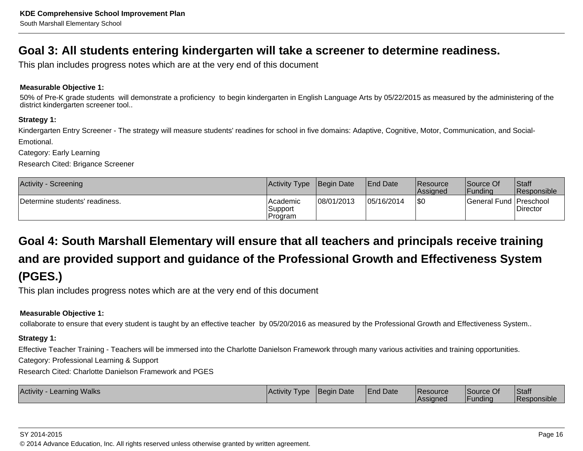## **Goal 3: All students entering kindergarten will take a screener to determine readiness.**

This plan includes progress notes which are at the very end of this document

#### **Measurable Objective 1:**

50% of Pre-K grade students will demonstrate a proficiency to begin kindergarten in English Language Arts by 05/22/2015 as measured by the administering of thedistrict kindergarten screener tool..

#### **Strategy 1:**

Kindergarten Entry Screener - The strategy will measure students' readines for school in five domains: Adaptive, Cognitive, Motor, Communication, and Social-Emotional.

Category: Early Learning

Research Cited: Brigance Screener

| <b>Activity - Screening</b>    | Activity Type   Begin Date      |            | <b>End Date</b> | <b>IResource</b><br><b>Assigned</b> | lSource Of<br>Funding    | <b>Staff</b><br>Responsible |
|--------------------------------|---------------------------------|------------|-----------------|-------------------------------------|--------------------------|-----------------------------|
| Determine students' readiness. | lAcademic<br>Support<br>Program | 08/01/2013 | 05/16/2014      | \$0                                 | General Fund   Preschool | Director                    |

# **Goal 4: South Marshall Elementary will ensure that all teachers and principals receive trainingand are provided support and guidance of the Professional Growth and Effectiveness System(PGES.)**

This plan includes progress notes which are at the very end of this document

#### **Measurable Objective 1:**

collaborate to ensure that every student is taught by an effective teacher by 05/20/2016 as measured by the Professional Growth and Effectiveness System..

#### **Strategy 1:**

Effective Teacher Training - Teachers will be immersed into the Charlotte Danielson Framework through many various activities and training opportunities.

Category: Professional Learning & Support

Research Cited: Charlotte Danielson Framework and PGES

| <b>Learning Walks</b><br><b>Activity</b> | Activity Type | Begin Date | <b>End Date</b> | Resource<br>'Assianed | Source Of<br>l Fundina | Staff<br>⊺Responsible |
|------------------------------------------|---------------|------------|-----------------|-----------------------|------------------------|-----------------------|
|                                          |               |            |                 |                       |                        |                       |

#### SY 2014-2015

en and the set of the set of the set of the set of the set of the set of the set of the set of the Page 16  $\,$ © 2014 Advance Education, Inc. All rights reserved unless otherwise granted by written agreement.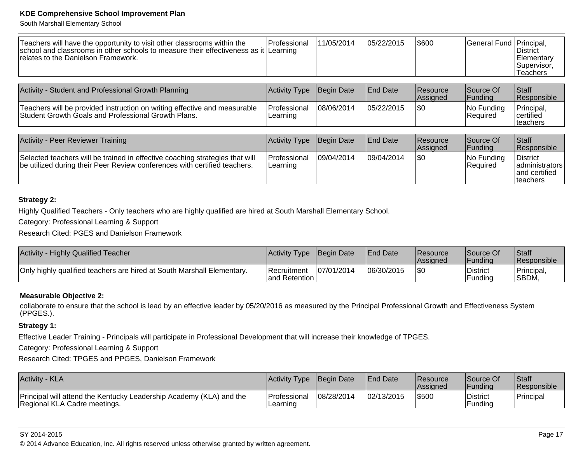South Marshall Elementary School

| Teachers will have the opportunity to visit other classrooms within the<br>school and classrooms in other schools to measure their effectiveness as it Learning<br>Irelates to the Danielson Framework. | Professional                    | 11/05/2014  | 105/22/2015     | \$600                | General Fund   Principal,     | ∣District<br><b>Elementary</b><br> Supervisor,<br>Teachers |
|---------------------------------------------------------------------------------------------------------------------------------------------------------------------------------------------------------|---------------------------------|-------------|-----------------|----------------------|-------------------------------|------------------------------------------------------------|
| Activity - Student and Professional Growth Planning                                                                                                                                                     | Activity Type                   | Begin Date  | <b>End Date</b> | Resource<br>Assigned | Source Of<br> Funding         | <b>Staff</b><br>Responsible                                |
| Teachers will be provided instruction on writing effective and measurable<br>Student Growth Goals and Professional Growth Plans.                                                                        | <b>Professional</b><br>Learning | 108/06/2014 | 105/22/2015     | <b>\\$0</b>          | No Funding<br><b>Required</b> | Principal,<br><b>certified</b>                             |

| Activity - Peer Reviewer Training                                                                                                                         | Activity Type Begin Date  |            | <b>End Date</b> | Resource<br>Assigned | Source Of<br>IFundina     | <b>Staff</b><br>Responsible                                          |
|-----------------------------------------------------------------------------------------------------------------------------------------------------------|---------------------------|------------|-----------------|----------------------|---------------------------|----------------------------------------------------------------------|
| Selected teachers will be trained in effective coaching strategies that will<br>be utilized during their Peer Review conferences with certified teachers. | lProfessional<br>Learning | 09/04/2014 | 09/04/2014      | \$0                  | $ No$ Funding<br>Required | <b>District</b><br>  administrators  <br>land certified<br>∣teachers |

#### **Strategy 2:**

Highly Qualified Teachers - Only teachers who are highly qualified are hired at South Marshall Elementary School.

Category: Professional Learning & Support

Research Cited: PGES and Danielson Framework

| <b>Activity - Highly Qualified Teacher</b>                             | Activity Type Begin Date              |            | <b>IEnd Date</b> | <b>Resource</b><br><b>Assigned</b> | lSource Of<br><b>IFundina</b> | Staff<br><b>Responsible</b>       |
|------------------------------------------------------------------------|---------------------------------------|------------|------------------|------------------------------------|-------------------------------|-----------------------------------|
| Only highly qualified teachers are hired at South Marshall Elementary. | <b>IRecruitment</b><br>land Retention | 07/01/2014 | 06/30/2015       | \$0                                | District<br>Fundina           | 'Principal,<br><sup>I</sup> SBDM, |

#### **Measurable Objective 2:**

collaborate to ensure that the school is lead by an effective leader by 05/20/2016 as measured by the Principal Professional Growth and Effectiveness System(PPGES.).

#### **Strategy 1:**

Effective Leader Training - Principals will participate in Professional Development that will increase their knowledge of TPGES.

Category: Professional Learning & Support

Research Cited: TPGES and PPGES, Danielson Framework

| Activity - KLA                                                                                      | Activity Type                    | <b>Beain Date</b> | <b>IEnd Date</b> | <b>Resource</b><br><b>Assigned</b> | Source Of<br><b> Fundina</b> | Staff<br>Responsible |
|-----------------------------------------------------------------------------------------------------|----------------------------------|-------------------|------------------|------------------------------------|------------------------------|----------------------|
| Principal will attend the Kentucky Leadership Academy (KLA) and the<br>Regional KLA Cadre meetings. | <b>IProfessional</b><br>Learning | 08/28/2014        | 02/13/2015       | \$500                              | District<br>Funding          | Principal            |

#### SY 2014-2015

© 2014 Advance Education, Inc. All rights reserved unless otherwise granted by written agreement.

certifiedteachers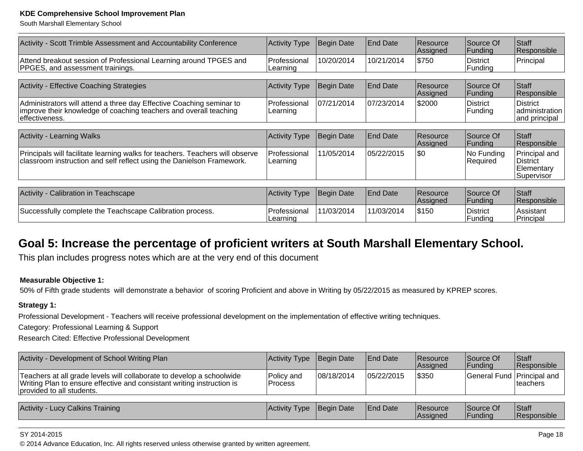South Marshall Elementary School

| Activity - Scott Trimble Assessment and Accountability Conference                                                                                            | <b>Activity Type</b>     | Begin Date        | <b>End Date</b> | Resource<br>Assigned | Source Of<br>Funding        | Staff<br>Responsible                                  |
|--------------------------------------------------------------------------------------------------------------------------------------------------------------|--------------------------|-------------------|-----------------|----------------------|-----------------------------|-------------------------------------------------------|
| Attend breakout session of Professional Learning around TPGES and<br>PPGES, and assessment trainings.                                                        | Professional<br>Learning | 10/20/2014        | 10/21/2014      | \$750                | <b>District</b><br>Funding  | Principal                                             |
|                                                                                                                                                              |                          |                   |                 |                      |                             |                                                       |
| Activity - Effective Coaching Strategies                                                                                                                     | <b>Activity Type</b>     | <b>Begin Date</b> | <b>End Date</b> | Resource<br>Assigned | Source Of<br><b>Funding</b> | Staff<br>Responsible                                  |
| Administrators will attend a three day Effective Coaching seminar to<br>improve their knowledge of coaching teachers and overall teaching<br>leffectiveness. | Professional<br>Learning | 07/21/2014        | 07/23/2014      | \$2000               | <b>District</b><br>Funding  | <b>District</b><br>administration<br>and principal    |
|                                                                                                                                                              |                          |                   |                 |                      |                             |                                                       |
| <b>Activity - Learning Walks</b>                                                                                                                             | <b>Activity Type</b>     | <b>Begin Date</b> | <b>End Date</b> | Resource<br>Assigned | Source Of<br><b>Funding</b> | <b>Staff</b><br>Responsible                           |
| Principals will facilitate learning walks for teachers. Teachers will observe<br>classroom instruction and self reflect using the Danielson Framework.       | Professional<br>Learning | 11/05/2014        | 05/22/2015      | \$0                  | No Funding<br>Required      | Principal and<br>District<br>Elementary<br>Supervisor |
|                                                                                                                                                              |                          |                   |                 |                      |                             |                                                       |
| Activity - Calibration in Teachscape                                                                                                                         | <b>Activity Type</b>     | Begin Date        | <b>End Date</b> | Resource<br>Assigned | Source Of<br> Funding       | Staff<br>Responsible                                  |
| Successfully complete the Teachscape Calibration process.                                                                                                    | Professional<br>Learning | 11/03/2014        | 11/03/2014      | \$150                | <b>District</b><br> Funding | Assistant<br>Principal                                |

## **Goal 5: Increase the percentage of proficient writers at South Marshall Elementary School.**

This plan includes progress notes which are at the very end of this document

#### **Measurable Objective 1:**

50% of Fifth grade students will demonstrate a behavior of scoring Proficient and above in Writing by 05/22/2015 as measured by KPREP scores.

#### **Strategy 1:**

Professional Development - Teachers will receive professional development on the implementation of effective writing techniques.

Category: Professional Learning & Support

Research Cited: Effective Professional Development

| Activity - Development of School Writing Plan                                                                                                                                | Activity Type                | Begin Date  | <b>End Date</b> | <b>Resource</b><br><b>Assigned</b> | Source Of<br> Funding      | <b>Staff</b><br><b>Responsible</b> |
|------------------------------------------------------------------------------------------------------------------------------------------------------------------------------|------------------------------|-------------|-----------------|------------------------------------|----------------------------|------------------------------------|
| Teachers at all grade levels will collaborate to develop a schoolwide<br>Writing Plan to ensure effective and consistant writing instruction is<br>provided to all students. | Policy and<br><b>Process</b> | 108/18/2014 | 05/22/2015      | \$350                              | General Fund Principal and | ⊺teachers                          |
| Activity - Lucy Calkins Training                                                                                                                                             | Activity Type                | Begin Date  | <b>End Date</b> | Resource<br>Assigned               | Source Of<br> Funding      | Staff<br>Responsible               |

#### SY 2014-2015

© 2014 Advance Education, Inc. All rights reserved unless otherwise granted by written agreement.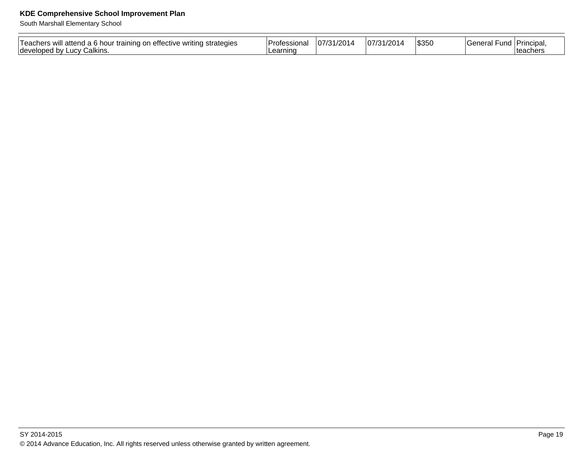South Marshall Elementary School

| <u>Laachars</u><br>strategies<br>WIll<br>aınır<br>atte<br>ective<br>$\sim$<br><b>COL</b><br>. .<br><b>Idevelope</b><br>Calkins.<br>_ucv ′<br>۷۰. | ⊥ Drr<br><br>.JIId!<br>'nc | 100a<br>$-$<br>710<br>. | $\sim$<br>$-$<br>$\overline{u}$ | \$350 | anar:<br>∙unc<br>וה וסוו | Principa.<br>lteachers |
|--------------------------------------------------------------------------------------------------------------------------------------------------|----------------------------|-------------------------|---------------------------------|-------|--------------------------|------------------------|
|                                                                                                                                                  |                            |                         |                                 |       |                          |                        |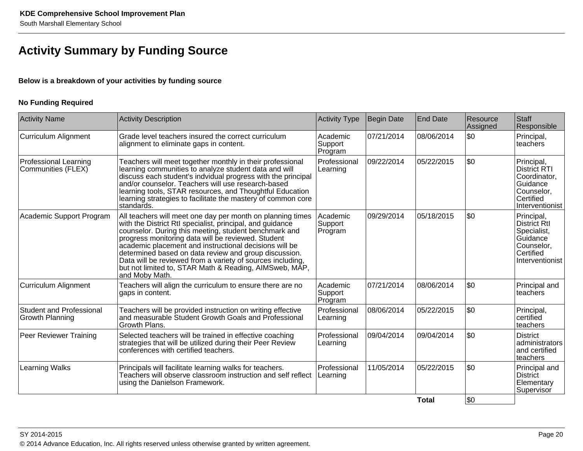## **Activity Summary by Funding Source**

#### **Below is a breakdown of your activities by funding source**

#### **No Funding Required**

| <b>Activity Name</b>                               | <b>Activity Description</b>                                                                                                                                                                                                                                                                                                                                                                                                                                                                         | <b>Activity Type</b>           | Begin Date | <b>End Date</b> | Resource<br>Assigned | Staff<br>Responsible                                                                                   |
|----------------------------------------------------|-----------------------------------------------------------------------------------------------------------------------------------------------------------------------------------------------------------------------------------------------------------------------------------------------------------------------------------------------------------------------------------------------------------------------------------------------------------------------------------------------------|--------------------------------|------------|-----------------|----------------------|--------------------------------------------------------------------------------------------------------|
| Curriculum Alignment                               | Grade level teachers insured the correct curriculum<br>alignment to eliminate gaps in content.                                                                                                                                                                                                                                                                                                                                                                                                      | Academic<br>Support<br>Program | 07/21/2014 | 08/06/2014      | \$0                  | Principal,<br>lteachers                                                                                |
| <b>Professional Learning</b><br>Communities (FLEX) | Teachers will meet together monthly in their professional<br>learning communities to analyze student data and will<br>discuss each student's indvidual progress with the principal<br>and/or counselor. Teachers will use research-based<br>learning tools, STAR resources, and Thoughtful Education<br>learning strategies to facilitate the mastery of common core<br>standards.                                                                                                                  | Professional<br>Learning       | 09/22/2014 | 05/22/2015      | \$0                  | Principal,<br>District RTI<br>Coordinator,<br>l Guidance<br>Counselor,<br>Certified<br>Interventionist |
| Academic Support Program                           | All teachers will meet one day per month on planning times<br>with the District RtI specialist, principal, and guidance<br>counselor. During this meeting, student benchmark and<br>progress monitoring data will be reviewed. Student<br>academic placement and instructional decisions will be<br>determined based on data review and group discussion.<br>Data will be reviewed from a variety of sources including,<br>but not limited to, STAR Math & Reading, AIMSweb, MAP,<br>and Moby Math. | Academic<br>Support<br>Program | 09/29/2014 | 05/18/2015      | \$0                  | Principal,<br>District RtI<br>Specialist,<br>Guidance<br> Counselor,<br>Certified<br>Interventionist   |
| Curriculum Alignment                               | Teachers will align the curriculum to ensure there are no<br>gaps in content.                                                                                                                                                                                                                                                                                                                                                                                                                       | Academic<br>Support<br>Program | 07/21/2014 | 08/06/2014      | \$0                  | Principal and<br>lteachers                                                                             |
| Student and Professional<br><b>Growth Planning</b> | Teachers will be provided instruction on writing effective<br>and measurable Student Growth Goals and Professional<br>Growth Plans.                                                                                                                                                                                                                                                                                                                                                                 |                                | 08/06/2014 | 05/22/2015      | \$0                  | Principal,<br>certified<br>teachers                                                                    |
| Peer Reviewer Training                             | Selected teachers will be trained in effective coaching<br>strategies that will be utilized during their Peer Review<br>conferences with certified teachers.                                                                                                                                                                                                                                                                                                                                        |                                | 09/04/2014 | 09/04/2014      | \$0                  | <b>District</b><br>administrators<br>land certified<br> teachers                                       |
| <b>Learning Walks</b>                              | Principals will facilitate learning walks for teachers.<br>Teachers will observe classroom instruction and self reflect<br>using the Danielson Framework.                                                                                                                                                                                                                                                                                                                                           | Professional<br>Learning       | 11/05/2014 | 05/22/2015      | \$0                  | Principal and<br><b>District</b><br>Elementary<br>Supervisor                                           |
|                                                    |                                                                                                                                                                                                                                                                                                                                                                                                                                                                                                     |                                |            | <b>Total</b>    | $\sqrt{50}$          |                                                                                                        |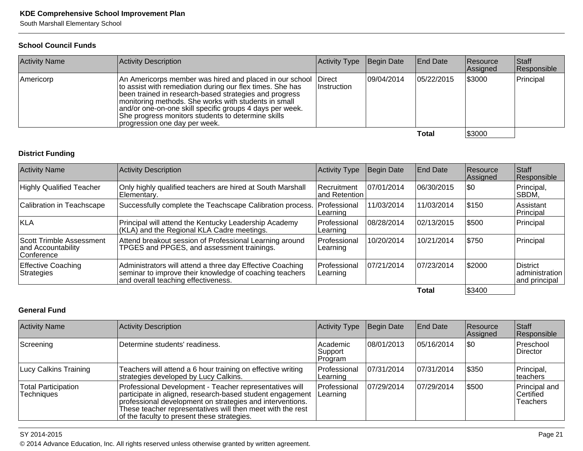South Marshall Elementary School

#### **School Council Funds**

| <b>Activity Name</b> | Activity Description                                                                                                                                                                                                                                                                                                                                                                                                              | Activity Type | Begin Date | <b>End Date</b> | Resource<br>Assigned | Staff<br>Responsible |
|----------------------|-----------------------------------------------------------------------------------------------------------------------------------------------------------------------------------------------------------------------------------------------------------------------------------------------------------------------------------------------------------------------------------------------------------------------------------|---------------|------------|-----------------|----------------------|----------------------|
| Americorp            | An Americorps member was hired and placed in our school<br><b>IDirect</b><br>to assist with remediation during our flex times. She has<br><i>Instruction</i><br>been trained in research-based strategies and progress<br>monitoring methods. She works with students in small<br>and/or one-on-one skill specific groups 4 days per week.<br>She progress monitors students to determine skills<br>progression one day per week. |               | 09/04/2014 | 105/22/2015     | \$3000               | Principal            |
|                      |                                                                                                                                                                                                                                                                                                                                                                                                                                   |               |            | Total           | \$3000               |                      |

#### **District Funding**

| <b>Activity Name</b>                                                                                                                                                                                   | Activity Description                                                                                | <b>Activity Type</b>                 | Begin Date  | End Date   | Resource<br>Assigned | Staff<br>Responsible                        |
|--------------------------------------------------------------------------------------------------------------------------------------------------------------------------------------------------------|-----------------------------------------------------------------------------------------------------|--------------------------------------|-------------|------------|----------------------|---------------------------------------------|
| <b>Highly Qualified Teacher</b>                                                                                                                                                                        | Only highly qualified teachers are hired at South Marshall<br>Elementary.                           | <b>Recruitment</b><br>land Retention | 107/01/2014 | 06/30/2015 | \$0                  | Principal,<br>SBDM.                         |
| Calibration in Teachscape                                                                                                                                                                              | Successfully complete the Teachscape Calibration process.                                           | Professional<br> Learning            | 11/03/2014  | 11/03/2014 | \$150                | Assistant<br>Principal                      |
| KLA                                                                                                                                                                                                    | Principal will attend the Kentucky Leadership Academy<br>(KLA) and the Regional KLA Cadre meetings. | Professional<br> Learning            | 08/28/2014  | 02/13/2015 | 5500                 | Principal                                   |
| Attend breakout session of Professional Learning around<br>Scott Trimble Assessment<br>TPGES and PPGES, and assessment trainings.<br>and Accountability<br><b>Conference</b>                           |                                                                                                     | Professional<br> Learning            | 10/20/2014  | 10/21/2014 | \$750                | Principal                                   |
| <b>Effective Coaching</b><br>Administrators will attend a three day Effective Coaching<br>seminar to improve their knowledge of coaching teachers<br>Strategies<br>and overall teaching effectiveness. |                                                                                                     | Professional<br> Learning            | 07/21/2014  | 07/23/2014 | \$2000               | District<br>administration<br>and principal |
|                                                                                                                                                                                                        |                                                                                                     |                                      |             | Total      | \$3400               |                                             |

#### **General Fund**

| <b>Activity Name</b>                     | Activity Description                                                                                                                                                                                                                                                                           | Activity Type                   | Begin Date  | <b>End Date</b> | <b>Resource</b><br>Assigned | Staff<br>Responsible                           |
|------------------------------------------|------------------------------------------------------------------------------------------------------------------------------------------------------------------------------------------------------------------------------------------------------------------------------------------------|---------------------------------|-------------|-----------------|-----------------------------|------------------------------------------------|
| Screening                                | Determine students' readiness.                                                                                                                                                                                                                                                                 | lAcademic<br>Support<br>Program | 08/01/2013  | 105/16/2014     | \$0                         | Preschool<br><b>Director</b>                   |
| Lucy Calkins Training                    | Teachers will attend a 6 hour training on effective writing<br>strategies developed by Lucy Calkins.                                                                                                                                                                                           | Professional<br> Learning       | 107/31/2014 | 07/31/2014      | \$350                       | Principal,<br>∣teachers                        |
| <b>Total Participation</b><br>Techniaues | Professional Development - Teacher representatives will<br>participate in aligned, research-based student engagement<br>professional development on strategies and interventions.<br>These teacher representatives will then meet with the rest<br>of the faculty to present these strategies. |                                 | 07/29/2014  | 07/29/2014      | \$500                       | Principal and<br> Certified<br><b>Teachers</b> |

#### SY 2014-2015

© 2014 Advance Education, Inc. All rights reserved unless otherwise granted by written agreement.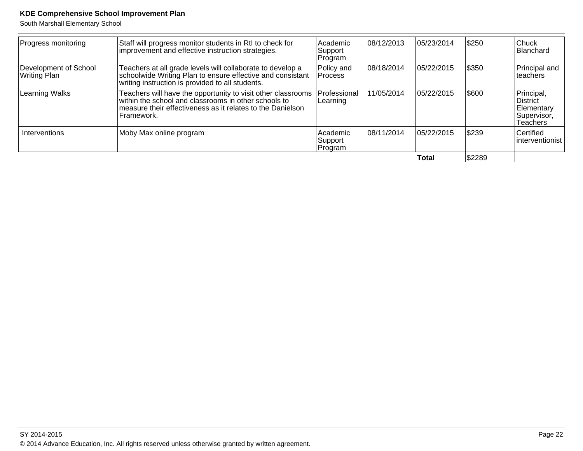South Marshall Elementary School

| Progress monitoring                                                          | Staff will progress monitor students in RtI to check for<br>improvement and effective instruction strategies.                                                                                                                | Academic<br>Support<br>Program | 08/12/2013  | 05/23/2014 | \$250                         | $ $ Chuck<br>Blanchard                                           |
|------------------------------------------------------------------------------|------------------------------------------------------------------------------------------------------------------------------------------------------------------------------------------------------------------------------|--------------------------------|-------------|------------|-------------------------------|------------------------------------------------------------------|
| Development of School<br>Writing Plan                                        | Teachers at all grade levels will collaborate to develop a<br>schoolwide Writing Plan to ensure effective and consistant<br>writing instruction is provided to all students.                                                 | Policy and<br><b>Process</b>   | 108/18/2014 | 05/22/2015 | \$350                         | Principal and<br>lteachers                                       |
| Learning Walks                                                               | Teachers will have the opportunity to visit other classrooms<br>within the school and classrooms in other schools to<br>Professional<br>Learning<br>measure their effectiveness as it relates to the Danielson<br>Framework. |                                | 11/05/2014  | 05/22/2015 | 1\$600                        | Principal,<br>∣District<br>Elementary<br>Supervisor,<br>Teachers |
| Moby Max online program<br>Interventions<br>l Academic<br>Support<br>Program |                                                                                                                                                                                                                              | 108/11/2014                    | 05/22/2015  | \$239      | Certified<br>linterventionist |                                                                  |
|                                                                              |                                                                                                                                                                                                                              |                                |             | Total      | \$2289                        |                                                                  |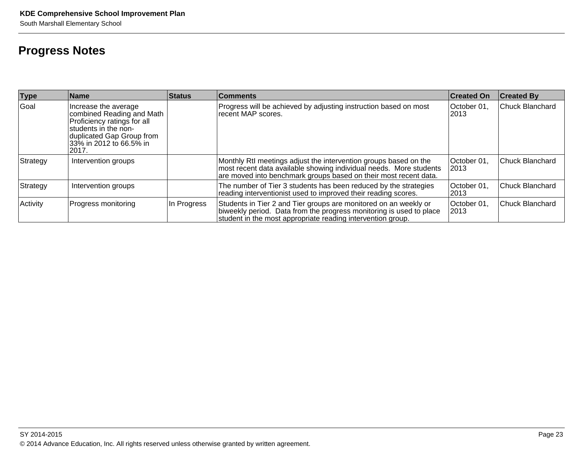## **Progress Notes**

| <b>Type</b> | <b>Name</b>                                                                                                                                                                | <b>Status</b> | <b>Comments</b>                                                                                                                                                                                            | <b>Created On</b>    | <b>Created By</b>      |
|-------------|----------------------------------------------------------------------------------------------------------------------------------------------------------------------------|---------------|------------------------------------------------------------------------------------------------------------------------------------------------------------------------------------------------------------|----------------------|------------------------|
| Goal        | Increase the average<br>combined Reading and Math<br>Proficiency ratings for all<br>students in the non-<br>duplicated Gap Group from<br>33% in 2012 to 66.5% in<br>l2017. |               | Progress will be achieved by adjusting instruction based on most<br>recent MAP scores.                                                                                                                     | October 01,<br>12013 | Chuck Blanchard        |
| Strategy    | Intervention groups                                                                                                                                                        |               | Monthly RtI meetings adjust the intervention groups based on the<br>most recent data available showing individual needs. More students<br>are moved into benchmark groups based on their most recent data. | October 01.<br> 2013 | Chuck Blanchard        |
| Strategy    | Intervention groups                                                                                                                                                        |               | The number of Tier 3 students has been reduced by the strategies<br>reading interventionist used to improved their reading scores.                                                                         | October 01<br>2013   | <b>Chuck Blanchard</b> |
| Activity    | Progress monitoring                                                                                                                                                        | In Progress   | Students in Tier 2 and Tier groups are monitored on an weekly or<br>biweekly period. Data from the progress monitoring is used to place<br>student in the most appropriate reading intervention group.     | October 01.<br>2013  | Chuck Blanchard        |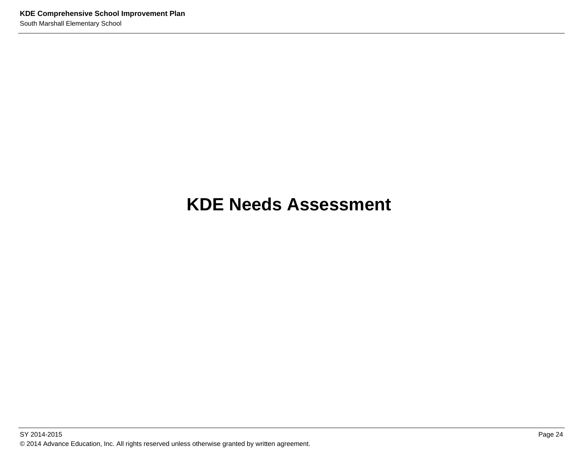# **KDE Needs Assessment**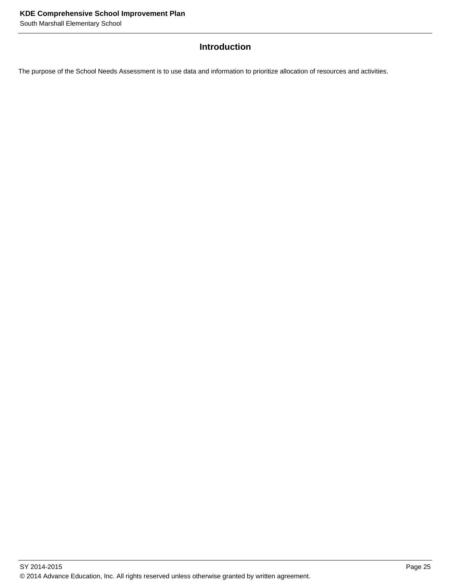#### **Introduction**

The purpose of the School Needs Assessment is to use data and information to prioritize allocation of resources and activities.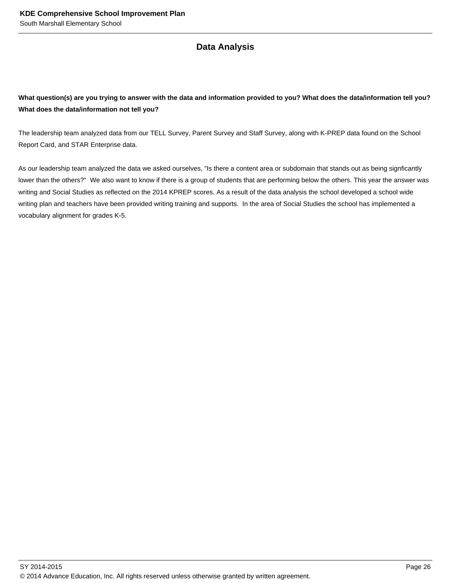#### **Data Analysis**

#### **What question(s) are you trying to answer with the data and information provided to you? What does the data/information tell you? What does the data/information not tell you?**

The leadership team analyzed data from our TELL Survey, Parent Survey and Staff Survey, along with K-PREP data found on the School Report Card, and STAR Enterprise data.

As our leadership team analyzed the data we asked ourselves, "Is there a content area or subdomain that stands out as being signficantly lower than the others?" We also want to know if there is a group of students that are performing below the others. This year the answer was writing and Social Studies as reflected on the 2014 KPREP scores. As a result of the data analysis the school developed a school wide writing plan and teachers have been provided writing training and supports. In the area of Social Studies the school has implemented a vocabulary alignment for grades K-5.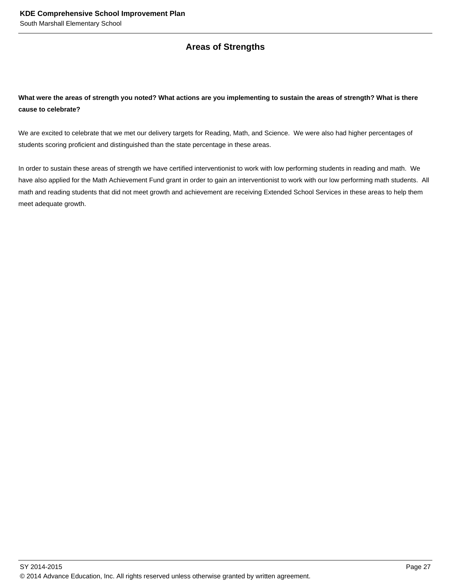#### **Areas of Strengths**

#### **What were the areas of strength you noted? What actions are you implementing to sustain the areas of strength? What is there cause to celebrate?**

We are excited to celebrate that we met our delivery targets for Reading, Math, and Science. We were also had higher percentages of students scoring proficient and distinguished than the state percentage in these areas.

In order to sustain these areas of strength we have certified interventionist to work with low performing students in reading and math. We have also applied for the Math Achievement Fund grant in order to gain an interventionist to work with our low performing math students. All math and reading students that did not meet growth and achievement are receiving Extended School Services in these areas to help them meet adequate growth.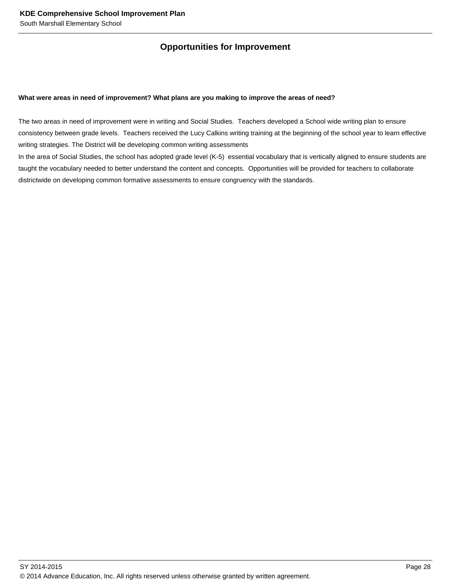#### **Opportunities for Improvement**

#### **What were areas in need of improvement? What plans are you making to improve the areas of need?**

The two areas in need of improvement were in writing and Social Studies. Teachers developed a School wide writing plan to ensure consistency between grade levels. Teachers received the Lucy Calkins writing training at the beginning of the school year to learn effective writing strategies. The District will be developing common writing assessments

In the area of Social Studies, the school has adopted grade level (K-5) essential vocabulary that is vertically aligned to ensure students are taught the vocabulary needed to better understand the content and concepts. Opportunities will be provided for teachers to collaborate districtwide on developing common formative assessments to ensure congruency with the standards.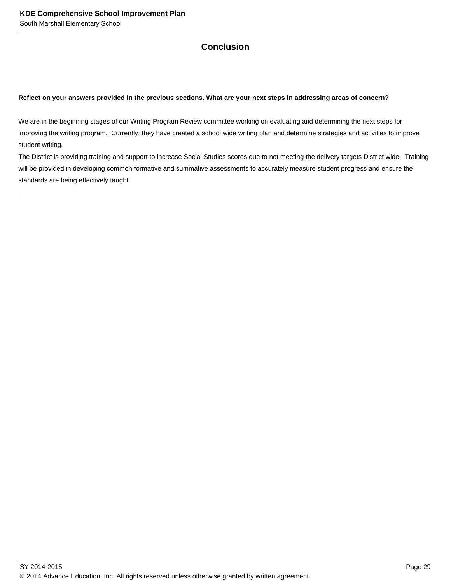.

#### **Conclusion**

#### **Reflect on your answers provided in the previous sections. What are your next steps in addressing areas of concern?**

We are in the beginning stages of our Writing Program Review committee working on evaluating and determining the next steps for improving the writing program. Currently, they have created a school wide writing plan and determine strategies and activities to improve student writing.

The District is providing training and support to increase Social Studies scores due to not meeting the delivery targets District wide. Training will be provided in developing common formative and summative assessments to accurately measure student progress and ensure the standards are being effectively taught.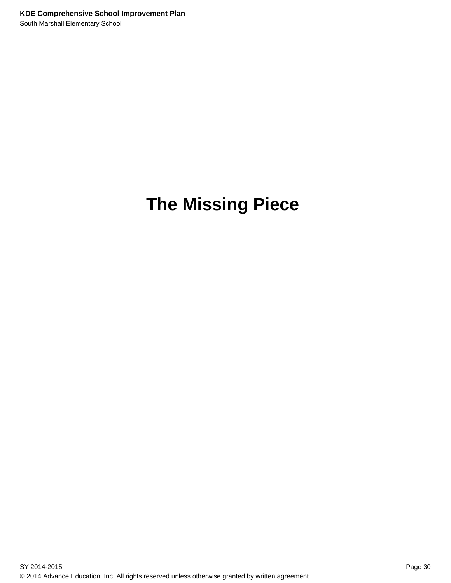# **The Missing Piece**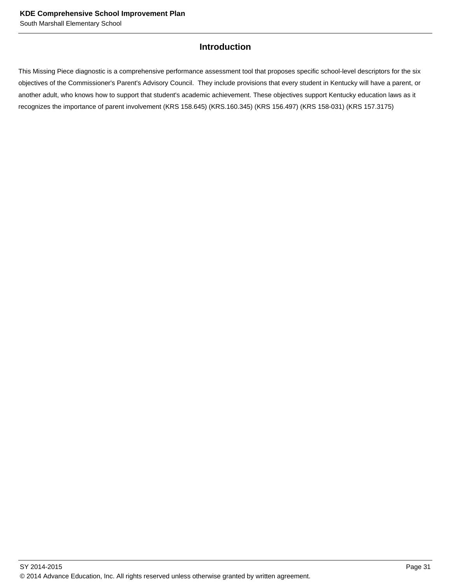#### **Introduction**

This Missing Piece diagnostic is a comprehensive performance assessment tool that proposes specific school-level descriptors for the six objectives of the Commissioner's Parent's Advisory Council. They include provisions that every student in Kentucky will have a parent, or another adult, who knows how to support that student's academic achievement. These objectives support Kentucky education laws as it recognizes the importance of parent involvement (KRS 158.645) (KRS.160.345) (KRS 156.497) (KRS 158-031) (KRS 157.3175)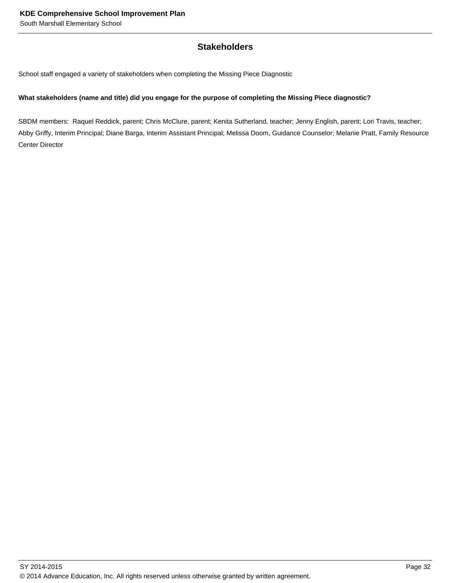#### **Stakeholders**

School staff engaged a variety of stakeholders when completing the Missing Piece Diagnostic

#### **What stakeholders (name and title) did you engage for the purpose of completing the Missing Piece diagnostic?**

SBDM members: Raquel Reddick, parent; Chris McClure, parent; Kenita Sutherland, teacher; Jenny English, parent; Lori Travis, teacher; Abby Griffy, Interim Principal; Diane Barga, Interim Assistant Principal; Melissa Doom, Guidance Counselor; Melanie Pratt, Family Resource Center Director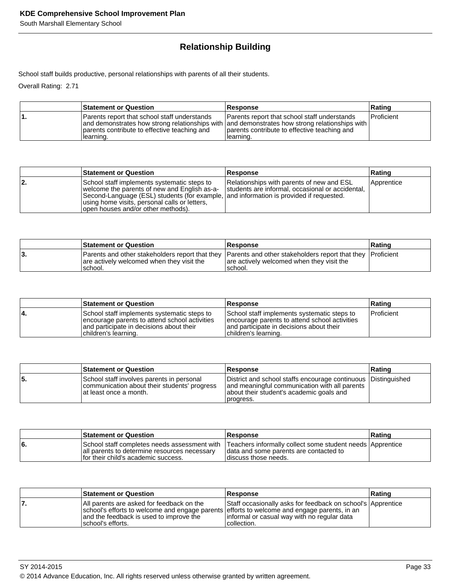# **Relationship Building**

School staff builds productive, personal relationships with parents of all their students.

Overall Rating: 2.71

| <b>Statement or Question</b>                                                                               | <b>Response</b>                                                                                                                                                                                            | Rating            |
|------------------------------------------------------------------------------------------------------------|------------------------------------------------------------------------------------------------------------------------------------------------------------------------------------------------------------|-------------------|
| Parents report that school staff understands<br>parents contribute to effective teaching and<br>Ilearning. | Parents report that school staff understands<br>and demonstrates how strong relationships with and demonstrates how strong relationships with<br>parents contribute to effective teaching and<br>Hearning. | <b>Proficient</b> |

|     | <b>Statement or Question</b>                                                                                                                                                                                                                                                  | <b>Response</b>                                                                               | Rating     |
|-----|-------------------------------------------------------------------------------------------------------------------------------------------------------------------------------------------------------------------------------------------------------------------------------|-----------------------------------------------------------------------------------------------|------------|
| 12. | School staff implements systematic steps to<br>welcome the parents of new and English as-a-<br>Second-Language (ESL) students (for example, and information is provided if requested.<br>using home visits, personal calls or letters,<br>lopen houses and/or other methods). | Relationships with parents of new and ESL<br>students are informal, occasional or accidental, | Apprentice |

|    | <b>Statement or Question</b>                                                                                                                                       | <b>Response</b>                                       | ∣Ratinq |
|----|--------------------------------------------------------------------------------------------------------------------------------------------------------------------|-------------------------------------------------------|---------|
| J. | Parents and other stakeholders report that they Parents and other stakeholders report that they Proficient<br>are actively welcomed when they visit the<br>school. | are actively welcomed when they visit the<br>Ischool. |         |

|    | <b>Statement or Question</b>                                                                                                                                      | <b>Response</b>                                                                                                                                                   | Rating     |
|----|-------------------------------------------------------------------------------------------------------------------------------------------------------------------|-------------------------------------------------------------------------------------------------------------------------------------------------------------------|------------|
| 4. | School staff implements systematic steps to<br>encourage parents to attend school activities<br>and participate in decisions about their<br>(children's learning. | School staff implements systematic steps to<br>encourage parents to attend school activities<br>and participate in decisions about their<br>Ichildren's learning. | Proficient |

|     | <b>Statement or Question</b>                                                                                        | <b>Response</b>                                                                                                                                                         | ∣Ratinɑ |
|-----|---------------------------------------------------------------------------------------------------------------------|-------------------------------------------------------------------------------------------------------------------------------------------------------------------------|---------|
| 55. | School staff involves parents in personal<br>communication about their students' progress<br>at least once a month. | District and school staffs encourage continuous Distinguished<br>and meaningful communication with all parents<br>about their student's academic goals and<br>progress. |         |

|    | <b>Statement or Question</b>                                                          | <b>Response</b>                                                                                                                                                               | <b>Rating</b> |
|----|---------------------------------------------------------------------------------------|-------------------------------------------------------------------------------------------------------------------------------------------------------------------------------|---------------|
| 6. | all parents to determine resources necessary<br>If or their child's academic success. | School staff completes needs assessment with   Teachers informally collect some student needs   Apprentice<br>data and some parents are contacted to<br>Idiscuss those needs. |               |

| <b>Statement or Question</b>                                                                                                                                                                              | <b>Response</b>                                                                                                            | <b>Rating</b> |
|-----------------------------------------------------------------------------------------------------------------------------------------------------------------------------------------------------------|----------------------------------------------------------------------------------------------------------------------------|---------------|
| IAII parents are asked for feedback on the<br>school's efforts to welcome and engage parents efforts to welcome and engage parents, in an<br>and the feedback is used to improve the<br>school's efforts. | Staff occasionally asks for feedback on school's Apprentice<br>linformal or casual way with no regular data<br>collection. |               |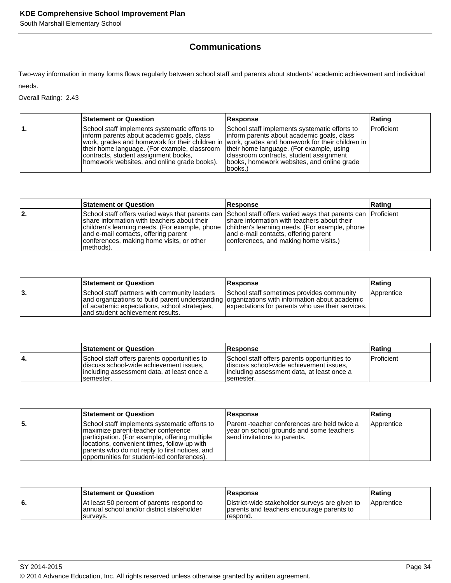# **Communications**

Two-way information in many forms flows regularly between school staff and parents about students' academic achievement and individual needs.

Overall Rating: 2.43

| <b>Statement or Question</b>                                                                                                                                                                                                       | Response                                                                                                                                                                                                                                                                                                                                          | Rating            |
|------------------------------------------------------------------------------------------------------------------------------------------------------------------------------------------------------------------------------------|---------------------------------------------------------------------------------------------------------------------------------------------------------------------------------------------------------------------------------------------------------------------------------------------------------------------------------------------------|-------------------|
| School staff implements systematic efforts to<br>Inform parents about academic goals, class<br>their home language. (For example, classroom<br>contracts, student assignment books,<br>homework websites, and online grade books). | School staff implements systematic efforts to<br>linform parents about academic goals, class<br>work, grades and homework for their children in vork, grades and homework for their children in<br>their home language. (For example, using<br>classroom contracts, student assignment<br>(books, homework websites, and online grade)<br>books.) | <b>Proficient</b> |

|     | <b>Statement or Question</b>                                                                                                                                                                                                                                                                                       | Response                                                                                                                                                                       | Rating |
|-----|--------------------------------------------------------------------------------------------------------------------------------------------------------------------------------------------------------------------------------------------------------------------------------------------------------------------|--------------------------------------------------------------------------------------------------------------------------------------------------------------------------------|--------|
| 12. | School staff offers varied ways that parents can School staff offers varied ways that parents can  Proficient<br>Ishare information with teachers about their<br>children's learning needs. (For example, phone<br>and e-mail contacts, offering parent<br>conferences, making home visits, or other<br> methods). | share information with teachers about their<br>children's learning needs. (For example, phone<br>and e-mail contacts, offering parent<br>conferences, and making home visits.) |        |

|     | <b>Statement or Question</b>                                                                                                                                                                                                       | <b>Response</b>                                                                               | Rating     |
|-----|------------------------------------------------------------------------------------------------------------------------------------------------------------------------------------------------------------------------------------|-----------------------------------------------------------------------------------------------|------------|
| ιЗ. | School staff partners with community leaders<br>and organizations to build parent understanding organizations with information about academic<br>of academic expectations, school strategies,<br>land student achievement results. | School staff sometimes provides community<br>expectations for parents who use their services. | Apprentice |

|    | <b>Statement or Question</b>                                                                                                                         | <b>Response</b>                                                                                                                                      | ∣Ratinɑ           |
|----|------------------------------------------------------------------------------------------------------------------------------------------------------|------------------------------------------------------------------------------------------------------------------------------------------------------|-------------------|
| 4. | School staff offers parents opportunities to<br>discuss school-wide achievement issues,<br>lincluding assessment data, at least once a<br>Isemester. | School staff offers parents opportunities to<br>discuss school-wide achievement issues.<br>lincluding assessment data, at least once a<br>Isemester. | <b>Proficient</b> |

|    | <b>Statement or Question</b>                                                                                                                                                                                                                                                          | <b>Response</b>                                                                                                          | Rating     |
|----|---------------------------------------------------------------------------------------------------------------------------------------------------------------------------------------------------------------------------------------------------------------------------------------|--------------------------------------------------------------------------------------------------------------------------|------------|
| 5. | School staff implements systematic efforts to<br>maximize parent-teacher conference<br>participation. (For example, offering multiple<br>locations, convenient times, follow-up with<br>parents who do not reply to first notices, and<br>opportunities for student-led conferences). | Parent -teacher conferences are held twice a<br>year on school grounds and some teachers<br>send invitations to parents. | Apprentice |

|    | <b>Statement or Question</b>                                                                       | <b>Response</b>                                                                                         | Rating       |
|----|----------------------------------------------------------------------------------------------------|---------------------------------------------------------------------------------------------------------|--------------|
| 6. | At least 50 percent of parents respond to<br>annual school and/or district stakeholder<br>survevs. | District-wide stakeholder surveys are given to<br>parents and teachers encourage parents to<br>respond. | l Apprentice |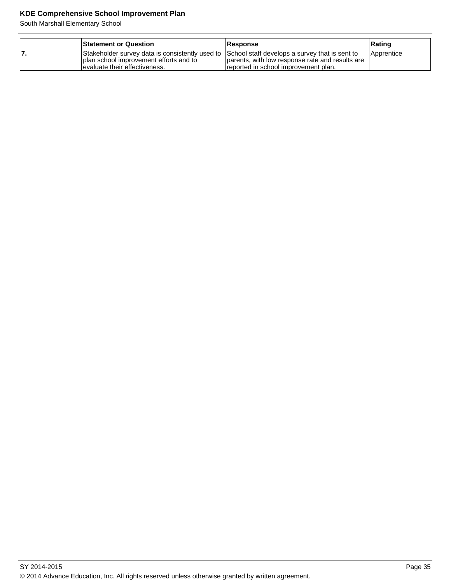| <b>Statement or Question</b>                                                                                                                                                 | <b>Response</b>                                                                         | Rating     |
|------------------------------------------------------------------------------------------------------------------------------------------------------------------------------|-----------------------------------------------------------------------------------------|------------|
| Stakeholder survey data is consistently used to School staff develops a survey that is sent to<br>I plan school improvement efforts and to<br>levaluate their effectiveness. | parents, with low response rate and results are<br>reported in school improvement plan. | Apprentice |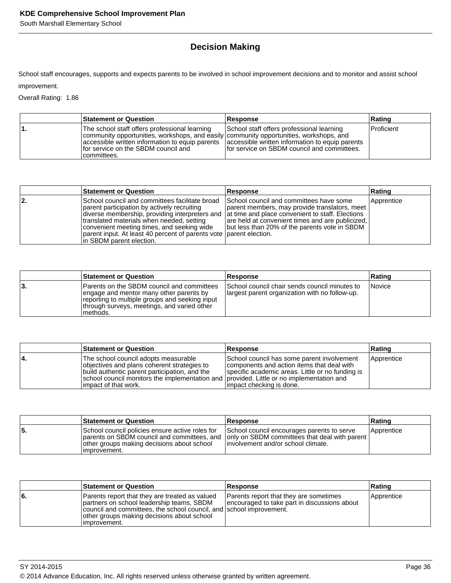# **Decision Making**

School staff encourages, supports and expects parents to be involved in school improvement decisions and to monitor and assist school improvement.

Overall Rating: 1.86

| <b>Statement or Question</b>                                                                                                                                                                                                                                                                     | <b>Response</b>                                                                            | ∣Ratinɑ           |
|--------------------------------------------------------------------------------------------------------------------------------------------------------------------------------------------------------------------------------------------------------------------------------------------------|--------------------------------------------------------------------------------------------|-------------------|
| The school staff offers professional learning<br>community opportunities, workshops, and easily community opportunities, workshops, and<br>accessible written information to equip parents accessible written information to equip parents<br>for service on the SBDM council and<br>committees. | School staff offers professional learning<br>If or service on SBDM council and committees. | <b>Proficient</b> |

|     | <b>Statement or Question</b>                                                                                                                                                                                                                                                                                                                                                                  | Response                                                                                                                                                                                      | Rating     |
|-----|-----------------------------------------------------------------------------------------------------------------------------------------------------------------------------------------------------------------------------------------------------------------------------------------------------------------------------------------------------------------------------------------------|-----------------------------------------------------------------------------------------------------------------------------------------------------------------------------------------------|------------|
| 12. | School council and committees facilitate broad<br>parent participation by actively recruiting<br>diverse membership, providing interpreters and at time and place convenient to staff. Elections<br>translated materials when needed, setting<br>convenient meeting times, and seeking wide<br>parent input. At least 40 percent of parents vote parent election.<br>In SBDM parent election. | School council and committees have some<br>parent members, may provide translators, meet<br>are held at convenient times and are publicized,<br>but less than 20% of the parents vote in SBDM | Apprentice |

|    | <b>Statement or Question</b>                                                                                                                                                                       | <b>Response</b>                                                                                 | Rating |
|----|----------------------------------------------------------------------------------------------------------------------------------------------------------------------------------------------------|-------------------------------------------------------------------------------------------------|--------|
| 3. | Parents on the SBDM council and committees<br>engage and mentor many other parents by<br>reporting to multiple groups and seeking input<br>through surveys, meetings, and varied other<br>methods. | School council chair sends council minutes to<br>largest parent organization with no follow-up. | Novice |

|    | <b>Statement or Question</b>                                                                                                                                                                                                                              | <b>Response</b>                                                                                                                                                          | Rating     |
|----|-----------------------------------------------------------------------------------------------------------------------------------------------------------------------------------------------------------------------------------------------------------|--------------------------------------------------------------------------------------------------------------------------------------------------------------------------|------------|
| 4. | The school council adopts measurable<br>objectives and plans coherent strategies to<br>build authentic parent participation, and the<br>school council monitors the implementation and provided. Little or no implementation and<br>limpact of that work. | School council has some parent involvement<br>components and action items that deal with<br>specific academic areas. Little or no funding is<br>impact checking is done. | Apprentice |

|    | <b>Statement or Question</b>                                                                                   | <b>Response</b>                                                                                                                                                                | Rating     |
|----|----------------------------------------------------------------------------------------------------------------|--------------------------------------------------------------------------------------------------------------------------------------------------------------------------------|------------|
| 5. | School council policies ensure active roles for<br>other groups making decisions about school<br>limprovement. | School council encourages parents to serve<br>parents on SBDM council and committees, and only on SBDM committees that deal with parent<br>linvolvement and/or school climate. | Apprentice |

|     | <b>Statement or Question</b>                                                                                                                                                                                                      | <b>Response</b>                                                                        | Rating     |
|-----|-----------------------------------------------------------------------------------------------------------------------------------------------------------------------------------------------------------------------------------|----------------------------------------------------------------------------------------|------------|
| l6. | Parents report that they are treated as valued<br>partners on school leadership teams, SBDM<br>council and committees, the school council, and school improvement.<br>other groups making decisions about school<br>limprovement. | Parents report that they are sometimes<br>encouraged to take part in discussions about | Apprentice |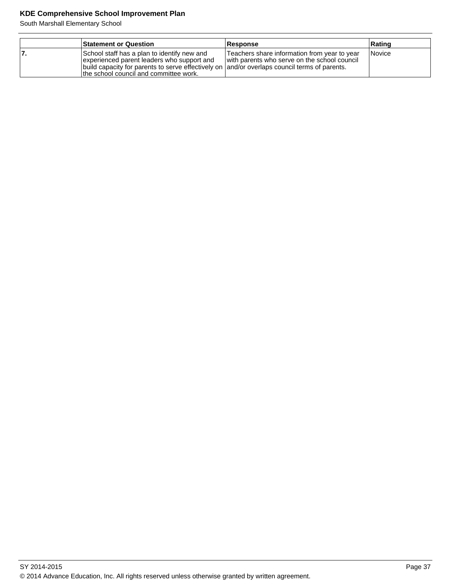|    | <b>Statement or Question</b>                                                                                                                                                                                                        | <b>Response</b>                                                                              | Rating |
|----|-------------------------------------------------------------------------------------------------------------------------------------------------------------------------------------------------------------------------------------|----------------------------------------------------------------------------------------------|--------|
| 7. | School staff has a plan to identify new and<br>experienced parent leaders who support and<br>build capacity for parents to serve effectively on and/or overlaps council terms of parents.<br>the school council and committee work. | Teachers share information from year to year<br>with parents who serve on the school council | Novice |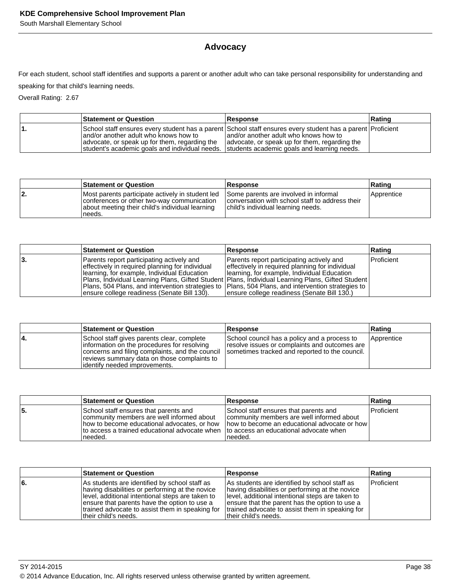# **Advocacy**

For each student, school staff identifies and supports a parent or another adult who can take personal responsibility for understanding and

speaking for that child's learning needs.

Overall Rating: 2.67

|    | <b>Statement or Question</b>                                                                                                                                                          | <b>Response</b>                                                                                                                                                                                      | Rating |
|----|---------------------------------------------------------------------------------------------------------------------------------------------------------------------------------------|------------------------------------------------------------------------------------------------------------------------------------------------------------------------------------------------------|--------|
| п. | land/or another adult who knows how to<br>advocate, or speak up for them, regarding the<br>student's academic goals and individual needs. Students academic goals and learning needs. | School staff ensures every student has a parent School staff ensures every student has a parent Proficient<br>and/or another adult who knows how to<br>advocate, or speak up for them, regarding the |        |

|    | <b>Statement or Question</b>                                                                                                                                | <b>Response</b>                                                                                                                | Rating     |
|----|-------------------------------------------------------------------------------------------------------------------------------------------------------------|--------------------------------------------------------------------------------------------------------------------------------|------------|
| 2. | Most parents participate actively in student led<br>conferences or other two-way communication<br>about meeting their child's individual learning<br>needs. | Some parents are involved in informal<br>conversation with school staff to address their<br>child's individual learning needs. | Apprentice |

|    | <b>Statement or Question</b>                                                                                                                                                                                                                                                                        | <b>Response</b>                                                                                                                                                                                                                                                                                    | Rating     |
|----|-----------------------------------------------------------------------------------------------------------------------------------------------------------------------------------------------------------------------------------------------------------------------------------------------------|----------------------------------------------------------------------------------------------------------------------------------------------------------------------------------------------------------------------------------------------------------------------------------------------------|------------|
| 3. | Parents report participating actively and<br>effectively in required planning for individual<br>Ilearning, for example, Individual Education<br>Plans, 504 Plans, and intervention strategies to  Plans, 504 Plans, and intervention strategies to  <br>ensure college readiness (Senate Bill 130). | Parents report participating actively and<br>effectively in required planning for individual<br>Hearning, for example, Individual Education<br>Plans, Individual Learning Plans, Gifted Student   Plans, Individual Learning Plans, Gifted Student<br>Jensure college readiness (Senate Bill 130.) | Proficient |

|    | <b>Statement or Question</b>                                                                                                                                                                                                                                                 | <b>Response</b>                                                                               | Rating     |
|----|------------------------------------------------------------------------------------------------------------------------------------------------------------------------------------------------------------------------------------------------------------------------------|-----------------------------------------------------------------------------------------------|------------|
| 4. | School staff gives parents clear, complete<br>information on the procedures for resolving<br>concerns and filing complaints, and the council sometimes tracked and reported to the council.<br>reviews summary data on those complaints to<br>lidentify needed improvements. | School council has a policy and a process to<br>resolve issues or complaints and outcomes are | Apprentice |

|    | <b>Statement or Question</b>                                                                                                                                                                    | <b>Response</b>                                                                                                                                                                            | Rating            |
|----|-------------------------------------------------------------------------------------------------------------------------------------------------------------------------------------------------|--------------------------------------------------------------------------------------------------------------------------------------------------------------------------------------------|-------------------|
| 5. | School staff ensures that parents and<br>community members are well informed about<br>how to become educational advocates, or how<br>Ito access a trained educational advocate when<br>Ineeded. | School staff ensures that parents and<br>community members are well informed about<br>Thow to become an educational advocate or how<br>Ito access an educational advocate when<br>Ineeded. | <b>Proficient</b> |

|    | <b>Statement or Question</b>                                                                                                                                                                                                                                                      | <b>Response</b>                                                                                                                                                                                                                                                                     | Rating            |
|----|-----------------------------------------------------------------------------------------------------------------------------------------------------------------------------------------------------------------------------------------------------------------------------------|-------------------------------------------------------------------------------------------------------------------------------------------------------------------------------------------------------------------------------------------------------------------------------------|-------------------|
| 6. | As students are identified by school staff as<br>having disabilities or performing at the novice<br>llevel, additional intentional steps are taken to<br>ensure that parents have the option to use a<br>trained advocate to assist them in speaking for<br>Itheir child's needs. | As students are identified by school staff as<br>having disabilities or performing at the novice<br>level, additional intentional steps are taken to<br>ensure that the parent has the option to use a<br>Itrained advocate to assist them in speaking for<br>Itheir child's needs. | <b>Proficient</b> |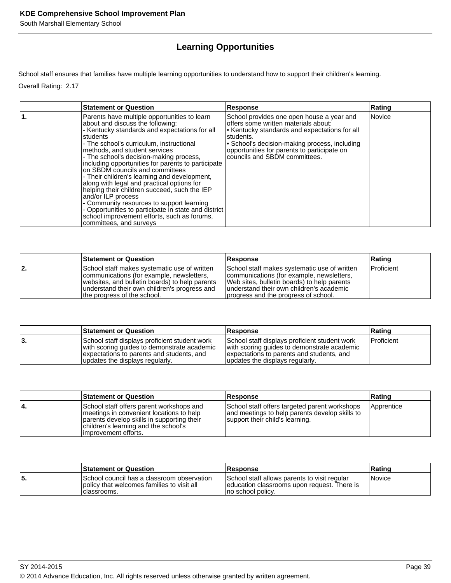# **Learning Opportunities**

School staff ensures that families have multiple learning opportunities to understand how to support their children's learning.

Overall Rating: 2.17

| <b>Statement or Question</b>                                                                                                                                                                                                                                                                                                                                                                                                                                                                                                                                                                                                                                                                                      | <b>Response</b>                                                                                                                                                                                                                                                                  | Rating |
|-------------------------------------------------------------------------------------------------------------------------------------------------------------------------------------------------------------------------------------------------------------------------------------------------------------------------------------------------------------------------------------------------------------------------------------------------------------------------------------------------------------------------------------------------------------------------------------------------------------------------------------------------------------------------------------------------------------------|----------------------------------------------------------------------------------------------------------------------------------------------------------------------------------------------------------------------------------------------------------------------------------|--------|
| Parents have multiple opportunities to learn<br>about and discuss the following:<br>- Kentucky standards and expectations for all<br>students<br>- The school's curriculum, instructional<br>methods, and student services<br>- The school's decision-making process,<br>including opportunities for parents to participate<br>on SBDM councils and committees<br>- Their children's learning and development,<br>along with legal and practical options for<br>helping their children succeed, such the IEP<br>and/or ILP process<br>- Community resources to support learning<br>- Opportunities to participate in state and district<br>school improvement efforts, such as forums,<br>committees, and surveys | School provides one open house a year and<br>offers some written materials about:<br>• Kentucky standards and expectations for all<br>students.<br>• School's decision-making process, including<br>opportunities for parents to participate on<br>councils and SBDM committees. | Novice |

|    | <b>Statement or Question</b>                                                                                                                                                                                               | <b>Response</b>                                                                                                                                                                                                               | Rating            |
|----|----------------------------------------------------------------------------------------------------------------------------------------------------------------------------------------------------------------------------|-------------------------------------------------------------------------------------------------------------------------------------------------------------------------------------------------------------------------------|-------------------|
| 2. | School staff makes systematic use of written<br>communications (for example, newsletters,<br>websites, and bulletin boards) to help parents<br>understand their own children's progress and<br>the progress of the school. | School staff makes systematic use of written<br>communications (for example, newsletters,<br>Web sites, bulletin boards) to help parents<br>lunderstand their own children's academic<br>progress and the progress of school. | <b>Proficient</b> |

|    | <b>Statement or Question</b>                                                                                                                                                 | <b>Response</b>                                                                                                                                                              | ∣Ratinɑ      |
|----|------------------------------------------------------------------------------------------------------------------------------------------------------------------------------|------------------------------------------------------------------------------------------------------------------------------------------------------------------------------|--------------|
| З. | School staff displays proficient student work<br>with scoring guides to demonstrate academic<br>expectations to parents and students, and<br>updates the displays regularly. | School staff displays proficient student work<br>with scoring guides to demonstrate academic<br>expectations to parents and students, and<br>updates the displays regularly. | I Proficient |

|     | <b>Statement or Question</b>                                                                                                                                                                        | <b>Response</b>                                                                                                                    | Rating     |
|-----|-----------------------------------------------------------------------------------------------------------------------------------------------------------------------------------------------------|------------------------------------------------------------------------------------------------------------------------------------|------------|
| 14. | School staff offers parent workshops and<br>Imeetings in convenient locations to help<br>parents develop skills in supporting their<br>children's learning and the school's<br>improvement efforts. | School staff offers targeted parent workshops<br>and meetings to help parents develop skills to<br>support their child's learning. | Apprentice |

|     | <b>Statement or Question</b>                                                                                | <b>Response</b>                                                                                                    | ∣Ratinɑ |
|-----|-------------------------------------------------------------------------------------------------------------|--------------------------------------------------------------------------------------------------------------------|---------|
| 55. | ISchool council has a classroom observation<br>I policy that welcomes families to visit all<br>Iclassrooms. | School staff allows parents to visit regular<br>Jeducation classrooms upon request. There is<br>Ino school policy. | Novice  |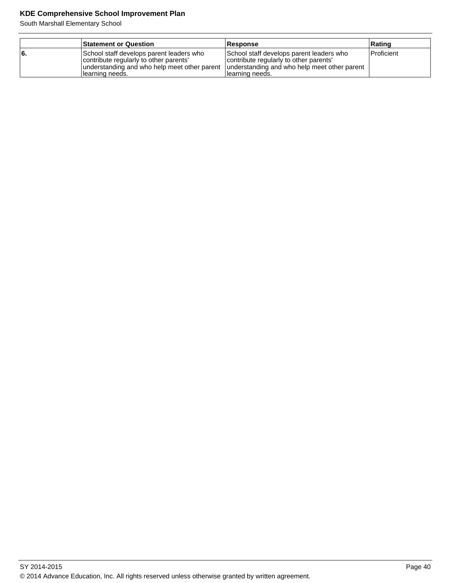|     | <b>Statement or Question</b>                                                                                                                           | <b>Response</b>                                                                                                                                        | Rating            |
|-----|--------------------------------------------------------------------------------------------------------------------------------------------------------|--------------------------------------------------------------------------------------------------------------------------------------------------------|-------------------|
| 16. | School staff develops parent leaders who<br>contribute regularly to other parents'<br>understanding and who help meet other parent<br>Ilearning needs. | School staff develops parent leaders who<br>contribute regularly to other parents'<br>understanding and who help meet other parent<br>Ilearning needs. | <b>Proficient</b> |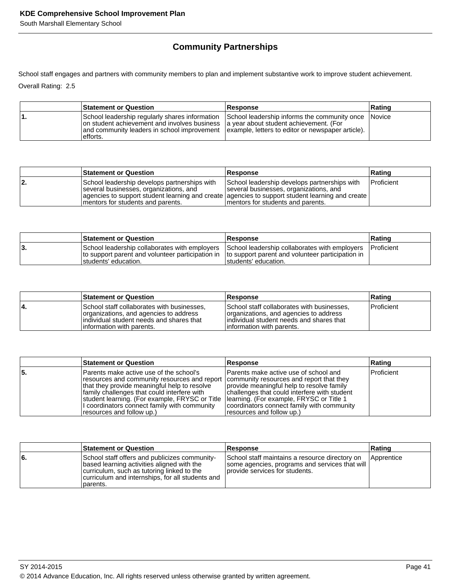# **Community Partnerships**

School staff engages and partners with community members to plan and implement substantive work to improve student achievement.

Overall Rating: 2.5

| <b>Statement or Question</b>                                                                                                                                                                                                                                                                             | <b>Response</b> | ∣Ratinq |
|----------------------------------------------------------------------------------------------------------------------------------------------------------------------------------------------------------------------------------------------------------------------------------------------------------|-----------------|---------|
| School leadership regularly shares information School leadership informs the community once Novice<br>on student achievement and involves business a year about student achievement. (For<br>and community leaders in school improvement   example, letters to editor or newspaper article).<br>efforts. |                 |         |

|    | <b>Statement or Question</b>                                                                                                 | <b>Response</b>                                                                                                                                                                                                                 | ∣Ratinɑ            |
|----|------------------------------------------------------------------------------------------------------------------------------|---------------------------------------------------------------------------------------------------------------------------------------------------------------------------------------------------------------------------------|--------------------|
| 2. | School leadership develops partnerships with<br>several businesses, organizations, and<br>Imentors for students and parents. | School leadership develops partnerships with<br>several businesses, organizations, and<br>agencies to support student learning and create agencies to support student learning and create<br>Imentors for students and parents. | <b>IProficient</b> |

|    | <b>Statement or Question</b>                                                                                                | <b>Response</b>                                                                                                                 | ∣Ratinɑ |
|----|-----------------------------------------------------------------------------------------------------------------------------|---------------------------------------------------------------------------------------------------------------------------------|---------|
| ა. | to support parent and volunteer participation in Ito support parent and volunteer participation in<br>Istudents' education. | School leadership collaborates with employers School leadership collaborates with employers Proficient<br>Istudents' education. |         |

|     | <b>Statement or Question</b>                                                                                                                                   | <b>Response</b>                                                                                                                                                 | Rating            |
|-----|----------------------------------------------------------------------------------------------------------------------------------------------------------------|-----------------------------------------------------------------------------------------------------------------------------------------------------------------|-------------------|
| ١4. | School staff collaborates with businesses,<br>organizations, and agencies to address<br>individual student needs and shares that<br>linformation with parents. | School staff collaborates with businesses,<br>organizations, and agencies to address<br>lindividual student needs and shares that<br>linformation with parents. | <b>Proficient</b> |

|     | <b>Statement or Question</b>                                                                                                                                                                                                                                                                                                                                     | <b>Response</b>                                                                                                                                                                                                                                            | Rating            |
|-----|------------------------------------------------------------------------------------------------------------------------------------------------------------------------------------------------------------------------------------------------------------------------------------------------------------------------------------------------------------------|------------------------------------------------------------------------------------------------------------------------------------------------------------------------------------------------------------------------------------------------------------|-------------------|
| 15. | lParents make active use of the school's<br>resources and community resources and report  community resources and report that they<br>that they provide meaningful help to resolve<br>family challenges that could interfere with<br>student learning. (For example, FRYSC or Title<br>I coordinators connect family with community<br>resources and follow up.) | Parents make active use of school and<br>provide meaningful help to resolve family<br>challenges that could interfere with student<br> learning. (For example, FRYSC or Title 1<br>coordinators connect family with community<br>resources and follow up.) | <b>Proficient</b> |

|     | <b>Statement or Question</b>                                                                                                                                                                              | <b>Response</b>                                                                                                                                   | Rating |
|-----|-----------------------------------------------------------------------------------------------------------------------------------------------------------------------------------------------------------|---------------------------------------------------------------------------------------------------------------------------------------------------|--------|
| l6. | School staff offers and publicizes community-<br>based learning activities aligned with the<br>curriculum, such as tutoring linked to the<br>curriculum and internships, for all students and<br>parents. | School staff maintains a resource directory on   Apprentice<br>  some agencies, programs and services that will<br>provide services for students. |        |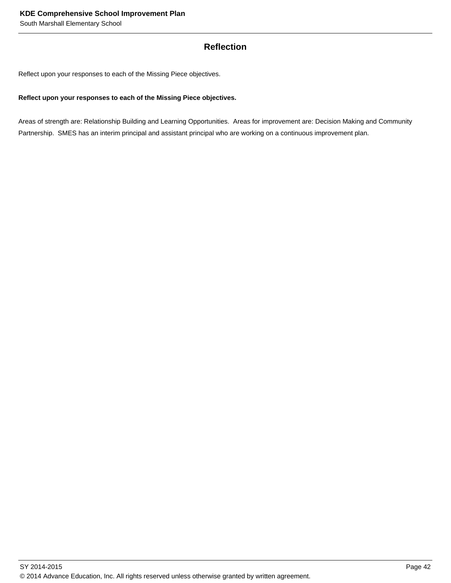## **Reflection**

Reflect upon your responses to each of the Missing Piece objectives.

## **Reflect upon your responses to each of the Missing Piece objectives.**

Areas of strength are: Relationship Building and Learning Opportunities. Areas for improvement are: Decision Making and Community Partnership. SMES has an interim principal and assistant principal who are working on a continuous improvement plan.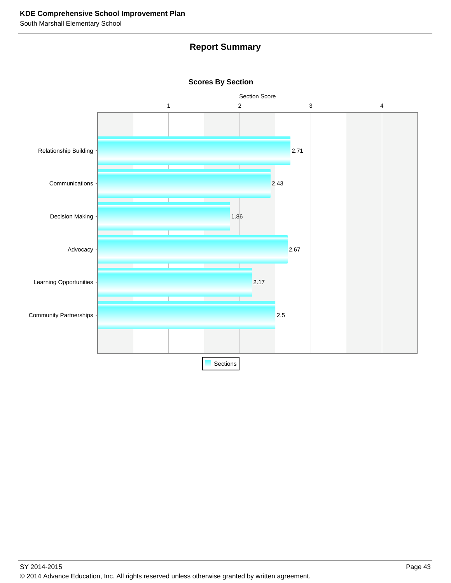# **Report Summary**



**Scores By Section**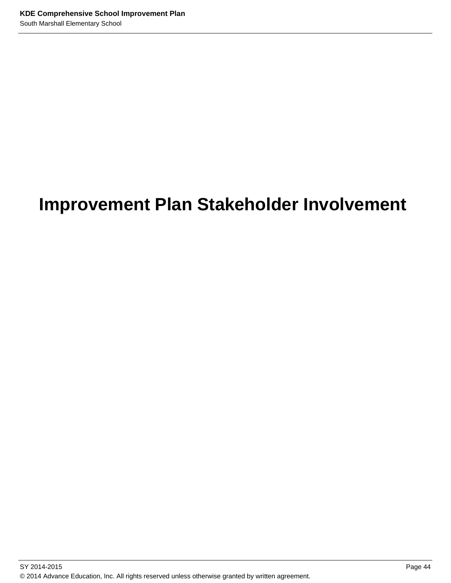# **Improvement Plan Stakeholder Involvement**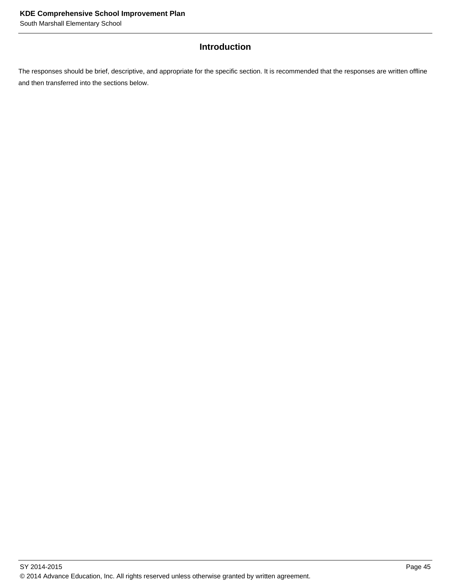# **Introduction**

The responses should be brief, descriptive, and appropriate for the specific section. It is recommended that the responses are written offline and then transferred into the sections below.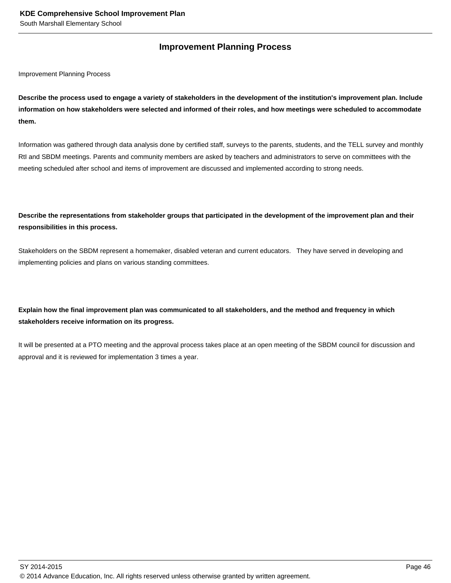## **Improvement Planning Process**

Improvement Planning Process

**Describe the process used to engage a variety of stakeholders in the development of the institution's improvement plan. Include information on how stakeholders were selected and informed of their roles, and how meetings were scheduled to accommodate them.** 

Information was gathered through data analysis done by certified staff, surveys to the parents, students, and the TELL survey and monthly RtI and SBDM meetings. Parents and community members are asked by teachers and administrators to serve on committees with the meeting scheduled after school and items of improvement are discussed and implemented according to strong needs.

## **Describe the representations from stakeholder groups that participated in the development of the improvement plan and their responsibilities in this process.**

Stakeholders on the SBDM represent a homemaker, disabled veteran and current educators. They have served in developing and implementing policies and plans on various standing committees.

## **Explain how the final improvement plan was communicated to all stakeholders, and the method and frequency in which stakeholders receive information on its progress.**

It will be presented at a PTO meeting and the approval process takes place at an open meeting of the SBDM council for discussion and approval and it is reviewed for implementation 3 times a year.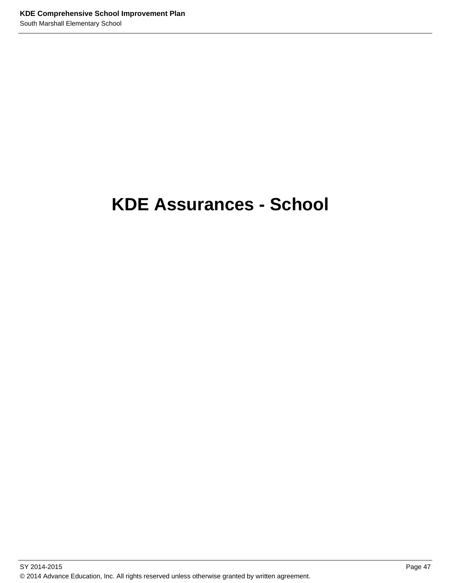# **KDE Assurances - School**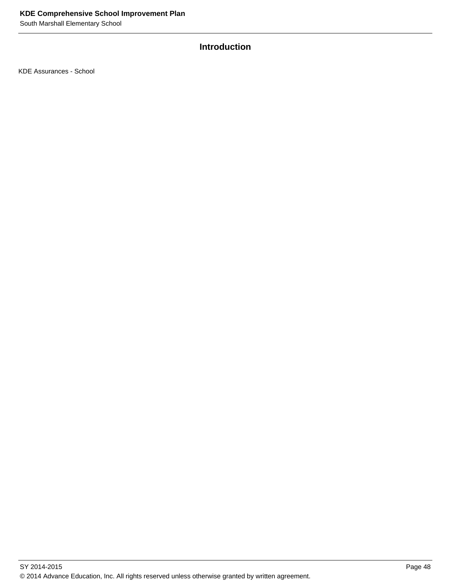# **Introduction**

KDE Assurances - School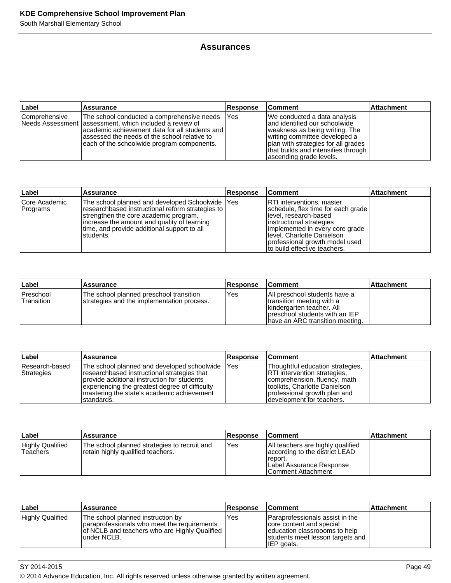## **Assurances**

| <b>Label</b>    | <b>Assurance</b>                                                                                                                                                                                                                                           | <b>Response</b> | <b>Comment</b>                                                                                                                                                                                                                             | <b>Attachment</b> |
|-----------------|------------------------------------------------------------------------------------------------------------------------------------------------------------------------------------------------------------------------------------------------------------|-----------------|--------------------------------------------------------------------------------------------------------------------------------------------------------------------------------------------------------------------------------------------|-------------------|
| l Comprehensive | The school conducted a comprehensive needs<br>Needs Assessment   assessment, which included a review of<br>lacademic achievement data for all students and l<br>assessed the needs of the school relative to<br>each of the schoolwide program components. | <b>Yes</b>      | We conducted a data analysis<br>land identified our schoolwide<br>weakness as being writing. The<br>writing committee developed a<br>plan with strategies for all grades<br>that builds and intensifies through<br>ascending grade levels. |                   |

| Label                       | Assurance                                                                                                                                                                                                                                                 | Response | <b>Comment</b>                                                                                                                                                                                                                                                   | <b>Attachment</b> |
|-----------------------------|-----------------------------------------------------------------------------------------------------------------------------------------------------------------------------------------------------------------------------------------------------------|----------|------------------------------------------------------------------------------------------------------------------------------------------------------------------------------------------------------------------------------------------------------------------|-------------------|
| Core Academic <br> Programs | The school planned and developed Schoolwide   Yes<br>researchbased instructional reform strategies to<br>strengthen the core academic program,<br>increase the amount and quality of learning<br>time, and provide additional support to all<br>students. |          | <b>RTI</b> interventions, master<br>schedule, flex time for each grade<br>llevel, research-based<br>instructional strategies<br>implemented in every core grade<br>Ilevel. Charlotte Danielson<br>professional growth model used<br>to build effective teachers. |                   |

| Label                          | Assurance                                                                             | <b>Response</b> | <b>Comment</b>                                                                                                                                                 | <b>Attachment</b> |
|--------------------------------|---------------------------------------------------------------------------------------|-----------------|----------------------------------------------------------------------------------------------------------------------------------------------------------------|-------------------|
| <b>Preschool</b><br>Transition | The school planned preschool transition<br>strategies and the implementation process. | Yes             | IAII preschool students have a<br>transition meeting with a<br>kindergarten teacher. All<br>Ipreschool students with an IEP<br>have an ARC transition meeting. |                   |

| ∣Label                       | <b>Assurance</b>                                                                                                                                                                                                                                          | <b>Response</b> | <b>Comment</b>                                                                                                                                                                                          | <b>Attachment</b> |
|------------------------------|-----------------------------------------------------------------------------------------------------------------------------------------------------------------------------------------------------------------------------------------------------------|-----------------|---------------------------------------------------------------------------------------------------------------------------------------------------------------------------------------------------------|-------------------|
| Research-based<br>Strategies | The school planned and developed schoolwide<br>researchbased instructional strategies that<br>provide additional instruction for students<br>experiencing the greatest degree of difficulty<br>Imastering the state's academic achievement<br>Istandards. | <b>Yes</b>      | Thoughtful education strategies,<br><b>RTI</b> intervention strategies,<br>comprehension, fluency, math<br>Itoolkits, Charlotte Danielson<br>professional growth plan and<br>Idevelopment for teachers. |                   |

| Label                                | Assurance                                                                         | <b>Response</b> | <b>Comment</b>                                                                                                                   | ∣Attachment |
|--------------------------------------|-----------------------------------------------------------------------------------|-----------------|----------------------------------------------------------------------------------------------------------------------------------|-------------|
| <b>Highly Qualified</b><br>'Teachers | The school planned strategies to recruit and<br>retain highly qualified teachers. | Yes             | All teachers are highly qualified<br>according to the district LEAD<br>report.<br>Label Assurance Response<br>Comment Attachment |             |

| ∣Label           | <b>Assurance</b>                                                                                                                                  | <b>Response</b> | <b>Comment</b>                                                                                                                                 | <b>Attachment</b> |
|------------------|---------------------------------------------------------------------------------------------------------------------------------------------------|-----------------|------------------------------------------------------------------------------------------------------------------------------------------------|-------------------|
| Highly Qualified | The school planned instruction by<br>paraprofessionals who meet the requirements<br>of NCLB and teachers who are Highly Qualified<br>lunder NCLB. | Yes             | Paraprofessionals assist in the<br>core content and special<br>education classroooms to help<br>students meet lesson targets and<br>IEP goals. |                   |

SY 2014-2015 Page 49 © 2014 Advance Education, Inc. All rights reserved unless otherwise granted by written agreement.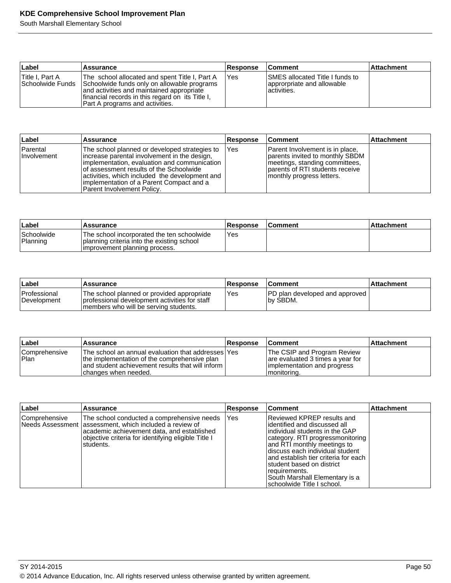| ∣Label                              | Assurance                                                                                                                                                                                                                         | <b>Response</b> | <b>Comment</b>                                                                        | <b>Attachment</b> |
|-------------------------------------|-----------------------------------------------------------------------------------------------------------------------------------------------------------------------------------------------------------------------------------|-----------------|---------------------------------------------------------------------------------------|-------------------|
| Title I. Part A<br>Schoolwide Funds | The school allocated and spent Title I, Part A<br>Schoolwide funds only on allowable programs<br>and activities and maintained appropriate<br>financial records in this regard on its Title I.<br>Part A programs and activities. | lYes            | <b>ISMES allocated Title I funds to</b><br>approrpriate and allowable<br>lactivities. |                   |

| Label                   | Assurance                                                                                                                                                                                                                                                                                                             | Response | <b>Comment</b>                                                                                                                                                        | ∣Attachment |
|-------------------------|-----------------------------------------------------------------------------------------------------------------------------------------------------------------------------------------------------------------------------------------------------------------------------------------------------------------------|----------|-----------------------------------------------------------------------------------------------------------------------------------------------------------------------|-------------|
| Parental<br>Involvement | The school planned or developed strategies to<br>lincrease parental involvement in the design,<br>implementation, evaluation and communication<br>of assessment results of the Schoolwide<br>activities, which included the development and<br>implementation of a Parent Compact and a<br>Parent Involvement Policy. | l Yes    | Parent Involvement is in place,<br>parents invited to monthly SBDM<br>Imeetings, standing committees,<br>parents of RTI students receive<br>monthly progress letters. |             |

| Label                                | Assurance                                                                                                                 | <b>Response</b> | <b>Comment</b> | ⊺Attachment |
|--------------------------------------|---------------------------------------------------------------------------------------------------------------------------|-----------------|----------------|-------------|
| <i><b>Schoolwide</b></i><br>Planning | The school incorporated the ten schoolwide<br>planning criteria into the existing school<br>improvement planning process. | Yes             |                |             |

| ∣Label                             | <b>Assurance</b>                                                                                                                       | <b>Response</b> | <b>Comment</b>                                       | ⊺Attachment |
|------------------------------------|----------------------------------------------------------------------------------------------------------------------------------------|-----------------|------------------------------------------------------|-------------|
| <b>Professional</b><br>Development | The school planned or provided appropriate<br>I professional development activities for staff<br>members who will be serving students. | 'Yes            | <b>PD</b> plan developed and approved I<br>Iby SBDM. |             |

| ∣Label                 | <b>Assurance</b>                                                                                                                                                                  | <b>Response</b> | <b>Comment</b>                                                                                                | <b>Attachment</b> |
|------------------------|-----------------------------------------------------------------------------------------------------------------------------------------------------------------------------------|-----------------|---------------------------------------------------------------------------------------------------------------|-------------------|
| Comprehensive<br> Plan | The school an annual evaluation that addresses lYes<br>the implementation of the comprehensive plan<br>and student achievement results that will inform I<br>changes when needed. |                 | The CSIP and Program Review<br>are evaluated 3 times a year for<br>implementation and progress<br>monitoring. |                   |

| Label           | Assurance                                                                                                                                                                                                                | <b>Response</b> | <b>Comment</b>                                                                                                                                                                                                                                                                                                                                             | Attachment |
|-----------------|--------------------------------------------------------------------------------------------------------------------------------------------------------------------------------------------------------------------------|-----------------|------------------------------------------------------------------------------------------------------------------------------------------------------------------------------------------------------------------------------------------------------------------------------------------------------------------------------------------------------------|------------|
| l Comprehensive | The school conducted a comprehensive needs<br>Needs Assessment lassessment, which included a review of<br>academic achievement data, and established<br>objective criteria for identifying eligible Title I<br>students. | <b>Yes</b>      | Reviewed KPREP results and<br>identified and discussed all<br>individual students in the GAP<br>category. RTI progressmonitoring<br>and RTI monthly meetings to<br>Idiscuss each individual student<br>land establish tier criteria for each<br>student based on district<br>requirements.<br>South Marshall Elementary is a<br>schoolwide Title I school. |            |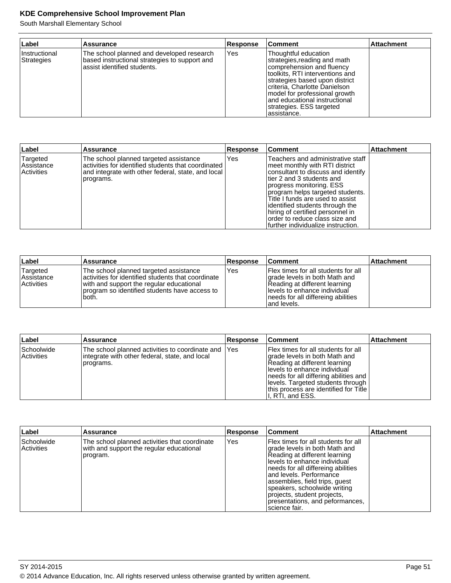| Label                       | Assurance                                                                                                                 | <b>Response</b> | <b>Comment</b>                                                                                                                                                                                                                                                                                        | <b>Attachment</b> |
|-----------------------------|---------------------------------------------------------------------------------------------------------------------------|-----------------|-------------------------------------------------------------------------------------------------------------------------------------------------------------------------------------------------------------------------------------------------------------------------------------------------------|-------------------|
| Instructional<br>Strategies | The school planned and developed research<br>based instructional strategies to support and<br>assist identified students. | Yes             | Thoughtful education<br>strategies, reading and math<br>comprehension and fluency<br>toolkits, RTI interventions and<br>strategies based upon district<br>criteria, Charlotte Danielson<br>model for professional growth<br>land educational instructional<br>strategies. ESS targeted<br>assistance. |                   |

| Label                                | Assurance                                                                                                                                                        | Response | ∣Comment                                                                                                                                                                                                                                                                                                                                                                                       | <b>Attachment</b> |
|--------------------------------------|------------------------------------------------------------------------------------------------------------------------------------------------------------------|----------|------------------------------------------------------------------------------------------------------------------------------------------------------------------------------------------------------------------------------------------------------------------------------------------------------------------------------------------------------------------------------------------------|-------------------|
| Targeted<br>Assistance<br>Activities | The school planned targeted assistance<br>activities for identified students that coordinated<br>and integrate with other federal, state, and local<br>programs. | Yes      | Teachers and administrative staff<br>meet monthly with RTI district<br>consultant to discuss and identify<br>ltier 2 and 3 students and<br>progress monitoring. ESS <br>program helps targeted students.<br>Title I funds are used to assist<br>lidentified students through the<br>hiring of certified personnel in<br>lorder to reduce class size and<br>Ifurther individualize instruction. |                   |

| ∣Label                                             | <b>Assurance</b>                                                                                                                                                                                     | <b>Response</b> | <b>Comment</b>                                                                                                                                                                                       | <b>Attachment</b> |
|----------------------------------------------------|------------------------------------------------------------------------------------------------------------------------------------------------------------------------------------------------------|-----------------|------------------------------------------------------------------------------------------------------------------------------------------------------------------------------------------------------|-------------------|
| Targeted<br><b>Assistance</b><br><b>Activities</b> | The school planned targeted assistance<br>lactivities for identified students that coordinate<br>with and support the regular educational<br>program so identified students have access to<br>'both. | Yes             | <b>IFlex times for all students for all</b><br>grade levels in both Math and<br>Reading at different learning<br>Ilevels to enhance individual<br>needs for all differeing abilities<br>land levels. |                   |

| ∣Label                                 | <b>Assurance</b>                                                                                                    | <b>Response</b> | <b>Comment</b>                                                                                                                                                                                                                                                                        | <b>Attachment</b> |
|----------------------------------------|---------------------------------------------------------------------------------------------------------------------|-----------------|---------------------------------------------------------------------------------------------------------------------------------------------------------------------------------------------------------------------------------------------------------------------------------------|-------------------|
| <b>Schoolwide</b><br><b>Activities</b> | The school planned activities to coordinate and IYes<br>integrate with other federal, state, and local<br>programs. |                 | Flex times for all students for all<br>grade levels in both Math and<br>Reading at different learning<br>llevels to enhance individual<br>  needs for all differing abilities and  <br>levels. Targeted students through<br>this process are identified for Title<br>I, RTI, and ESS. |                   |

| Label                    | <b>Assurance</b>                                                                                      | Response | <b>Comment</b>                                                                                                                                                                                                                                                                                                                                               | <b>Attachment</b> |
|--------------------------|-------------------------------------------------------------------------------------------------------|----------|--------------------------------------------------------------------------------------------------------------------------------------------------------------------------------------------------------------------------------------------------------------------------------------------------------------------------------------------------------------|-------------------|
| Schoolwide<br>Activities | The school planned activities that coordinate<br>with and support the regular educational<br>program. | Yes      | Flex times for all students for all<br>grade levels in both Math and<br>Reading at different learning<br>levels to enhance individual<br>needs for all differeing abilities<br>land levels. Performance<br>assemblies, field trips, quest<br>speakers, schoolwide writing<br>projects, student projects,<br>presentations, and peformances,<br>science fair. |                   |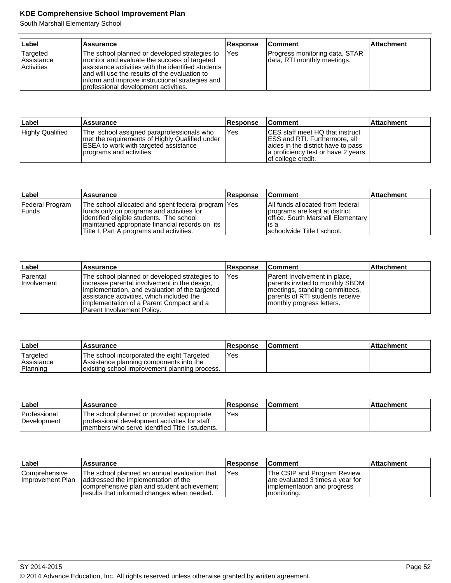| Label                                              | Assurance                                                                                                                                                                                                                                                                                        | <b>Response</b> | <b>Comment</b>                                                | <b>Attachment</b> |
|----------------------------------------------------|--------------------------------------------------------------------------------------------------------------------------------------------------------------------------------------------------------------------------------------------------------------------------------------------------|-----------------|---------------------------------------------------------------|-------------------|
| Targeted<br><b>Assistance</b><br><b>Activities</b> | The school planned or developed strategies to<br>monitor and evaluate the success of targeted<br>assistance activities with the identified students<br>land will use the results of the evaluation to<br>inform and improve instructional strategies and<br>professional development activities. | IYes            | Progress monitoring data, STAR<br>data, RTI monthly meetings. |                   |

| Label            | <b>Assurance</b>                                                                                                                                                 | <b>Response</b> | <b>Comment</b>                                                                                                                                                                    | <b>Attachment</b> |
|------------------|------------------------------------------------------------------------------------------------------------------------------------------------------------------|-----------------|-----------------------------------------------------------------------------------------------------------------------------------------------------------------------------------|-------------------|
| Highly Qualified | The school assigned paraprofessionals who<br>met the requirements of Highly Qualified under<br>ESEA to work with targeted assistance<br>programs and activities. | Yes             | <b>CES</b> staff meet HQ that instruct<br><b>IESS and RTI. Furthermore, all</b><br>aides in the district have to pass<br>a proficiency test or have 2 years<br>of college credit. |                   |

| Label                      | Assurance                                                                                                                                                                                                                                     | <b>Response</b> | <b>Comment</b>                                                                                                                                | <b>Attachment</b> |
|----------------------------|-----------------------------------------------------------------------------------------------------------------------------------------------------------------------------------------------------------------------------------------------|-----------------|-----------------------------------------------------------------------------------------------------------------------------------------------|-------------------|
| Federal Program<br>l Funds | The school allocated and spent federal program   Yes<br>funds only on programs and activities for<br>lidentified eligible students. The school<br>maintained appropriate financial records on its<br>Title I, Part A programs and activities. |                 | All funds allocated from federal<br>programs are kept at district<br>office. South Marshall Elementary<br>lis a<br>schoolwide Title I school. |                   |

| Label                   | <b>Assurance</b>                                                                                                                                                                                                                                                          | <b>Response</b> | <b>Comment</b>                                                                                                                                                    | <b>Attachment</b> |
|-------------------------|---------------------------------------------------------------------------------------------------------------------------------------------------------------------------------------------------------------------------------------------------------------------------|-----------------|-------------------------------------------------------------------------------------------------------------------------------------------------------------------|-------------------|
| Parental<br>Involvement | The school planned or developed strategies to<br>lincrease parental involvement in the design,<br>limplementation, and evaluation of the targeted<br>assistance activities, which included the<br>limplementation of a Parent Compact and a<br>Parent Involvement Policy. | IYes            | Parent Involvement in place,<br>parents invited to monthly SBDM<br>meetings, standing committees,<br>parents of RTI students receive<br>monthly progress letters. |                   |

| ∣Label                             | <b>Assurance</b>                                                                                                                       | Response   | <b>Comment</b> | ∣Attachment |
|------------------------------------|----------------------------------------------------------------------------------------------------------------------------------------|------------|----------------|-------------|
| Targeted<br>Assistance<br>Planning | The school incorporated the eight Targeted<br>Assistance planning components into the<br>existing school improvement planning process. | <b>Yes</b> |                |             |

| ∣Label                             | Assurance                                                                                                                                      | <b>Response</b> | <b>Comment</b> | ∣Attachment |
|------------------------------------|------------------------------------------------------------------------------------------------------------------------------------------------|-----------------|----------------|-------------|
| <b>Professional</b><br>Development | The school planned or provided appropriate<br>professional development activities for staff<br>Imembers who serve identified Title I students. | Yes             |                |             |

| ∣Label                            | <b>Assurance</b>                                                                                                                                                                  | <b>Response</b> | <b>Comment</b>                                                                                                 | <b>Attachment</b> |
|-----------------------------------|-----------------------------------------------------------------------------------------------------------------------------------------------------------------------------------|-----------------|----------------------------------------------------------------------------------------------------------------|-------------------|
| Comprehensive<br>Improvement Plan | The school planned an annual evaluation that<br>laddressed the implementation of the<br>comprehensive plan and student achievement<br>Tresults that informed changes when needed. | Yes             | The CSIP and Program Review<br>are evaluated 3 times a year for<br>limplementation and progress<br>monitoring. |                   |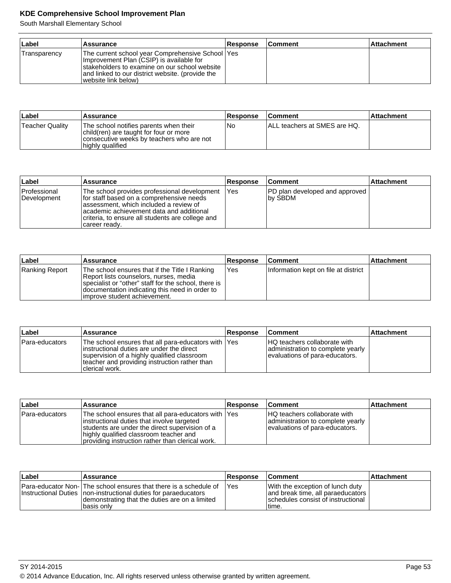| Label        | Assurance                                                                                                                                                                                                                    | <b>Response</b> | <b>Comment</b> | <b>Attachment</b> |
|--------------|------------------------------------------------------------------------------------------------------------------------------------------------------------------------------------------------------------------------------|-----------------|----------------|-------------------|
| Transparency | The current school year Comprehensive School   Yes<br>Improvement Plan (CSIP) is available for<br>Istakeholders to examine on our school website<br>and linked to our district website. (provide the<br>(website link below) |                 |                |                   |

| <b>∟abel</b>    | Assurance                                                                                                                                         | <b>Response</b> | <b>Comment</b>                | <b>Attachment</b> |
|-----------------|---------------------------------------------------------------------------------------------------------------------------------------------------|-----------------|-------------------------------|-------------------|
| Teacher Quality | The school notifies parents when their<br>child(ren) are taught for four or more<br>consecutive weeks by teachers who are not<br>highly qualified | l No            | IALL teachers at SMES are HQ. |                   |

| Label                       | Assurance                                                                                                                                                                                                                                            | <b>Response</b> | <b>Comment</b>                                    | <b>Attachment</b> |
|-----------------------------|------------------------------------------------------------------------------------------------------------------------------------------------------------------------------------------------------------------------------------------------------|-----------------|---------------------------------------------------|-------------------|
| Professional<br>Development | The school provides professional development<br>for staff based on a comprehensive needs<br>lassessment, which included a review of<br>academic achievement data and additional<br>criteria, to ensure all students are college and<br>career ready. | lYes            | <b>PD</b> plan developed and approved<br>Ibv SBDM |                   |

| ∣Label         | <b>Assurance</b>                                                                                                                                                                                                                    | <b>Response</b> | <b>Comment</b>                       | <b>Attachment</b> |
|----------------|-------------------------------------------------------------------------------------------------------------------------------------------------------------------------------------------------------------------------------------|-----------------|--------------------------------------|-------------------|
| Ranking Report | The school ensures that if the Title I Ranking<br>Report lists counselors, nurses, media<br>specialist or "other" staff for the school, there is<br>documentation indicating this need in order to<br>limprove student achievement. | <b>Yes</b>      | Information kept on file at district |                   |

| ∣Label         | <b>Assurance</b>                                                                                                                                                                                                     | <b>Response</b> | <b>Comment</b>                                                                                              | ∣Attachment |
|----------------|----------------------------------------------------------------------------------------------------------------------------------------------------------------------------------------------------------------------|-----------------|-------------------------------------------------------------------------------------------------------------|-------------|
| Para-educators | The school ensures that all para-educators with  Yes<br>instructional duties are under the direct<br>supervision of a highly qualified classroom<br>teacher and providing instruction rather than<br>Iclerical work. |                 | <b>IHQ</b> teachers collaborate with<br>administration to complete yearly<br>evaluations of para-educators. |             |

| ∣Label         | <b>Assurance</b>                                                                                                                                                                                                                                   | <b>Response</b> | <b>Comment</b>                                                                                             | <b>Attachment</b> |
|----------------|----------------------------------------------------------------------------------------------------------------------------------------------------------------------------------------------------------------------------------------------------|-----------------|------------------------------------------------------------------------------------------------------------|-------------------|
| Para-educators | The school ensures that all para-educators with  Yes<br>instructional duties that involve targeted<br>students are under the direct supervision of a<br>highly qualified classroom teacher and<br>providing instruction rather than clerical work. |                 | <b>HQ</b> teachers collaborate with<br>administration to complete yearly<br>evaluations of para-educators. |                   |

| ∣Label | Assurance                                                                                                                                                                                              | <b>Response</b> | <b>Comment</b>                                                                                                        | <b>Attachment</b> |
|--------|--------------------------------------------------------------------------------------------------------------------------------------------------------------------------------------------------------|-----------------|-----------------------------------------------------------------------------------------------------------------------|-------------------|
|        | Para-educator Non- The school ensures that there is a schedule of<br>Instructional Duties Inon-instructional duties for paraeducators<br>demonstrating that the duties are on a limited<br>Ibasis onlv | <b>IYes</b>     | With the exception of lunch duty<br>and break time, all paraeducators<br>schedules consist of instructional<br>Itime. |                   |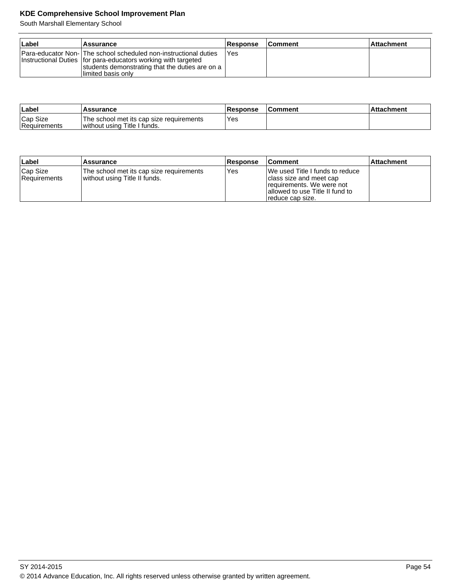| ∣Label | <b>Assurance</b>                                                                                                                                                                                              | <b>Response</b> | <b>Comment</b> | ∣Attachment |
|--------|---------------------------------------------------------------------------------------------------------------------------------------------------------------------------------------------------------------|-----------------|----------------|-------------|
|        | Para-educator Non- The school scheduled non-instructional duties<br>Instructional Duties   for para-educators working with targeted<br>students demonstrating that the duties are on a<br>Ilimited basis only | l Yes           |                |             |

| Labe.                    | <b>Assurance</b>                                                           | <b>Response</b> | ∣Comment | <b>Attachment</b> |
|--------------------------|----------------------------------------------------------------------------|-----------------|----------|-------------------|
| Cap Size<br>Requirements | The school met its cap size requirements<br>I without using Title I funds. | Yes             |          |                   |

| Label                    | Assurance                                                                 | <b>Response</b> | ∣Comment                                                                                                                                         | <b>Attachment</b> |
|--------------------------|---------------------------------------------------------------------------|-----------------|--------------------------------------------------------------------------------------------------------------------------------------------------|-------------------|
| Cap Size<br>Requirements | The school met its cap size requirements<br>without using Title II funds. | 'Yes            | IWe used Title I funds to reduce<br>class size and meet cap<br>requirements. We were not<br>allowed to use Title II fund to<br>Treduce cap size. |                   |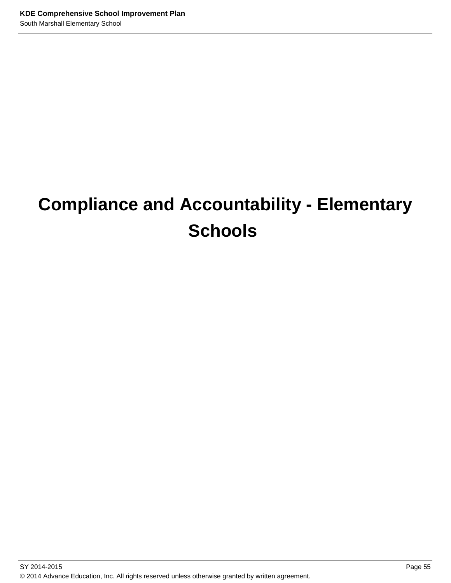# **Compliance and Accountability - Elementary Schools**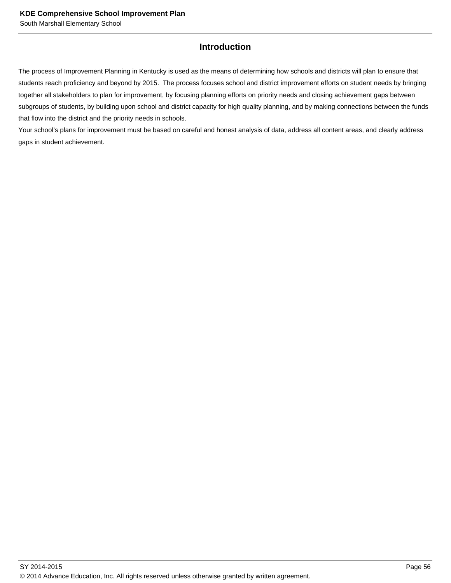## **Introduction**

The process of Improvement Planning in Kentucky is used as the means of determining how schools and districts will plan to ensure that students reach proficiency and beyond by 2015. The process focuses school and district improvement efforts on student needs by bringing together all stakeholders to plan for improvement, by focusing planning efforts on priority needs and closing achievement gaps between subgroups of students, by building upon school and district capacity for high quality planning, and by making connections between the funds that flow into the district and the priority needs in schools.

Your school's plans for improvement must be based on careful and honest analysis of data, address all content areas, and clearly address gaps in student achievement.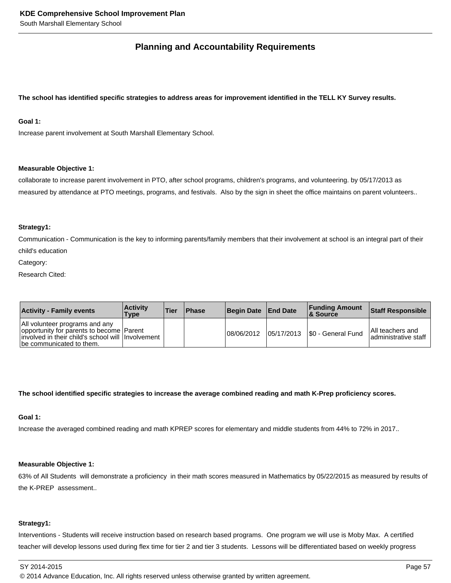# **Planning and Accountability Requirements**

### **The school has identified specific strategies to address areas for improvement identified in the TELL KY Survey results.**

## **Goal 1:**

Increase parent involvement at South Marshall Elementary School.

#### **Measurable Objective 1:**

collaborate to increase parent involvement in PTO, after school programs, children's programs, and volunteering. by 05/17/2013 as measured by attendance at PTO meetings, programs, and festivals. Also by the sign in sheet the office maintains on parent volunteers..

#### **Strategy1:**

Communication - Communication is the key to informing parents/family members that their involvement at school is an integral part of their child's education

Category:

Research Cited:

| <b>Activity - Family events</b>                                                                                                                              | <b>Activity</b><br>Type | <b>Tier</b> | <b>Phase</b> | Begin Date End Date |            | <b>Funding Amount</b><br>8 Source | Staff Responsible                               |
|--------------------------------------------------------------------------------------------------------------------------------------------------------------|-------------------------|-------------|--------------|---------------------|------------|-----------------------------------|-------------------------------------------------|
| All volunteer programs and any<br>opportunity for parents to become Parent<br>involved in their child's school will Involvement<br>the communicated to them. |                         |             |              | 108/06/2012         | 05/17/2013 | S0 - General Fund                 | <b>All teachers and</b><br>administrative staff |

#### **The school identified specific strategies to increase the average combined reading and math K-Prep proficiency scores.**

## **Goal 1:**

Increase the averaged combined reading and math KPREP scores for elementary and middle students from 44% to 72% in 2017..

## **Measurable Objective 1:**

63% of All Students will demonstrate a proficiency in their math scores measured in Mathematics by 05/22/2015 as measured by results of the K-PREP assessment..

## **Strategy1:**

Interventions - Students will receive instruction based on research based programs. One program we will use is Moby Max. A certified teacher will develop lessons used during flex time for tier 2 and tier 3 students. Lessons will be differentiated based on weekly progress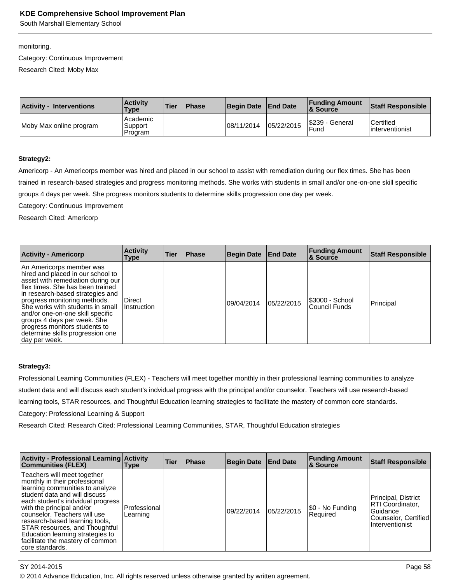South Marshall Elementary School

monitoring.

Category: Continuous Improvement

Research Cited: Moby Max

| <b>Activity - Interventions</b> | <b>Activity</b><br>Type        | <b>Tier</b> | <b>Phase</b> | <b>Begin Date</b> | <b>End Date</b> | <b>Funding Amount</b><br><b>&amp; Source</b> | <b>Staff Responsible</b>        |
|---------------------------------|--------------------------------|-------------|--------------|-------------------|-----------------|----------------------------------------------|---------------------------------|
| Moby Max online program         | Academic<br>Support<br>Program |             |              | 08/11/2014        | 05/22/2015      | S239 - General<br>Fund                       | l Certified<br>linterventionist |

#### **Strategy2:**

Americorp - An Americorps member was hired and placed in our school to assist with remediation during our flex times. She has been trained in research-based strategies and progress monitoring methods. She works with students in small and/or one-on-one skill specific groups 4 days per week. She progress monitors students to determine skills progression one day per week.

Category: Continuous Improvement

Research Cited: Americorp

| <b>Activity - Americorp</b>                                                                                                                                                                                                                                                                                                                                                                               | <b>Activity</b><br>Type        | <b>Tier</b> | <b>Phase</b> | Begin Date | <b>End Date</b> | <b>Funding Amount</b><br>& Source | <b>Staff Responsible</b> |
|-----------------------------------------------------------------------------------------------------------------------------------------------------------------------------------------------------------------------------------------------------------------------------------------------------------------------------------------------------------------------------------------------------------|--------------------------------|-------------|--------------|------------|-----------------|-----------------------------------|--------------------------|
| An Americorps member was<br>hired and placed in our school to<br>assist with remediation during our<br>flex times. She has been trained<br>in research-based strategies and<br>progress monitoring methods.<br>She works with students in small<br>and/or one-on-one skill specific<br>groups 4 days per week. She<br>progress monitors students to<br>determine skills progression one<br> day per week. | l Direct<br><b>Instruction</b> |             |              | 09/04/2014 | 05/22/2015      | \$3000 - School<br>Council Funds  | Principal                |

#### **Strategy3:**

Professional Learning Communities (FLEX) - Teachers will meet together monthly in their professional learning communities to analyze student data and will discuss each student's indvidual progress with the principal and/or counselor. Teachers will use research-based learning tools, STAR resources, and Thoughtful Education learning strategies to facilitate the mastery of common core standards. Category: Professional Learning & Support

Research Cited: Research Cited: Professional Learning Communities, STAR, Thoughtful Education strategies

| <b>Activity - Professional Learning Activity</b><br><b>Communities (FLEX)</b>                                                                                                                                                                                                                                                                                                                     | <b>Type</b>                | Tier | <b>Phase</b> | <b>Begin Date</b> | <b>End Date</b> | <b>Funding Amount</b><br><b>8 Source</b> | <b>Staff Responsible</b>                                                                       |
|---------------------------------------------------------------------------------------------------------------------------------------------------------------------------------------------------------------------------------------------------------------------------------------------------------------------------------------------------------------------------------------------------|----------------------------|------|--------------|-------------------|-----------------|------------------------------------------|------------------------------------------------------------------------------------------------|
| Teachers will meet together<br>monthly in their professional<br>learning communities to analyze<br>student data and will discuss<br>each student's indvidual progress<br>with the principal and/or<br>counselor. Teachers will use<br>research-based learning tools,<br>STAR resources, and Thoughtful<br>Education learning strategies to<br>facilitate the mastery of common<br>core standards. | l Professional<br>Learning |      |              | 09/22/2014        | 05/22/2015      | \$0 - No Funding<br>Required             | Principal, District<br>RTI Coordinator,<br>Guidance<br>Counselor, Certified<br>Interventionist |

SY 2014-2015 Page 58

© 2014 Advance Education, Inc. All rights reserved unless otherwise granted by written agreement.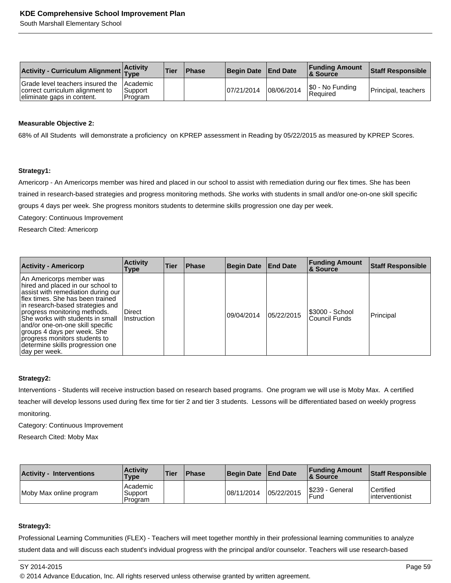| Activity - Curriculum Alignment Activity                                                          |                                  | <b>Tier</b> | <b>Phase</b> | Begin Date End Date |            | <b>Funding Amount</b><br><b>&amp; Source</b> | <b>Staff Responsible</b> |
|---------------------------------------------------------------------------------------------------|----------------------------------|-------------|--------------|---------------------|------------|----------------------------------------------|--------------------------|
| Grade level teachers insured the<br>correct curriculum alignment to<br>eliminate gaps in content. | l Academic<br>Support<br>Program |             |              | 07/21/2014          | 08/06/2014 | S0 - No Funding<br> Reauired                 | Principal, teachers      |

#### **Measurable Objective 2:**

68% of All Students will demonstrate a proficiency on KPREP assessment in Reading by 05/22/2015 as measured by KPREP Scores.

#### **Strategy1:**

Americorp - An Americorps member was hired and placed in our school to assist with remediation during our flex times. She has been trained in research-based strategies and progress monitoring methods. She works with students in small and/or one-on-one skill specific groups 4 days per week. She progress monitors students to determine skills progression one day per week.

Category: Continuous Improvement

Research Cited: Americorp

| <b>Activity - Americorp</b>                                                                                                                                                                                                                                                                                                                                                                               | <b>Activity</b><br>Type | <b>Tier</b> | <b>Phase</b> | <b>Begin Date</b> | <b>End Date</b> | <b>Funding Amount</b><br><b>&amp; Source</b> | <b>Staff Responsible</b> |
|-----------------------------------------------------------------------------------------------------------------------------------------------------------------------------------------------------------------------------------------------------------------------------------------------------------------------------------------------------------------------------------------------------------|-------------------------|-------------|--------------|-------------------|-----------------|----------------------------------------------|--------------------------|
| An Americorps member was<br>hired and placed in our school to<br>assist with remediation during our<br>flex times. She has been trained<br>in research-based strategies and<br>progress monitoring methods.<br>She works with students in small<br>and/or one-on-one skill specific<br>groups 4 days per week. She<br>progress monitors students to<br>determine skills progression one<br> day per week. | Direct<br>Instruction   |             |              | 09/04/2014        | 05/22/2015      | \$3000 - School<br>Council Funds             | Principal                |

#### **Strategy2:**

Interventions - Students will receive instruction based on research based programs. One program we will use is Moby Max. A certified teacher will develop lessons used during flex time for tier 2 and tier 3 students. Lessons will be differentiated based on weekly progress monitoring.

Category: Continuous Improvement

Research Cited: Moby Max

| <b>Activity - Interventions</b> | <b>Activity</b><br><b>Type</b> | <b>Tier</b> | <b>Phase</b> | <b>Begin Date</b> | <b>End Date</b> | <b>Funding Amount</b><br><b>&amp; Source</b> | Staff Responsible                    |
|---------------------------------|--------------------------------|-------------|--------------|-------------------|-----------------|----------------------------------------------|--------------------------------------|
| Moby Max online program         | Academic<br>Support<br>Program |             |              | 108/11/2014       | 05/22/2015      | S239 - General<br>Fund                       | <b>Certified</b><br>linterventionist |

#### **Strategy3:**

Professional Learning Communities (FLEX) - Teachers will meet together monthly in their professional learning communities to analyze student data and will discuss each student's indvidual progress with the principal and/or counselor. Teachers will use research-based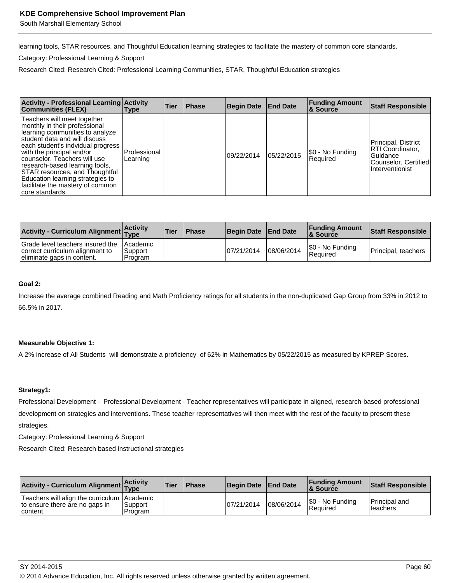South Marshall Elementary School

learning tools, STAR resources, and Thoughtful Education learning strategies to facilitate the mastery of common core standards.

Category: Professional Learning & Support

Research Cited: Research Cited: Professional Learning Communities, STAR, Thoughtful Education strategies

| Activity - Professional Learning Activity<br><b>Communities (FLEX)</b>                                                                                                                                                                                                                                                                                                                            | <b>Type</b>              | Tier | <b>Phase</b> | <b>Begin Date</b> | <b>End Date</b> | <b>Funding Amount</b><br>& Source | <b>Staff Responsible</b>                                                                       |
|---------------------------------------------------------------------------------------------------------------------------------------------------------------------------------------------------------------------------------------------------------------------------------------------------------------------------------------------------------------------------------------------------|--------------------------|------|--------------|-------------------|-----------------|-----------------------------------|------------------------------------------------------------------------------------------------|
| Teachers will meet together<br>monthly in their professional<br>learning communities to analyze<br>student data and will discuss<br>each student's indvidual progress<br>with the principal and/or<br>counselor. Teachers will use<br>research-based learning tools,<br>STAR resources, and Thoughtful<br>Education learning strategies to<br>facilitate the mastery of common<br>core standards. | Professional<br>Learning |      |              | 09/22/2014        | 05/22/2015      | \$0 - No Funding<br>Required      | Principal, District<br>RTI Coordinator,<br>Guidance<br>Counselor, Certified<br>Interventionist |

| Activity - Curriculum Alignment Activity                                                          |                                       | <b>Tier</b> | <b>Phase</b> | Begin Date | <b>End Date</b> | <b>Funding Amount</b><br>8 Source | Staff Responsible   |
|---------------------------------------------------------------------------------------------------|---------------------------------------|-------------|--------------|------------|-----------------|-----------------------------------|---------------------|
| Grade level teachers insured the<br>correct curriculum alignment to<br>eliminate gaps in content. | <b>Academic</b><br>Support<br>Program |             |              | 07/21/2014 | 08/06/2014      | S0 - No Funding<br>Required       | Principal, teachers |

#### **Goal 2:**

Increase the average combined Reading and Math Proficiency ratings for all students in the non-duplicated Gap Group from 33% in 2012 to 66.5% in 2017.

#### **Measurable Objective 1:**

A 2% increase of All Students will demonstrate a proficiency of 62% in Mathematics by 05/22/2015 as measured by KPREP Scores.

#### **Strategy1:**

Professional Development - Professional Development - Teacher representatives will participate in aligned, research-based professional development on strategies and interventions. These teacher representatives will then meet with the rest of the faculty to present these strategies.

Category: Professional Learning & Support

Research Cited: Research based instructional strategies

| Activity - Curriculum Alignment Activity                                                  |                    | Tier | <b>Phase</b> | Begin Date | <b>End Date</b> | <b>Funding Amount</b><br>& Source | Staff Responsible                      |
|-------------------------------------------------------------------------------------------|--------------------|------|--------------|------------|-----------------|-----------------------------------|----------------------------------------|
| Teachers will align the curriculum Academic<br>to ensure there are no gaps in<br>content. | Support<br>Program |      |              | 07/21/2014 | 08/06/2014      | S0 - No Funding<br>Required       | Principal and<br><sup>1</sup> teachers |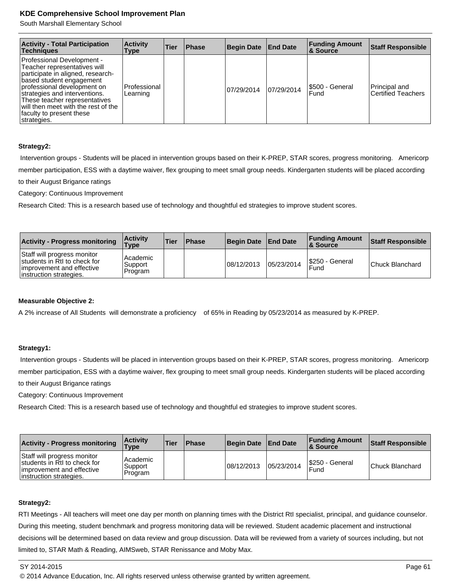South Marshall Elementary School

| <b>Activity - Total Participation</b><br><b>Techniques</b>                                                                                                                                                                                                                                                             | <b>Activity</b><br>Type  | <b>Tier</b> | <b>Phase</b> | Begin Date | <b>End Date</b> | <b>Funding Amount</b><br><b>&amp; Source</b> | <b>Staff Responsible</b>            |
|------------------------------------------------------------------------------------------------------------------------------------------------------------------------------------------------------------------------------------------------------------------------------------------------------------------------|--------------------------|-------------|--------------|------------|-----------------|----------------------------------------------|-------------------------------------|
| Professional Development -<br>Teacher representatives will<br>participate in aligned, research-<br>based student engagement<br>professional development on<br>strategies and interventions.<br>These teacher representatives<br>$ $ will then meet with the rest of the $ $<br>faculty to present these<br>strategies. | Professional<br>Learning |             |              | 07/29/2014 | 07/29/2014      | S500 - General<br>Fund                       | Principal and<br>Certified Teachers |

#### **Strategy2:**

 Intervention groups - Students will be placed in intervention groups based on their K-PREP, STAR scores, progress monitoring. Americorp member participation, ESS with a daytime waiver, flex grouping to meet small group needs. Kindergarten students will be placed according

to their August Brigance ratings

Category: Continuous Improvement

Research Cited: This is a research based use of technology and thoughtful ed strategies to improve student scores.

| <b>Activity - Progress monitoring</b>                                                                               | <b>Activity</b><br><b>Type</b> | <b>Tier</b> | <b>Phase</b> | <b>Begin Date</b> | <b>End Date</b> | <b>Funding Amount</b><br><b>8 Source</b> | Staff Responsible      |
|---------------------------------------------------------------------------------------------------------------------|--------------------------------|-------------|--------------|-------------------|-----------------|------------------------------------------|------------------------|
| Staff will progress monitor<br>students in RtI to check for<br>improvement and effective<br>instruction strategies. | Academic<br>Support<br>Program |             |              | 108/12/2013       | 05/23/2014      | I\$250 - General<br>Fund                 | <b>Chuck Blanchard</b> |

## **Measurable Objective 2:**

A 2% increase of All Students will demonstrate a proficiency of 65% in Reading by 05/23/2014 as measured by K-PREP.

## **Strategy1:**

 Intervention groups - Students will be placed in intervention groups based on their K-PREP, STAR scores, progress monitoring. Americorp member participation, ESS with a daytime waiver, flex grouping to meet small group needs. Kindergarten students will be placed according to their August Brigance ratings

Category: Continuous Improvement

Research Cited: This is a research based use of technology and thoughtful ed strategies to improve student scores.

| <b>Activity - Progress monitoring</b>                                                                               | <b>Activity</b><br><b>Type</b> | <b>Tier</b> | <b>Phase</b> | <b>Begin Date</b> | <b>End Date</b> | <b>Funding Amount</b><br><b>8 Source</b> | Staff Responsible      |
|---------------------------------------------------------------------------------------------------------------------|--------------------------------|-------------|--------------|-------------------|-----------------|------------------------------------------|------------------------|
| Staff will progress monitor<br>students in RtI to check for<br>improvement and effective<br>instruction strategies. | Academic<br>Support<br>Program |             |              | 08/12/2013        | 05/23/2014      | S250 - General<br>Fund                   | <b>Chuck Blanchard</b> |

## **Strategy2:**

RTI Meetings - All teachers will meet one day per month on planning times with the District RtI specialist, principal, and guidance counselor. During this meeting, student benchmark and progress monitoring data will be reviewed. Student academic placement and instructional decisions will be determined based on data review and group discussion. Data will be reviewed from a variety of sources including, but not limited to, STAR Math & Reading, AIMSweb, STAR Renissance and Moby Max.

© 2014 Advance Education, Inc. All rights reserved unless otherwise granted by written agreement.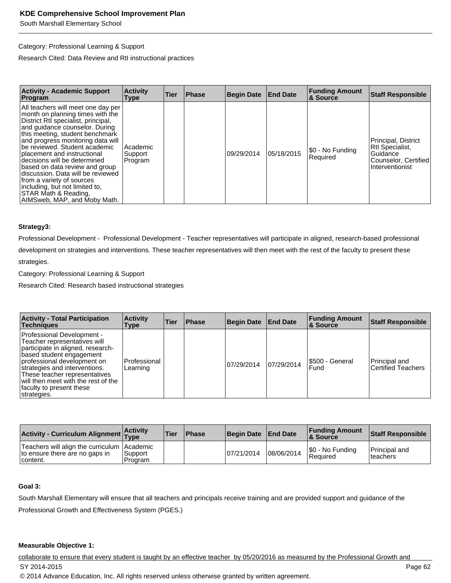#### Category: Professional Learning & Support

Research Cited: Data Review and RtI instructional practices

| <b>Activity - Academic Support</b><br>Program                                                                                                                                                                                                                                                                                                                                                                                                                                                                          | <b>Activity</b><br>Type          | Tier | <b>Phase</b> | <b>Begin Date</b> | <b>End Date</b> | <b>Funding Amount</b><br>& Source | <b>Staff Responsible</b>                                                                      |
|------------------------------------------------------------------------------------------------------------------------------------------------------------------------------------------------------------------------------------------------------------------------------------------------------------------------------------------------------------------------------------------------------------------------------------------------------------------------------------------------------------------------|----------------------------------|------|--------------|-------------------|-----------------|-----------------------------------|-----------------------------------------------------------------------------------------------|
| All teachers will meet one day per<br>month on planning times with the<br>District RtI specialist, principal,<br>and quidance counselor. During<br>this meeting, student benchmark<br>and progress monitoring data will<br>lbe reviewed. Student academic<br>placement and instructional<br>decisions will be determined<br>based on data review and group<br>discussion. Data will be reviewed<br>from a variety of sources<br>including, but not limited to,<br>STAR Math & Reading,<br>AIMSweb, MAP, and Moby Math. | l Academic<br>Support<br>Program |      |              | 09/29/2014        | 05/18/2015      | \$0 - No Funding<br>Required      | Principal, District<br>Rtl Specialist,<br>Guidance<br>Counselor, Certified<br>Interventionist |

#### **Strategy3:**

Professional Development - Professional Development - Teacher representatives will participate in aligned, research-based professional development on strategies and interventions. These teacher representatives will then meet with the rest of the faculty to present these

strategies.

Category: Professional Learning & Support

Research Cited: Research based instructional strategies

| <b>Activity - Total Participation</b><br><b>Techniques</b>                                                                                                                                                                                                                                                     | <b>Activity</b><br>Type  | <b>Tier</b> | <b>Phase</b> | <b>Begin Date</b> | <b>End Date</b> | <b>Funding Amount</b><br><b>&amp; Source</b> | <b>Staff Responsible</b>                   |
|----------------------------------------------------------------------------------------------------------------------------------------------------------------------------------------------------------------------------------------------------------------------------------------------------------------|--------------------------|-------------|--------------|-------------------|-----------------|----------------------------------------------|--------------------------------------------|
| Professional Development -<br>Teacher representatives will<br>participate in aligned, research-<br>based student engagement<br>professional development on<br>strategies and interventions.<br>These teacher representatives<br>will then meet with the rest of the<br>faculty to present these<br>strategies. | Professional<br>Learning |             |              | 07/29/2014        | 07/29/2014      | I\$500 - General<br>Fund                     | Principal and<br><b>Certified Teachers</b> |

| Activity - Curriculum Alignment Activity                                                    |                           | <b>Tier</b> | <b>Phase</b> | Begin Date | <b>End Date</b> | <b>Funding Amount</b><br>& Source | Staff Responsible                 |
|---------------------------------------------------------------------------------------------|---------------------------|-------------|--------------|------------|-----------------|-----------------------------------|-----------------------------------|
| Teachers will align the curriculum   Academic<br>to ensure there are no gaps in<br>content. | <b>Support</b><br>Program |             |              | 07/21/2014 | 08/06/2014      | S0 - No Funding<br>Required       | <b>Principal and</b><br>Iteachers |

## **Goal 3:**

South Marshall Elementary will ensure that all teachers and principals receive training and are provided support and guidance of the Professional Growth and Effectiveness System (PGES.)

#### **Measurable Objective 1:**

collaborate to ensure that every student is taught by an effective teacher by 05/20/2016 as measured by the Professional Growth and SY 2014-2015 Page 62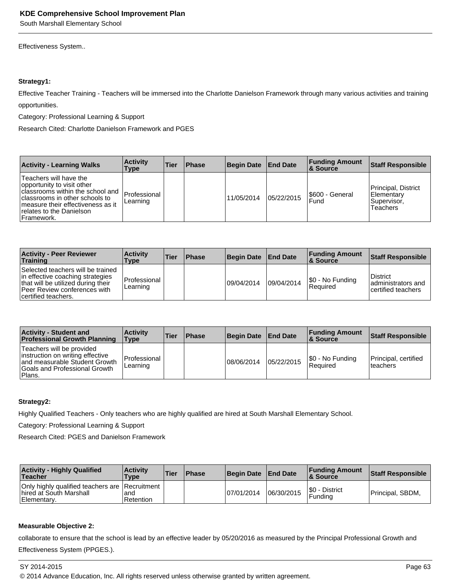Effectiveness System..

#### **Strategy1:**

Effective Teacher Training - Teachers will be immersed into the Charlotte Danielson Framework through many various activities and training opportunities.

Category: Professional Learning & Support

Research Cited: Charlotte Danielson Framework and PGES

| <b>Activity - Learning Walks</b>                                                                                                                                                                             | <b>Activity</b><br>Type   | <b>Tier</b> | <b>Phase</b> | <b>Begin Date</b> | <b>End Date</b> | <b>Funding Amount</b><br>∣& Source | <b>Staff Responsible</b>                                             |
|--------------------------------------------------------------------------------------------------------------------------------------------------------------------------------------------------------------|---------------------------|-------------|--------------|-------------------|-----------------|------------------------------------|----------------------------------------------------------------------|
| Teachers will have the<br>opportunity to visit other<br>I classrooms within the school and<br>classrooms in other schools to<br>Imeasure their effectiveness as it<br>relates to the Danielson<br>Framework. | IProfessional<br>Learning |             |              | 11/05/2014        | 05/22/2015      | S600 - General<br>Fund             | Principal, District<br><b>IElementarv</b><br>Supervisor.<br>Teachers |

| <b>Activity - Peer Reviewer</b><br>Training                                                                                                                        | <b>Activity</b><br>Type  | <b>Tier</b> | <b>Phase</b> | <b>Begin Date</b> | <b>End Date</b> | <b>Funding Amount</b><br>∣& Source | Staff Responsible                                            |
|--------------------------------------------------------------------------------------------------------------------------------------------------------------------|--------------------------|-------------|--------------|-------------------|-----------------|------------------------------------|--------------------------------------------------------------|
| Selected teachers will be trained<br>in effective coaching strategies<br>that will be utilized during their<br>Peer Review conferences with<br>certified teachers. | Professional<br>Learning |             |              | 09/04/2014        | 09/04/2014      | \$0 - No Funding<br>l Reauired     | <b>District</b><br>ladministrators and<br>certified teachers |

| <b>Activity - Student and</b><br><b>Professional Growth Planning</b>                                                                       | <b>Activity</b><br><b>Type</b> | <b>Tier</b> | <b>Phase</b> | <b>Begin Date</b> | <b>End Date</b> | <b>Funding Amount</b><br>∣& Source | <b>Staff Responsible</b>          |
|--------------------------------------------------------------------------------------------------------------------------------------------|--------------------------------|-------------|--------------|-------------------|-----------------|------------------------------------|-----------------------------------|
| Teachers will be provided<br>instruction on writing effective<br>and measurable Student Growth<br>Goals and Professional Growth<br>'Plans. | Professional<br>Learning       |             |              | 08/06/2014        | 05/22/2015      | \$0 - No Funding<br>l Reauired     | Principal, certified<br>Iteachers |

## **Strategy2:**

Highly Qualified Teachers - Only teachers who are highly qualified are hired at South Marshall Elementary School.

Category: Professional Learning & Support

Research Cited: PGES and Danielson Framework

| <b>Activity - Highly Qualified</b><br>Teacher                                              | <b>Activity</b><br>Type | Tier | <b>Phase</b> | <b>Begin Date</b> | <b>End Date</b> | <b>Funding Amount</b><br>8 Source | <b>Staff Responsible</b> |
|--------------------------------------------------------------------------------------------|-------------------------|------|--------------|-------------------|-----------------|-----------------------------------|--------------------------|
| Only highly qualified teachers are Recruitment<br>I hired at South Marshall<br>Elementary. | land<br>Retention       |      |              | 07/01/2014        | 106/30/2015     | I\$0 - District<br><b>Funding</b> | Principal, SBDM,         |

## **Measurable Objective 2:**

collaborate to ensure that the school is lead by an effective leader by 05/20/2016 as measured by the Principal Professional Growth and Effectiveness System (PPGES.).

© 2014 Advance Education, Inc. All rights reserved unless otherwise granted by written agreement.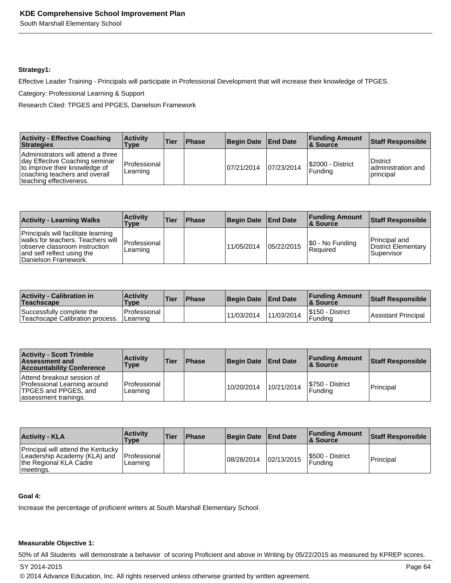#### **Strategy1:**

Effective Leader Training - Principals will participate in Professional Development that will increase their knowledge of TPGES.

Category: Professional Learning & Support

Research Cited: TPGES and PPGES, Danielson Framework

| <b>Activity - Effective Coaching</b><br>Strategies                                                                                                                 | <b>Activity</b><br>Type    | <b>Tier</b> | <b>Phase</b> | Begin Date End Date |            | <b>Funding Amount</b><br>8 Source | Staff Responsible                                    |
|--------------------------------------------------------------------------------------------------------------------------------------------------------------------|----------------------------|-------------|--------------|---------------------|------------|-----------------------------------|------------------------------------------------------|
| Administrators will attend a three<br>Iday Effective Coaching seminar<br>to improve their knowledge of<br>coaching teachers and overall<br>teaching effectiveness. | l Professional<br>Learning |             |              | 07/21/2014          | 07/23/2014 | S2000 - District<br>Funding       | <b>District</b><br>ladministration and<br>Iprincipal |

| <b>Activity - Learning Walks</b>                                                                                                                                | <b>Activity</b><br><b>Type</b> | <b>Tier</b> | <b>Phase</b> | Begin Date End Date |            | <b>Funding Amount</b><br>8. Source | Staff Responsible                                  |
|-----------------------------------------------------------------------------------------------------------------------------------------------------------------|--------------------------------|-------------|--------------|---------------------|------------|------------------------------------|----------------------------------------------------|
| Principals will facilitate learning<br>walks for teachers. Teachers will<br>observe classroom instruction<br>and self reflect using the<br>Danielson Framework. | Professional<br>Learning       |             |              | 11/05/2014          | 05/22/2015 | \$0 - No Funding<br> Reauired      | Principal and<br>District Elementary<br>Supervisor |

| <b>Activity - Calibration in</b><br>Teachscape               | <b>Activity</b><br><b>Type</b>          | <b>Tier</b> | <b>Phase</b> | <b>Begin Date</b> | <b>End Date</b> | <b>Funding Amount</b><br>∣& Source | Staff Responsible   |
|--------------------------------------------------------------|-----------------------------------------|-------------|--------------|-------------------|-----------------|------------------------------------|---------------------|
| Successfully complete the<br>Teachscape Calibration process. | <b>IProfessional</b><br><b>Learning</b> |             |              | 11/03/2014        | 11/03/2014      | S150 - District<br>Fundina         | Assistant Principal |

| <b>Activity - Scott Trimble</b><br><b>Assessment and</b><br><b>Accountability Conference</b>                | <b>Activity</b><br>Type          | <b>Tier</b> | <b>Phase</b> | <b>Begin Date</b> | <b>End Date</b> | <b>Funding Amount</b><br>8 Source | <b>Staff Responsible</b> |
|-------------------------------------------------------------------------------------------------------------|----------------------------------|-------------|--------------|-------------------|-----------------|-----------------------------------|--------------------------|
| Attend breakout session of<br>Professional Learning around<br>TPGES and PPGES, and<br>assessment trainings. | <b>IProfessional</b><br>Learning |             |              | 10/20/2014        | 10/21/2014      | S750 - District<br>Fundina        | Principal                |

| <b>Activity - KLA</b>                                                                                                  | <b>Activity</b><br>Type  | <b>Tier</b> | <b>Phase</b> | <b>Begin Date</b> | <b>End Date</b> | <b>Funding Amount</b><br>8. Source | <b>Staff Responsible</b> |
|------------------------------------------------------------------------------------------------------------------------|--------------------------|-------------|--------------|-------------------|-----------------|------------------------------------|--------------------------|
| Principal will attend the Kentucky<br>Leadership Academy (KLA) and<br>the Regional KLA Cadre<br><sup>I</sup> meetings. | Professional<br>Learning |             |              | 08/28/2014        | 02/13/2015      | I\$500 - District<br>Fundina       | Principal                |

#### **Goal 4:**

Increase the percentage of proficient writers at South Marshall Elementary School.

## **Measurable Objective 1:**

50% of All Students will demonstrate a behavior of scoring Proficient and above in Writing by 05/22/2015 as measured by KPREP scores.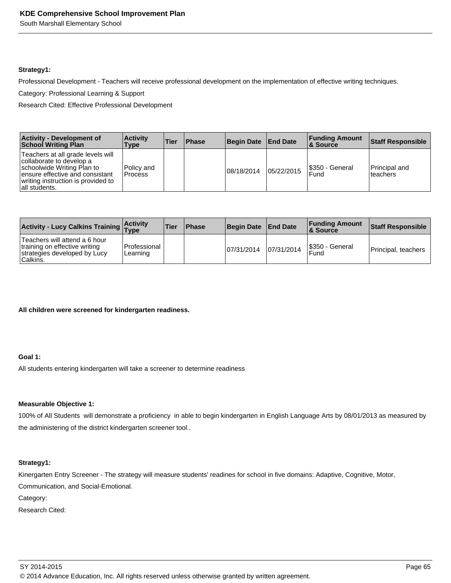South Marshall Elementary School

#### **Strategy1:**

Professional Development - Teachers will receive professional development on the implementation of effective writing techniques.

Category: Professional Learning & Support

Research Cited: Effective Professional Development

| <b>Activity - Development of</b><br><b>School Writing Plan</b>                                                                                                                        | <b>Activity</b><br>Type | <b>Tier</b> | <b>Phase</b> | Begin Date End Date |            | <b>Funding Amount</b><br>8. Source | <b>Staff Responsible</b>          |
|---------------------------------------------------------------------------------------------------------------------------------------------------------------------------------------|-------------------------|-------------|--------------|---------------------|------------|------------------------------------|-----------------------------------|
| Teachers at all grade levels will<br>collaborate to develop a<br>schoolwide Writing Plan to<br>ensure effective and consistant<br>writing instruction is provided to<br>all students. | Policy and<br>l Process |             |              | 08/18/2014          | 05/22/2015 | \$350 - General<br>Fund            | <b>Principal and</b><br>lteachers |

| Activity - Lucy Calkins Training Activity                                                                  |                            | <b>Tier</b> | <b>Phase</b> | <b>Begin Date</b> | <b>End Date</b> | <b>Funding Amount</b><br><b>8 Source</b> | Staff Responsible   |
|------------------------------------------------------------------------------------------------------------|----------------------------|-------------|--------------|-------------------|-----------------|------------------------------------------|---------------------|
| Teachers will attend a 6 hour<br>training on effective writing<br>strategies developed by Lucy<br>Calkins. | l Professional<br>Learning |             |              | 107/31/2014       | 07/31/2014      | S350 - General<br>Fund                   | Principal, teachers |

**All children were screened for kindergarten readiness.**

## **Goal 1:**

All students entering kindergarten will take a screener to determine readiness

## **Measurable Objective 1:**

100% of All Students will demonstrate a proficiency in able to begin kindergarten in English Language Arts by 08/01/2013 as measured by the administering of the district kindergarten screener tool..

## **Strategy1:**

Kinergarten Entry Screener - The strategy will measure students' readines for school in five domains: Adaptive, Cognitive, Motor, Communication, and Social-Emotional.

Category:

Research Cited: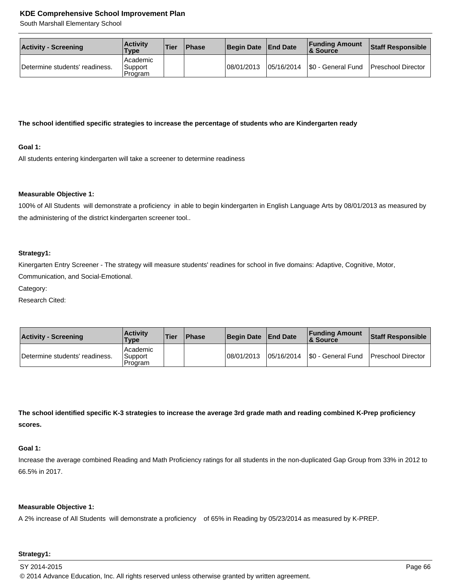South Marshall Elementary School

| <b>Activity - Screening</b>    | <b>Activity</b><br>Type        | Tier | <b>IPhase</b> | Begin Date | <b>End Date</b> | <b>Funding Amount</b><br>& Source       | Staff Responsible |
|--------------------------------|--------------------------------|------|---------------|------------|-----------------|-----------------------------------------|-------------------|
| Determine students' readiness. | Academic<br>Support<br>Program |      |               | 08/01/2013 | 05/16/2014      | \$0 - General Fund   Preschool Director |                   |

#### **The school identified specific strategies to increase the percentage of students who are Kindergarten ready**

#### **Goal 1:**

All students entering kindergarten will take a screener to determine readiness

#### **Measurable Objective 1:**

100% of All Students will demonstrate a proficiency in able to begin kindergarten in English Language Arts by 08/01/2013 as measured by the administering of the district kindergarten screener tool..

#### **Strategy1:**

Kinergarten Entry Screener - The strategy will measure students' readines for school in five domains: Adaptive, Cognitive, Motor, Communication, and Social-Emotional.

Category:

Research Cited:

| <b>Activity - Screening</b>    | <b>Activity</b><br><b>Type</b> | <b>Tier</b> | <b>IPhase</b> | <b>Begin Date</b> | <b>End Date</b> | <b>Funding Amount</b><br>& Source | Staff Responsible         |
|--------------------------------|--------------------------------|-------------|---------------|-------------------|-----------------|-----------------------------------|---------------------------|
| Determine students' readiness. | Academic<br>Support<br>Program |             |               | 08/01/2013        | 05/16/2014      | S0 - General Fund                 | <b>Preschool Director</b> |

**The school identified specific K-3 strategies to increase the average 3rd grade math and reading combined K-Prep proficiency scores.** 

#### **Goal 1:**

Increase the average combined Reading and Math Proficiency ratings for all students in the non-duplicated Gap Group from 33% in 2012 to 66.5% in 2017.

#### **Measurable Objective 1:**

A 2% increase of All Students will demonstrate a proficiency of 65% in Reading by 05/23/2014 as measured by K-PREP.

#### **Strategy1:**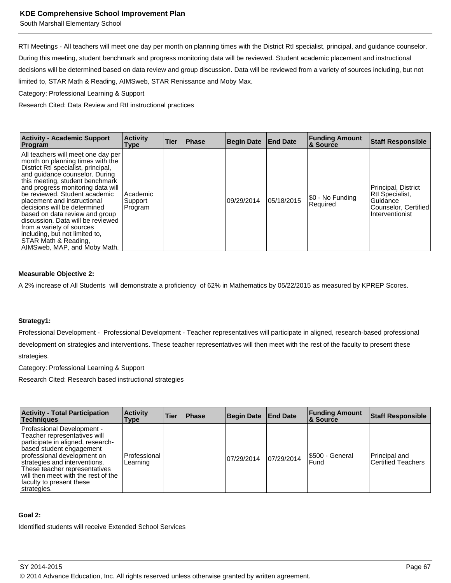South Marshall Elementary School

RTI Meetings - All teachers will meet one day per month on planning times with the District RtI specialist, principal, and guidance counselor. During this meeting, student benchmark and progress monitoring data will be reviewed. Student academic placement and instructional decisions will be determined based on data review and group discussion. Data will be reviewed from a variety of sources including, but not limited to, STAR Math & Reading, AIMSweb, STAR Renissance and Moby Max.

Category: Professional Learning & Support

Research Cited: Data Review and RtI instructional practices

| <b>Activity - Academic Support</b><br>Program                                                                                                                                                                                                                                                                                                                                                                                                                                                                         | <b>Activity</b><br><b>Type</b> | <b>Tier</b> | <b>Phase</b> | <b>Begin Date</b> | <b>End Date</b> | <b>Funding Amount</b><br><b>&amp; Source</b> | <b>Staff Responsible</b>                                                                      |
|-----------------------------------------------------------------------------------------------------------------------------------------------------------------------------------------------------------------------------------------------------------------------------------------------------------------------------------------------------------------------------------------------------------------------------------------------------------------------------------------------------------------------|--------------------------------|-------------|--------------|-------------------|-----------------|----------------------------------------------|-----------------------------------------------------------------------------------------------|
| All teachers will meet one day per<br>month on planning times with the<br>District RtI specialist, principal,<br>and quidance counselor. During<br>this meeting, student benchmark<br>and progress monitoring data will<br>be reviewed. Student academic<br>placement and instructional<br>decisions will be determined<br>based on data review and group<br>discussion. Data will be reviewed<br>from a variety of sources<br>including, but not limited to,<br>STAR Math & Reading,<br>AIMSweb, MAP, and Moby Math. | Academic<br>Support<br>Program |             |              | 09/29/2014        | 05/18/2015      | \$0 - No Funding<br>Required                 | Principal, District<br>Rtl Specialist,<br>Guidance<br>Counselor, Certified<br>Interventionist |

#### **Measurable Objective 2:**

A 2% increase of All Students will demonstrate a proficiency of 62% in Mathematics by 05/22/2015 as measured by KPREP Scores.

#### **Strategy1:**

Professional Development - Professional Development - Teacher representatives will participate in aligned, research-based professional development on strategies and interventions. These teacher representatives will then meet with the rest of the faculty to present these strategies.

Category: Professional Learning & Support

Research Cited: Research based instructional strategies

| <b>Activity - Total Participation</b><br><b>Techniques</b>                                                                                                                                                                                                                                                     | <b>Activity</b><br>Type  | <b>Tier</b> | <b>IPhase</b> | <b>Begin Date</b> | <b>End Date</b> | <b>Funding Amount</b><br><b>&amp; Source</b> | <b>Staff Responsible</b>                   |
|----------------------------------------------------------------------------------------------------------------------------------------------------------------------------------------------------------------------------------------------------------------------------------------------------------------|--------------------------|-------------|---------------|-------------------|-----------------|----------------------------------------------|--------------------------------------------|
| Professional Development -<br>Teacher representatives will<br>participate in aligned, research-<br>based student engagement<br>professional development on<br>strategies and interventions.<br>These teacher representatives<br>will then meet with the rest of the<br>faculty to present these<br>strategies. | Professional<br>Learning |             |               | 07/29/2014        | 07/29/2014      | \$500 - General<br>Fund                      | Principal and<br><b>Certified Teachers</b> |

#### **Goal 2:**

Identified students will receive Extended School Services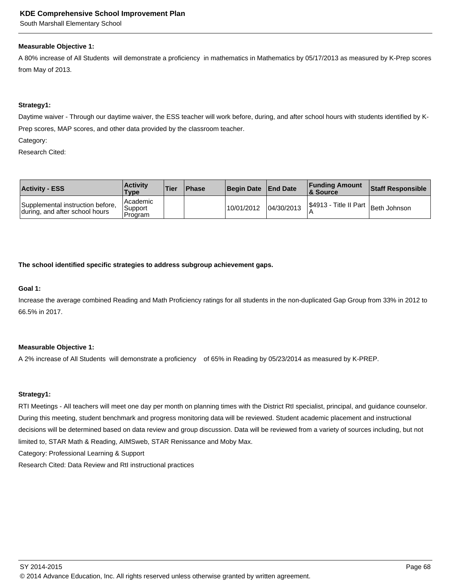South Marshall Elementary School

#### **Measurable Objective 1:**

A 80% increase of All Students will demonstrate a proficiency in mathematics in Mathematics by 05/17/2013 as measured by K-Prep scores from May of 2013.

#### **Strategy1:**

Daytime waiver - Through our daytime waiver, the ESS teacher will work before, during, and after school hours with students identified by K-Prep scores, MAP scores, and other data provided by the classroom teacher.

Category:

Research Cited:

| <b>Activity - ESS</b>                                              | <b>Activity</b><br><b>Type</b>   | 'Tier | <b>IPhase</b> | Begin Date | <b>End Date</b> | <b>Funding Amount</b><br>& Source | <b>Staff Responsible</b>           |
|--------------------------------------------------------------------|----------------------------------|-------|---------------|------------|-----------------|-----------------------------------|------------------------------------|
| Supplemental instruction before,<br>during, and after school hours | l Academic<br>Support<br>Program |       |               | 10/01/2012 | 04/30/2013      |                                   | S4913 - Title II Part Beth Johnson |

**The school identified specific strategies to address subgroup achievement gaps.**

#### **Goal 1:**

Increase the average combined Reading and Math Proficiency ratings for all students in the non-duplicated Gap Group from 33% in 2012 to 66.5% in 2017.

#### **Measurable Objective 1:**

A 2% increase of All Students will demonstrate a proficiency of 65% in Reading by 05/23/2014 as measured by K-PREP.

#### **Strategy1:**

RTI Meetings - All teachers will meet one day per month on planning times with the District RtI specialist, principal, and guidance counselor. During this meeting, student benchmark and progress monitoring data will be reviewed. Student academic placement and instructional decisions will be determined based on data review and group discussion. Data will be reviewed from a variety of sources including, but not limited to, STAR Math & Reading, AIMSweb, STAR Renissance and Moby Max. Category: Professional Learning & Support

Research Cited: Data Review and RtI instructional practices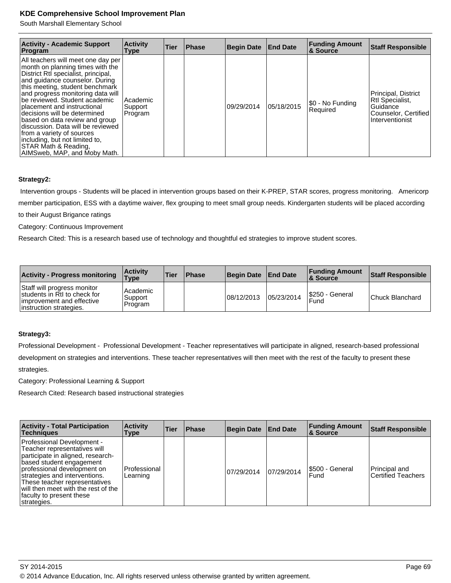## **KDE Comprehensive School Improvement Plan**

South Marshall Elementary School

| <b>Activity - Academic Support</b><br>Program                                                                                                                                                                                                                                                                                                                                                                                                                                                                         | <b>Activity</b><br>Type        | <b>Tier</b> | <b>Phase</b> | <b>Begin Date</b> | <b>End Date</b> | <b>Funding Amount</b><br>∣& Source | <b>Staff Responsible</b>                                                                      |
|-----------------------------------------------------------------------------------------------------------------------------------------------------------------------------------------------------------------------------------------------------------------------------------------------------------------------------------------------------------------------------------------------------------------------------------------------------------------------------------------------------------------------|--------------------------------|-------------|--------------|-------------------|-----------------|------------------------------------|-----------------------------------------------------------------------------------------------|
| All teachers will meet one day per<br>month on planning times with the<br>District Rtl specialist, principal,<br>and quidance counselor. During<br>this meeting, student benchmark<br>and progress monitoring data will<br>be reviewed. Student academic<br>placement and instructional<br>decisions will be determined<br>based on data review and group<br>discussion. Data will be reviewed<br>from a variety of sources<br>including, but not limited to,<br>STAR Math & Reading,<br>AIMSweb, MAP, and Moby Math. | Academic<br>Support<br>Program |             |              | 09/29/2014        | 05/18/2015      | 50 - No Funding<br>Required        | Principal, District<br>Rtl Specialist,<br>Guidance<br>Counselor, Certified<br>Interventionist |

#### **Strategy2:**

 Intervention groups - Students will be placed in intervention groups based on their K-PREP, STAR scores, progress monitoring. Americorp member participation, ESS with a daytime waiver, flex grouping to meet small group needs. Kindergarten students will be placed according to their August Brigance ratings

## Category: Continuous Improvement

Research Cited: This is a research based use of technology and thoughtful ed strategies to improve student scores.

| <b>Activity - Progress monitoring</b>                                                                                | <b>Activity</b><br><b>Type</b> | <b>Tier</b> | <b>Phase</b> | <b>Begin Date</b> | <b>End Date</b> | <b>Funding Amount</b><br>∣& Source | <b>Staff Responsible</b> |
|----------------------------------------------------------------------------------------------------------------------|--------------------------------|-------------|--------------|-------------------|-----------------|------------------------------------|--------------------------|
| Staff will progress monitor<br>students in RtI to check for<br>improvement and effective<br>linstruction strategies. | Academic<br>Support<br>Program |             |              | 08/12/2013        | 05/23/2014      | I\$250 - General<br>Fund           | <b>Chuck Blanchard</b>   |

#### **Strategy3:**

Professional Development - Professional Development - Teacher representatives will participate in aligned, research-based professional development on strategies and interventions. These teacher representatives will then meet with the rest of the faculty to present these strategies.

Category: Professional Learning & Support

Research Cited: Research based instructional strategies

| <b>Activity - Total Participation</b><br>Techniaues                                                                                                                                                                                                                                                            | <b>Activity</b><br>Type  | <b>Tier</b> | Phase | <b>Begin Date</b> | <b>End Date</b> | <b>Funding Amount</b><br>8 Source | <b>Staff Responsible</b>                   |
|----------------------------------------------------------------------------------------------------------------------------------------------------------------------------------------------------------------------------------------------------------------------------------------------------------------|--------------------------|-------------|-------|-------------------|-----------------|-----------------------------------|--------------------------------------------|
| Professional Development -<br>Teacher representatives will<br>participate in aligned, research-<br>based student engagement<br>professional development on<br>strategies and interventions.<br>These teacher representatives<br>will then meet with the rest of the<br>faculty to present these<br>strategies. | Professional<br>Learning |             |       | 07/29/2014        | 07/29/2014      | S500 - General<br>Fund            | Principal and<br><b>Certified Teachers</b> |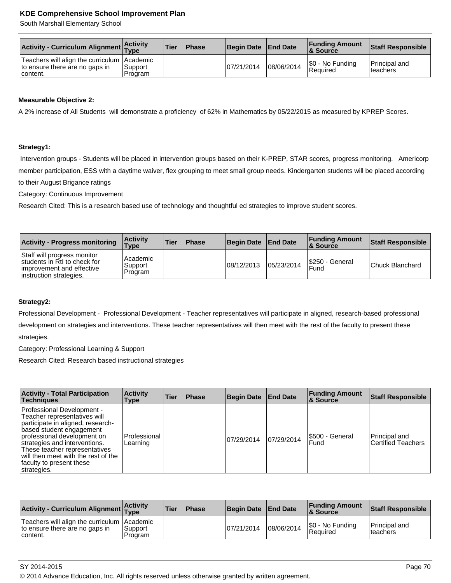## **KDE Comprehensive School Improvement Plan**

South Marshall Elementary School

| Activity - Curriculum Alignment Activity                                                    |                     | <b>Tier</b> | <b>Phase</b> | Begin Date | <b>End Date</b> | <b>Funding Amount</b><br><b>&amp; Source</b> | <b>Staff Responsible</b>   |
|---------------------------------------------------------------------------------------------|---------------------|-------------|--------------|------------|-----------------|----------------------------------------------|----------------------------|
| Teachers will align the curriculum   Academic<br>to ensure there are no gaps in<br>content. | Support <br>Program |             |              | 07/21/2014 | 08/06/2014      | S0 - No Funding<br>l Reauired                | Principal and<br>Iteachers |

#### **Measurable Objective 2:**

A 2% increase of All Students will demonstrate a proficiency of 62% in Mathematics by 05/22/2015 as measured by KPREP Scores.

#### **Strategy1:**

 Intervention groups - Students will be placed in intervention groups based on their K-PREP, STAR scores, progress monitoring. Americorp member participation, ESS with a daytime waiver, flex grouping to meet small group needs. Kindergarten students will be placed according

to their August Brigance ratings

Category: Continuous Improvement

Research Cited: This is a research based use of technology and thoughtful ed strategies to improve student scores.

| <b>Activity - Progress monitoring</b>                                                                               | <b>Activity</b><br><b>Type</b>  | <b>Tier</b> | <b>Phase</b> | Begin Date  | <b>End Date</b> | <b>Funding Amount</b><br>8 Source | Staff Responsible |
|---------------------------------------------------------------------------------------------------------------------|---------------------------------|-------------|--------------|-------------|-----------------|-----------------------------------|-------------------|
| Staff will progress monitor<br>students in RtI to check for<br>improvement and effective<br>instruction strategies. | Academic<br> Support<br>Program |             |              | 108/12/2013 | 05/23/2014      | S250 - General<br>Fund            | Chuck Blanchard   |

#### **Strategy2:**

Professional Development - Professional Development - Teacher representatives will participate in aligned, research-based professional development on strategies and interventions. These teacher representatives will then meet with the rest of the faculty to present these strategies.

Category: Professional Learning & Support

Research Cited: Research based instructional strategies

| <b>Activity - Total Participation</b><br><b>Techniques</b>                                                                                                                                                                                                                                                     | <b>Activity</b><br>Type  | <b>Tier</b> | <b>Phase</b> | <b>Begin Date</b> | <b>End Date</b> | <b>Funding Amount</b><br><b>&amp; Source</b> | <b>Staff Responsible</b>                   |
|----------------------------------------------------------------------------------------------------------------------------------------------------------------------------------------------------------------------------------------------------------------------------------------------------------------|--------------------------|-------------|--------------|-------------------|-----------------|----------------------------------------------|--------------------------------------------|
| Professional Development -<br>Teacher representatives will<br>participate in aligned, research-<br>based student engagement<br>professional development on<br>strategies and interventions.<br>These teacher representatives<br>will then meet with the rest of the<br>faculty to present these<br>strategies. | Professional<br>Learning |             |              | 07/29/2014        | 07/29/2014      | \$500 - General<br>Fund                      | Principal and<br><b>Certified Teachers</b> |

| Activity - Curriculum Alignment Activity                                                    |                    | 'Tier | <b>Phase</b> | <b>Begin Date</b> | <b>End Date</b> | <b>Funding Amount</b><br><b>8 Source</b> | <b>Staff Responsible</b>   |
|---------------------------------------------------------------------------------------------|--------------------|-------|--------------|-------------------|-----------------|------------------------------------------|----------------------------|
| Teachers will align the curriculum   Academic<br>to ensure there are no gaps in<br>content. | Support<br>Program |       |              | 07/21/2014        | 08/06/2014      | S0 - No Funding<br>Required              | Principal and<br>Iteachers |

© 2014 Advance Education, Inc. All rights reserved unless otherwise granted by written agreement.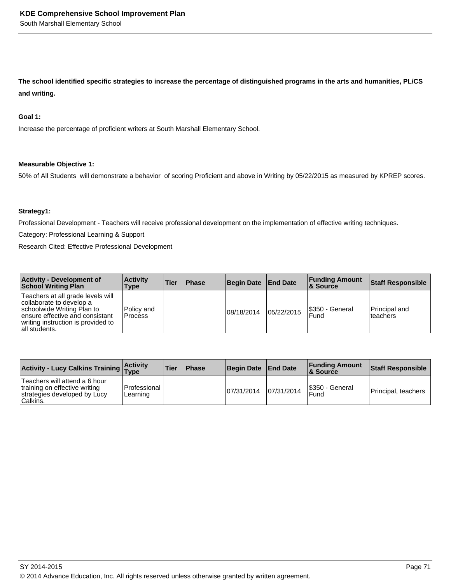**The school identified specific strategies to increase the percentage of distinguished programs in the arts and humanities, PL/CS and writing.**

#### **Goal 1:**

Increase the percentage of proficient writers at South Marshall Elementary School.

#### **Measurable Objective 1:**

50% of All Students will demonstrate a behavior of scoring Proficient and above in Writing by 05/22/2015 as measured by KPREP scores.

#### **Strategy1:**

Professional Development - Teachers will receive professional development on the implementation of effective writing techniques.

Category: Professional Learning & Support

Research Cited: Effective Professional Development

| <b>Activity - Development of</b><br><b>School Writing Plan</b>                                                                                                                        | <b>Activity</b><br>Type       | <b>Tier</b> | <b>Phase</b> | <b>Begin Date</b> | <b>End Date</b> | <b>Funding Amount</b><br>∣& Source | <b>Staff Responsible</b>          |
|---------------------------------------------------------------------------------------------------------------------------------------------------------------------------------------|-------------------------------|-------------|--------------|-------------------|-----------------|------------------------------------|-----------------------------------|
| Teachers at all grade levels will<br>collaborate to develop a<br>schoolwide Writing Plan to<br>ensure effective and consistant<br>writing instruction is provided to<br>all students. | Policy and<br><b>IProcess</b> |             |              | 08/18/2014        | 05/22/2015      | I\$350 - General<br>Fund           | <b>Principal and</b><br>Iteachers |

| <b>Activity - Lucy Calkins Training Activity</b>                                                           |                          | <b>Tier</b> | <b>Phase</b> | <b>Begin Date</b> | <b>End Date</b> | <b>Funding Amount</b><br>∣& Source | Staff Responsible   |
|------------------------------------------------------------------------------------------------------------|--------------------------|-------------|--------------|-------------------|-----------------|------------------------------------|---------------------|
| Teachers will attend a 6 hour<br>training on effective writing<br>strategies developed by Lucy<br>Calkins. | Professional<br>Learning |             |              | 107/31/2014       | 07/31/2014      | <b>S350 - General</b><br>Fund      | Principal, teachers |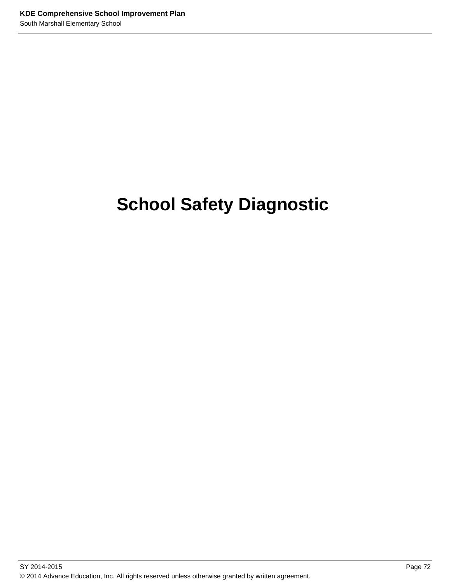# **School Safety Diagnostic**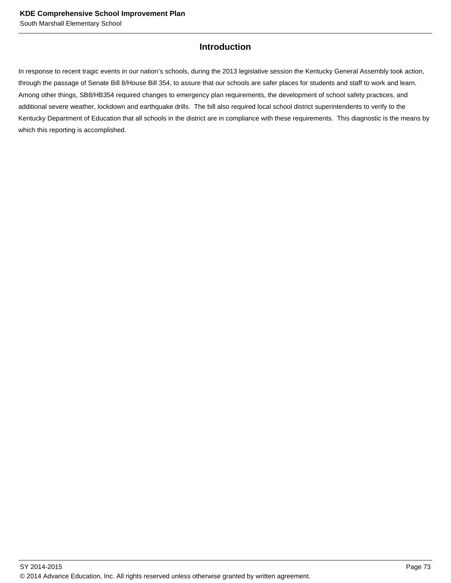# **Introduction**

In response to recent tragic events in our nation's schools, during the 2013 legislative session the Kentucky General Assembly took action, through the passage of Senate Bill 8/House Bill 354, to assure that our schools are safer places for students and staff to work and learn. Among other things, SB8/HB354 required changes to emergency plan requirements, the development of school safety practices, and additional severe weather, lockdown and earthquake drills. The bill also required local school district superintendents to verify to the Kentucky Department of Education that all schools in the district are in compliance with these requirements. This diagnostic is the means by which this reporting is accomplished.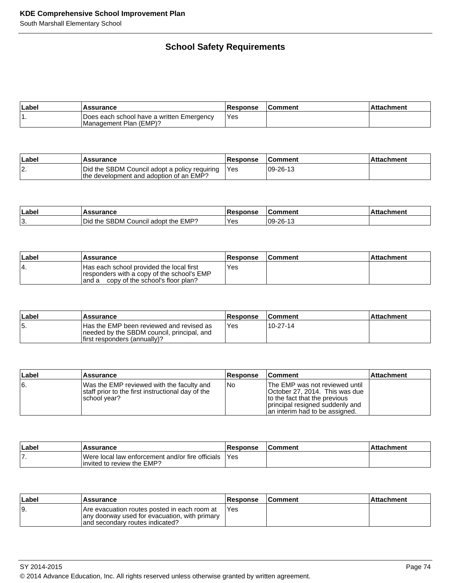# **School Safety Requirements**

| ∣Label | <b>Assurance</b>                                                    | Response | Comment | Attachment |
|--------|---------------------------------------------------------------------|----------|---------|------------|
|        | Does each school have a written Emergency<br>Management Plan (EMP)? | Yes      |         |            |

| ∣Labe | <b>Assurance</b>                                                                         | <b>Response</b> | <b>Comment</b> | Attachment |
|-------|------------------------------------------------------------------------------------------|-----------------|----------------|------------|
| 12.   | Did the SBDM Council adopt a policy requiring<br>the development and adoption of an EMP? | 'Yes            | 09-26-13       |            |

| Labe <sup>l</sup> | <b>issurance</b>                                    | <b>Response</b> | Comment         | ะhment |
|-------------------|-----------------------------------------------------|-----------------|-----------------|--------|
| $\sim$<br>، ت     | Council adopt the EMP?<br><b>SBDM</b><br>the<br>Did | Yes             | $109 - 26 - 13$ |        |

| ∣Label | <b>Assurance</b>                                                                                                                 | <b>Response</b> | <b>Comment</b> | ∣Attachment |
|--------|----------------------------------------------------------------------------------------------------------------------------------|-----------------|----------------|-------------|
| 14.    | Has each school provided the local first<br>responders with a copy of the school's EMP<br>and a copy of the school's floor plan? | Yes             |                |             |

| ∣Label | <b>Assurance</b>                                                                                                              | Response | <b>Comment</b> | ⊥Attachment |
|--------|-------------------------------------------------------------------------------------------------------------------------------|----------|----------------|-------------|
| l5.    | <b>Has the EMP been reviewed and revised as</b><br>needed by the SBDM council, principal, and<br>first responders (annually)? | Yes      | 10-27-14       |             |

| Label | <b>Assurance</b>                                                                                               | <b>Response</b> | <b>Comment</b>                                                                                                                                                         | ∣Attachment |
|-------|----------------------------------------------------------------------------------------------------------------|-----------------|------------------------------------------------------------------------------------------------------------------------------------------------------------------------|-------------|
| 16.   | Was the EMP reviewed with the faculty and<br>staff prior to the first instructional day of the<br>school year? | No.             | The EMP was not reviewed until<br>October 27, 2014. This was due<br>to the fact that the previous<br>principal resigned suddenly and<br>an interim had to be assigned. |             |

| ∣Labe | Assurance                                                                       | <b>Response</b> | <b>Comment</b> | <b>Attachment</b> |
|-------|---------------------------------------------------------------------------------|-----------------|----------------|-------------------|
| . .   | Were local law enforcement and/or fire officials<br>linvited to review the EMP? | l Yes           |                |                   |

| ∣Label | <b>Assurance</b>                                                                                                                  | <b>Response</b> | <b>Comment</b> | Attachment |
|--------|-----------------------------------------------------------------------------------------------------------------------------------|-----------------|----------------|------------|
| l9.    | Are evacuation routes posted in each room at<br>any doorway used for evacuation, with primary<br>land secondary routes indicated? | 'Yes            |                |            |